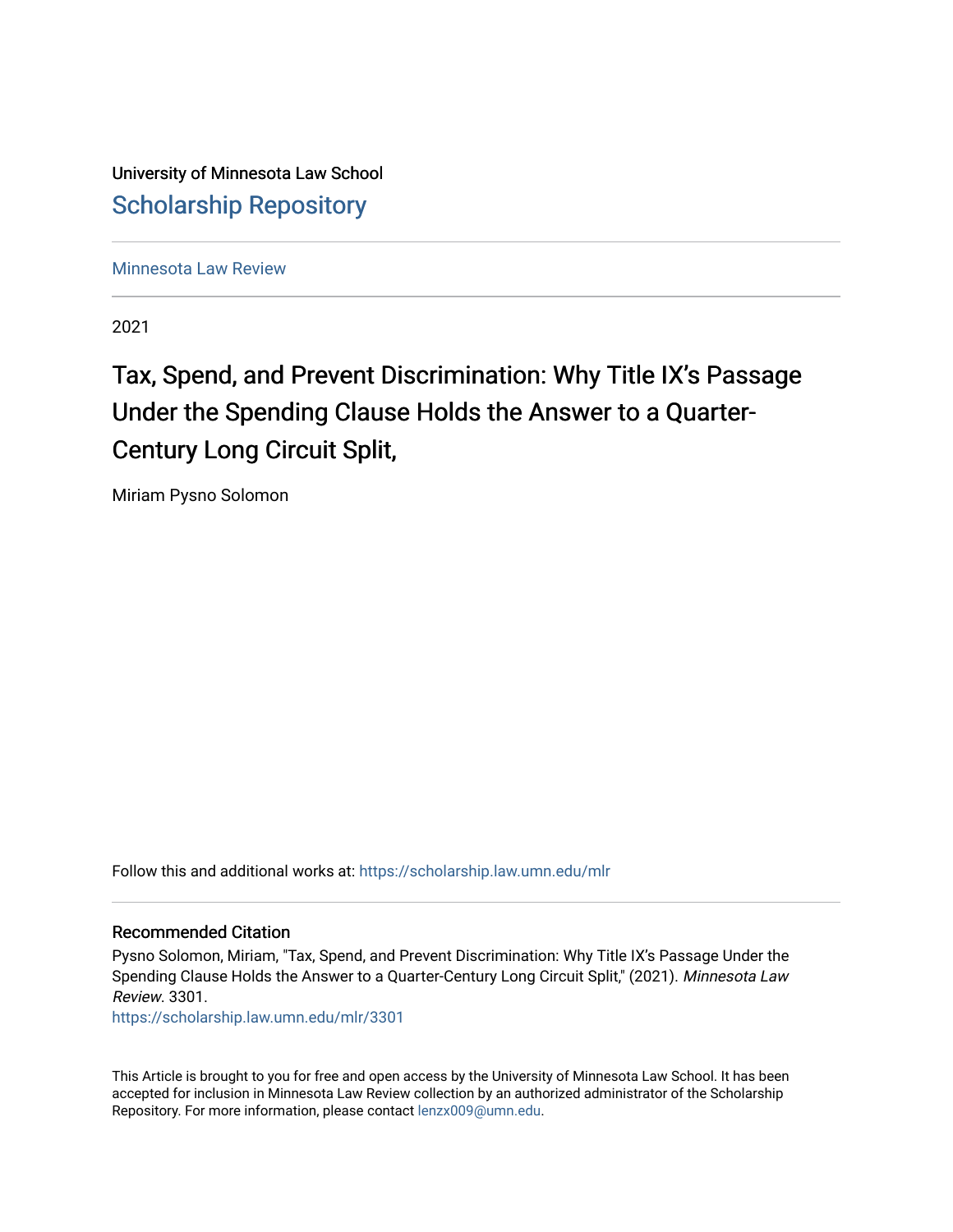University of Minnesota Law School [Scholarship Repository](https://scholarship.law.umn.edu/) 

[Minnesota Law Review](https://scholarship.law.umn.edu/mlr) 

2021

# Tax, Spend, and Prevent Discrimination: Why Title IX's Passage Under the Spending Clause Holds the Answer to a Quarter-Century Long Circuit Split,

Miriam Pysno Solomon

Follow this and additional works at: [https://scholarship.law.umn.edu/mlr](https://scholarship.law.umn.edu/mlr?utm_source=scholarship.law.umn.edu%2Fmlr%2F3301&utm_medium=PDF&utm_campaign=PDFCoverPages)

## Recommended Citation

Pysno Solomon, Miriam, "Tax, Spend, and Prevent Discrimination: Why Title IX's Passage Under the Spending Clause Holds the Answer to a Quarter-Century Long Circuit Split," (2021). Minnesota Law Review. 3301.

[https://scholarship.law.umn.edu/mlr/3301](https://scholarship.law.umn.edu/mlr/3301?utm_source=scholarship.law.umn.edu%2Fmlr%2F3301&utm_medium=PDF&utm_campaign=PDFCoverPages)

This Article is brought to you for free and open access by the University of Minnesota Law School. It has been accepted for inclusion in Minnesota Law Review collection by an authorized administrator of the Scholarship Repository. For more information, please contact [lenzx009@umn.edu.](mailto:lenzx009@umn.edu)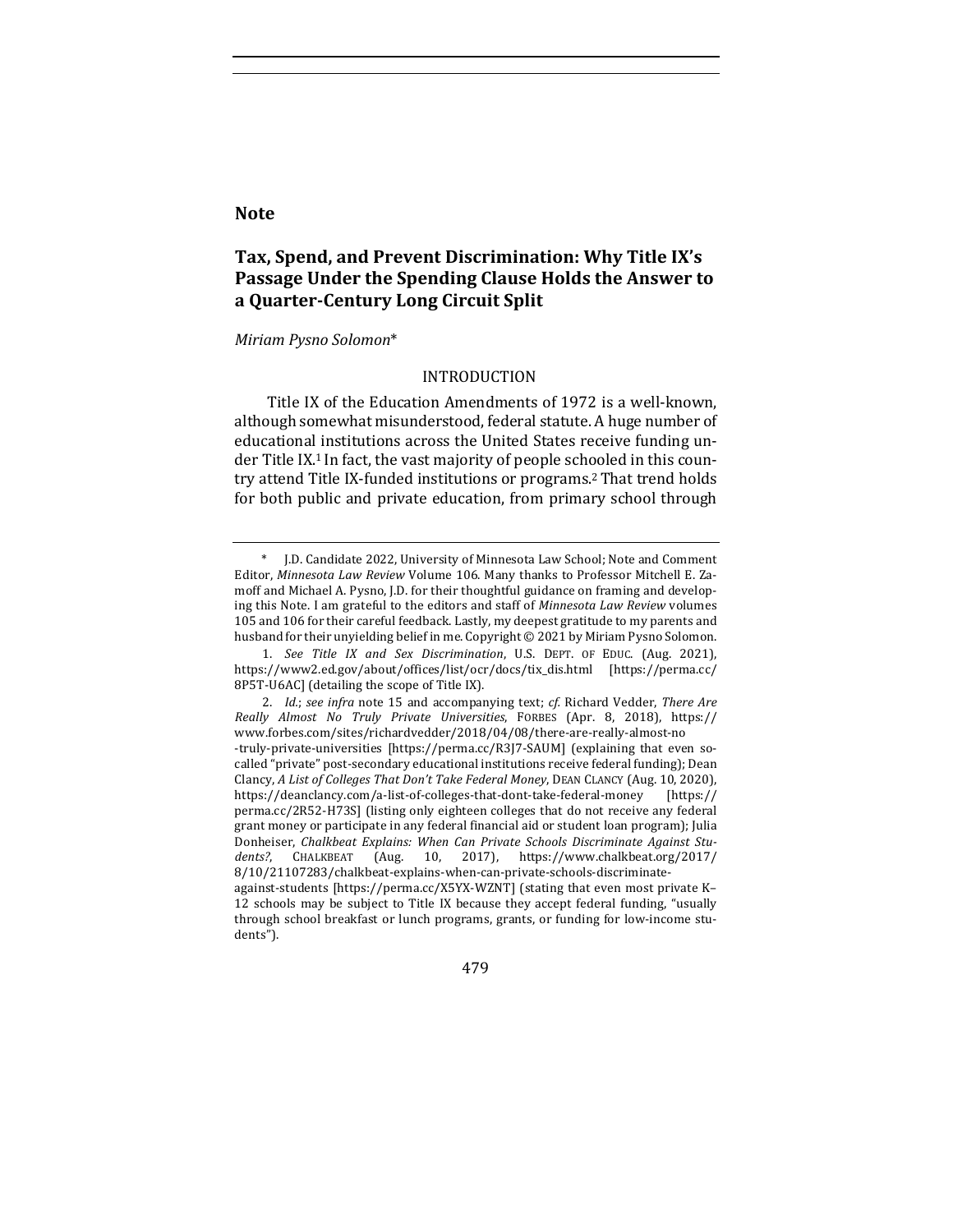## **Note**

## Tax, Spend, and Prevent Discrimination: Why Title IX's Passage Under the Spending Clause Holds the Answer to **a Quarter-Century Long Circuit Split**

#### *Miriam Pysno Solomon*\*

#### INTRODUCTION

Title IX of the Education Amendments of 1972 is a well-known, although somewhat misunderstood, federal statute. A huge number of educational institutions across the United States receive funding under Title IX.<sup>1</sup> In fact, the vast majority of people schooled in this country attend Title IX-funded institutions or programs.<sup>2</sup> That trend holds for both public and private education, from primary school through

479

J.D. Candidate 2022, University of Minnesota Law School; Note and Comment Editor, Minnesota Law Review Volume 106. Many thanks to Professor Mitchell E. Zamoff and Michael A. Pysno, J.D. for their thoughtful guidance on framing and developing this Note. I am grateful to the editors and staff of *Minnesota Law Review* volumes 105 and 106 for their careful feedback. Lastly, my deepest gratitude to my parents and husband for their unyielding belief in me. Copyright  $\odot$  2021 by Miriam Pysno Solomon.

<sup>1.</sup> *See Title IX and Sex Discrimination*, U.S. DEPT. OF EDUC. (Aug. 2021), https://www2.ed.gov/about/offices/list/ocr/docs/tix\_dis.html [https://perma.cc/ 8P5T-U6AC] (detailing the scope of Title IX).

<sup>2.</sup> *Id.*; *see infra* note 15 and accompanying text; *cf.* Richard Vedder, *There Are Really Almost No Truly Private Universities*, FORBES (Apr. 8, 2018), https:// www.forbes.com/sites/richardvedder/2018/04/08/there-are-really-almost-no -truly-private-universities [https://perma.cc/R3J7-SAUM] (explaining that even socalled "private" post-secondary educational institutions receive federal funding); Dean Clancy, A List of Colleges That Don't Take Federal Money, DEAN CLANCY (Aug. 10, 2020), https://deanclancy.com/a-list-of-colleges-that-dont-take-federal-money [https:// perma.cc/2R52-H73S] (listing only eighteen colleges that do not receive any federal grant money or participate in any federal financial aid or student loan program); Julia Donheiser, *Chalkbeat Explains: When Can Private Schools Discriminate Against Students?*, CHALKBEAT (Aug. 10, 2017), https://www.chalkbeat.org/2017/ 8/10/21107283/chalkbeat-explains-when-can-private-schools-discriminateagainst-students [https://perma.cc/X5YX-WZNT] (stating that even most private K-12 schools may be subject to Title IX because they accept federal funding, "usually through school breakfast or lunch programs, grants, or funding for low-income students").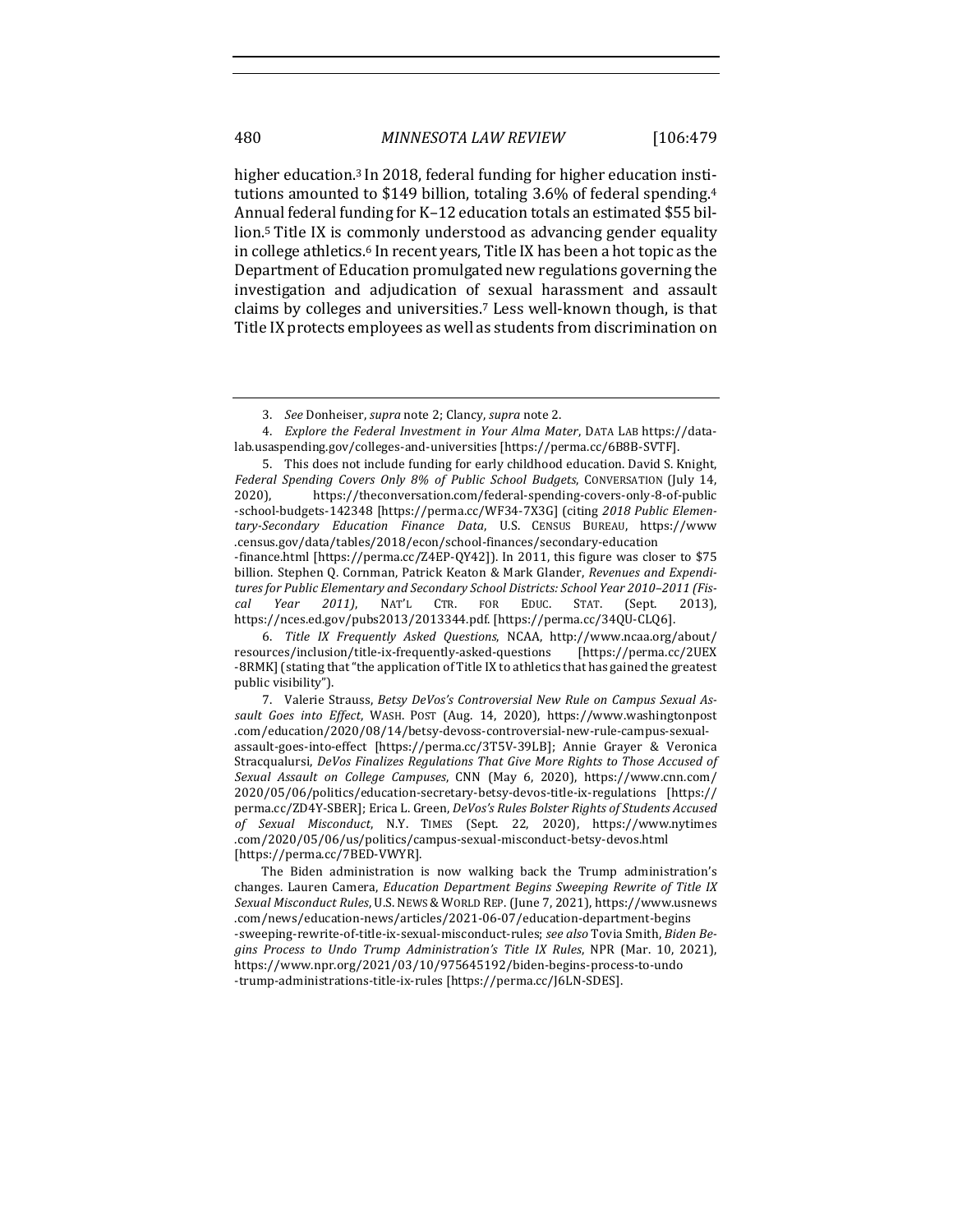higher education.<sup>3</sup> In 2018, federal funding for higher education institutions amounted to \$149 billion, totaling  $3.6\%$  of federal spending.<sup>4</sup> Annual federal funding for K-12 education totals an estimated \$55 billion.<sup>5</sup> Title IX is commonly understood as advancing gender equality in college athletics.<sup>6</sup> In recent years, Title IX has been a hot topic as the Department of Education promulgated new regulations governing the investigation and adjudication of sexual harassment and assault claims by colleges and universities.<sup>7</sup> Less well-known though, is that Title IX protects employees as well as students from discrimination on

4. *Explore the Federal Investment in Your Alma Mater*, DATA LAB https://datalab.usaspending.gov/colleges-and-universities [https://perma.cc/6B8B-SVTF].

5. This does not include funding for early childhood education. David S. Knight, Federal Spending Covers Only 8% of Public School Budgets, CONVERSATION (July 14, 2020), https://theconversation.com/federal-spending-covers-only-8-of-public -school-budgets-142348 [https://perma.cc/WF34-7X3G] (citing 2018 Public Elemen*tary-Secondary Education Finance Data*, U.S. CENSUS BUREAU, https://www .census.gov/data/tables/2018/econ/school-finances/secondary-education -finance.html [https://perma.cc/Z4EP-QY42]]. In 2011, this figure was closer to \$75 billion. Stephen Q. Cornman, Patrick Keaton & Mark Glander, *Revenues and Expendi*tures for Public Elementary and Secondary School Districts: School Year 2010-2011 (Fis*cal Year 2011)*, NAT'L CTR. FOR EDUC. STAT. (Sept. 2013), https://nces.ed.gov/pubs2013/2013344.pdf. [https://perma.cc/34QU-CLQ6].

<sup>3.</sup> *See* Donheiser, *supra* note 2; Clancy, *supra* note 2.

<sup>6.</sup> *Title IX Frequently Asked Questions*, NCAA, http://www.ncaa.org/about/ resources/inclusion/title-ix-frequently-asked-questions [https://perma.cc/2UEX -8RMK] (stating that "the application of Title IX to athletics that has gained the greatest public visibility").

<sup>7.</sup> Valerie Strauss, Betsy DeVos's Controversial New Rule on Campus Sexual As*sault Goes into Effect*, WASH. POST (Aug. 14, 2020), https://www.washingtonpost .com/education/2020/08/14/betsy-devoss-controversial-new-rule-campus-sexualassault-goes-into-effect [https://perma.cc/3T5V-39LB]; Annie Grayer & Veronica Stracqualursi, *DeVos Finalizes Regulations That Give More Rights to Those Accused of Sexual Assault on College Campuses*, CNN (May 6, 2020), https://www.cnn.com/ 2020/05/06/politics/education-secretary-betsy-devos-title-ix-regulations [https:// perma.cc/ZD4Y-SBER]; Erica L. Green, *DeVos's Rules Bolster Rights of Students Accused of Sexual Misconduct*, N.Y. TIMES (Sept. 22, 2020), https://www.nytimes .com/2020/05/06/us/politics/campus-sexual-misconduct-betsy-devos.html [https://perma.cc/7BED-VWYR].

The Biden administration is now walking back the Trump administration's changes. Lauren Camera, *Education Department Begins Sweeping Rewrite of Title IX Sexual Misconduct Rules*, U.S. NEWS & WORLD REP. (June 7, 2021), https://www.usnews .com/news/education-news/articles/2021-06-07/education-department-begins -sweeping-rewrite-of-title-ix-sexual-misconduct-rules; see also Tovia Smith, Biden Begins Process to Undo Trump Administration's Title IX Rules, NPR (Mar. 10, 2021), https://www.npr.org/2021/03/10/975645192/biden-begins-process-to-undo -trump-administrations-title-ix-rules [https://perma.cc/J6LN-SDES].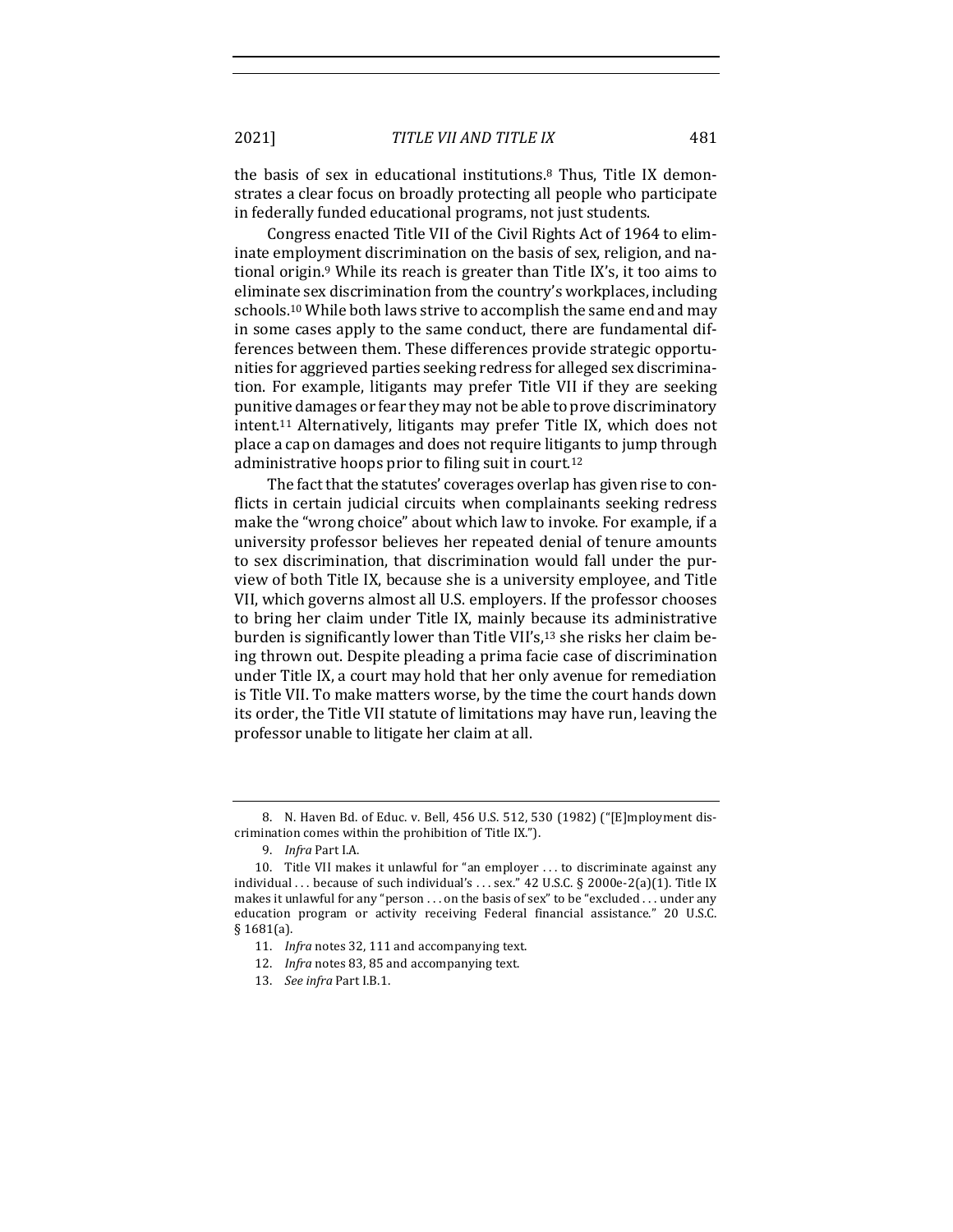the basis of sex in educational institutions.<sup>8</sup> Thus, Title IX demonstrates a clear focus on broadly protecting all people who participate in federally funded educational programs, not just students.

Congress enacted Title VII of the Civil Rights Act of 1964 to eliminate employment discrimination on the basis of sex, religion, and national origin.<sup>9</sup> While its reach is greater than Title IX's, it too aims to eliminate sex discrimination from the country's workplaces, including schools.<sup>10</sup> While both laws strive to accomplish the same end and may in some cases apply to the same conduct, there are fundamental differences between them. These differences provide strategic opportunities for aggrieved parties seeking redress for alleged sex discrimination. For example, litigants may prefer Title VII if they are seeking punitive damages or fear they may not be able to prove discriminatory  $int.11$  Alternatively, litigants may prefer Title IX, which does not place a cap on damages and does not require litigants to jump through administrative hoops prior to filing suit in court.<sup>12</sup>

The fact that the statutes' coverages overlap has given rise to conflicts in certain judicial circuits when complainants seeking redress make the "wrong choice" about which law to invoke. For example, if a university professor believes her repeated denial of tenure amounts to sex discrimination, that discrimination would fall under the purview of both Title IX, because she is a university employee, and Title VII, which governs almost all U.S. employers. If the professor chooses to bring her claim under Title IX, mainly because its administrative burden is significantly lower than Title VII's,<sup>13</sup> she risks her claim being thrown out. Despite pleading a prima facie case of discrimination under Title IX, a court may hold that her only avenue for remediation is Title VII. To make matters worse, by the time the court hands down its order, the Title VII statute of limitations may have run, leaving the professor unable to litigate her claim at all.

<sup>8.</sup> N. Haven Bd. of Educ. v. Bell, 456 U.S. 512, 530 (1982) ("[E]mployment discrimination comes within the prohibition of Title IX.").

<sup>9.</sup> *Infra* Part I.A.

<sup>10.</sup> Title VII makes it unlawful for "an employer  $\dots$  to discriminate against any individual ... because of such individual's ... sex." 42 U.S.C. § 2000e-2(a)(1). Title IX makes it unlawful for any "person . . . on the basis of sex" to be "excluded . . . under any education program or activity receiving Federal financial assistance." 20 U.S.C. § 1681(a).

<sup>11.</sup> *Infra* notes 32, 111 and accompanying text.

<sup>12.</sup> *Infra* notes 83, 85 and accompanying text.

<sup>13.</sup> *See infra* Part I.B.1.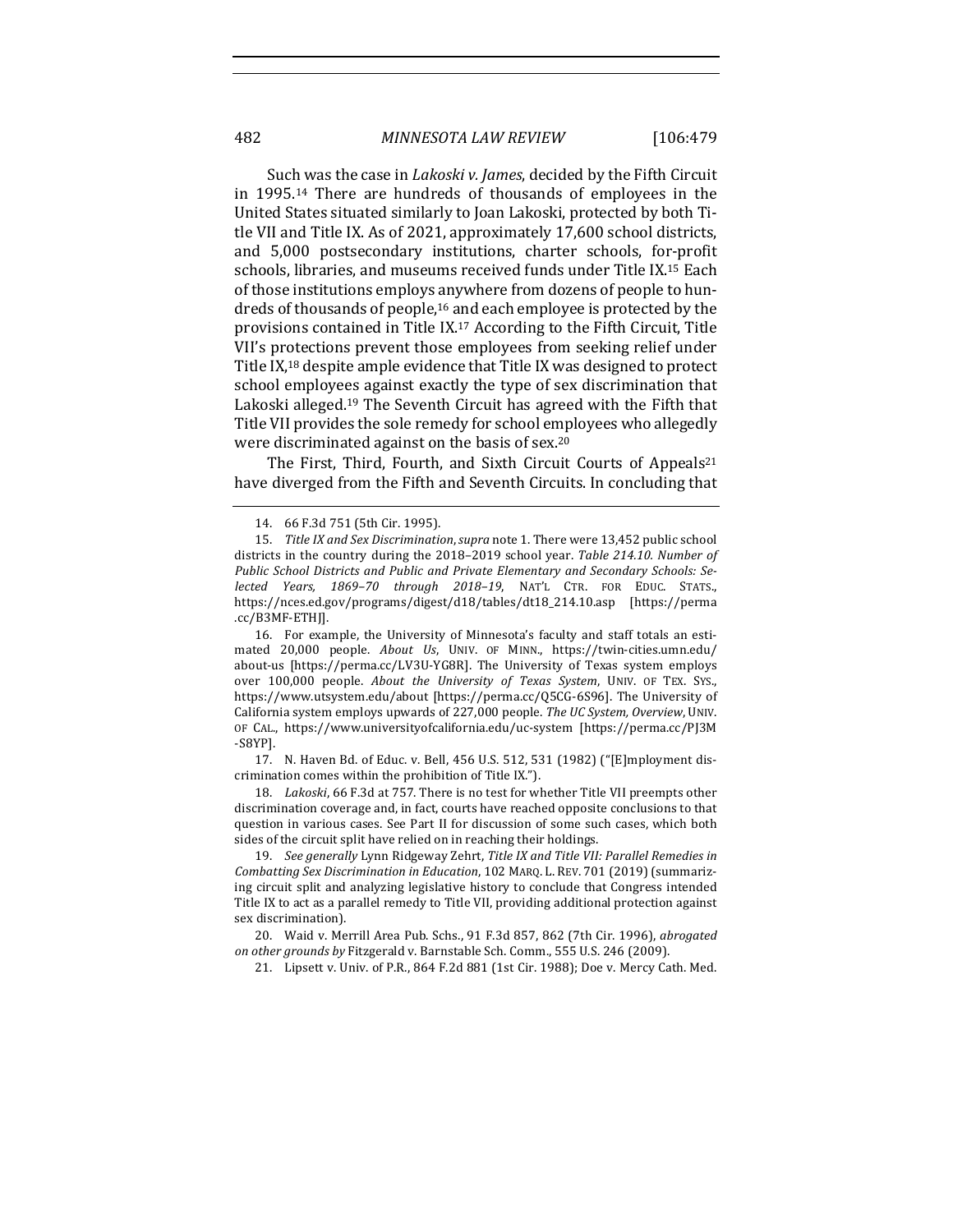Such was the case in *Lakoski v. James*, decided by the Fifth Circuit in 1995.<sup>14</sup> There are hundreds of thousands of employees in the United States situated similarly to Joan Lakoski, protected by both Title VII and Title IX. As of 2021, approximately 17,600 school districts, and 5,000 postsecondary institutions, charter schools, for-profit schools, libraries, and museums received funds under Title IX.<sup>15</sup> Each of those institutions employs anywhere from dozens of people to hundreds of thousands of people, $16$  and each employee is protected by the provisions contained in Title  $IX<sup>17</sup>$  According to the Fifth Circuit, Title VII's protections prevent those employees from seeking relief under Title  $IX<sub>18</sub>$  despite ample evidence that Title IX was designed to protect school employees against exactly the type of sex discrimination that Lakoski alleged.<sup>19</sup> The Seventh Circuit has agreed with the Fifth that Title VII provides the sole remedy for school employees who allegedly were discriminated against on the basis of sex.<sup>20</sup>

The First, Third, Fourth, and Sixth Circuit Courts of Appeals<sup>21</sup> have diverged from the Fifth and Seventh Circuits. In concluding that

17. N. Haven Bd. of Educ. v. Bell, 456 U.S. 512, 531 (1982) ("[E]mployment discrimination comes within the prohibition of Title IX.").

18. *Lakoski*, 66 F.3d at 757. There is no test for whether Title VII preempts other discrimination coverage and, in fact, courts have reached opposite conclusions to that question in various cases. See Part II for discussion of some such cases, which both sides of the circuit split have relied on in reaching their holdings.

19. *See generally Lynn Ridgeway Zehrt, Title IX and Title VII: Parallel Remedies in Combatting Sex Discrimination in Education,* 102 MARQ. L. REV. 701 (2019) (summarizing circuit split and analyzing legislative history to conclude that Congress intended Title IX to act as a parallel remedy to Title VII, providing additional protection against sex discrimination).

20. Waid v. Merrill Area Pub. Schs., 91 F.3d 857, 862 (7th Cir. 1996), *abrogated on other grounds by* Fitzgerald v. Barnstable Sch. Comm., 555 U.S. 246 (2009).

21. Lipsett v. Univ. of P.R., 864 F.2d 881 (1st Cir. 1988); Doe v. Mercy Cath. Med.

<sup>14. 66</sup> F.3d 751 (5th Cir. 1995).

<sup>15.</sup> Title IX and Sex Discrimination, supra note 1. There were 13,452 public school districts in the country during the 2018-2019 school year. Table 214.10. Number of Public School Districts and Public and Private Elementary and Secondary Schools: Se*lected Years, 1869–70 through 2018–19*, NAT'L CTR. FOR EDUC. STATS., https://nces.ed.gov/programs/digest/d18/tables/dt18\_214.10.asp [https://perma .cc/B3MF-ETHJ].

<sup>16.</sup> For example, the University of Minnesota's faculty and staff totals an estimated 20,000 people. About Us, UNIV. OF MINN., https://twin-cities.umn.edu/ about-us [https://perma.cc/LV3U-YG8R]. The University of Texas system employs over 100,000 people. About the University of Texas System, UNIV. OF TEX. SYS., https://www.utsystem.edu/about [https://perma.cc/Q5CG-6S96]. The University of California system employs upwards of 227,000 people. The UC System, Overview, UNIV. OF CAL., https://www.universityofcalifornia.edu/uc-system [https://perma.cc/PJ3M -S8YP].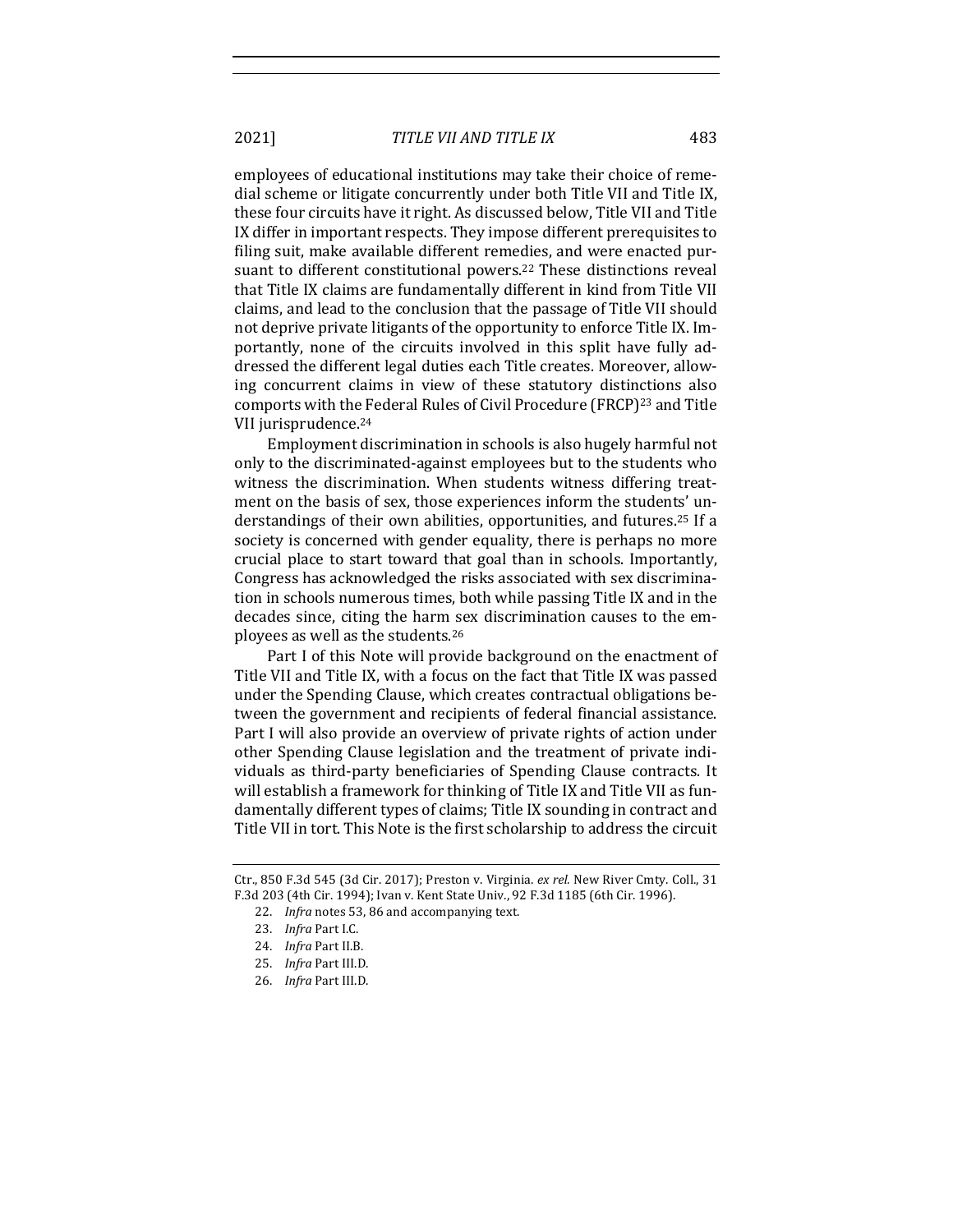employees of educational institutions may take their choice of remedial scheme or litigate concurrently under both Title VII and Title IX, these four circuits have it right. As discussed below, Title VII and Title IX differ in important respects. They impose different prerequisites to filing suit, make available different remedies, and were enacted pursuant to different constitutional powers.<sup>22</sup> These distinctions reveal that Title IX claims are fundamentally different in kind from Title VII claims, and lead to the conclusion that the passage of Title VII should not deprive private litigants of the opportunity to enforce Title IX. Importantly, none of the circuits involved in this split have fully addressed the different legal duties each Title creates. Moreover, allowing concurrent claims in view of these statutory distinctions also comports with the Federal Rules of Civil Procedure (FRCP)<sup>23</sup> and Title VII jurisprudence.<sup>24</sup>

Employment discrimination in schools is also hugely harmful not only to the discriminated-against employees but to the students who witness the discrimination. When students witness differing treatment on the basis of sex, those experiences inform the students' understandings of their own abilities, opportunities, and futures.<sup>25</sup> If a society is concerned with gender equality, there is perhaps no more crucial place to start toward that goal than in schools. Importantly, Congress has acknowledged the risks associated with sex discrimination in schools numerous times, both while passing Title IX and in the decades since, citing the harm sex discrimination causes to the employees as well as the students.<sup>26</sup>

Part I of this Note will provide background on the enactment of Title VII and Title IX, with a focus on the fact that Title IX was passed under the Spending Clause, which creates contractual obligations between the government and recipients of federal financial assistance. Part I will also provide an overview of private rights of action under other Spending Clause legislation and the treatment of private individuals as third-party beneficiaries of Spending Clause contracts. It will establish a framework for thinking of Title IX and Title VII as fundamentally different types of claims; Title IX sounding in contract and Title VII in tort. This Note is the first scholarship to address the circuit

Ctr., 850 F.3d 545 (3d Cir. 2017); Preston v. Virginia. ex rel. New River Cmty. Coll., 31 F.3d 203 (4th Cir. 1994); Ivan v. Kent State Univ., 92 F.3d 1185 (6th Cir. 1996).

<sup>22.</sup> *Infra* notes 53, 86 and accompanying text.

<sup>23.</sup> *Infra* Part I.C.

<sup>24.</sup> *Infra Part II.B.* 

<sup>25.</sup> *Infra Part III.D.* 

<sup>26.</sup> *Infra* Part III.D.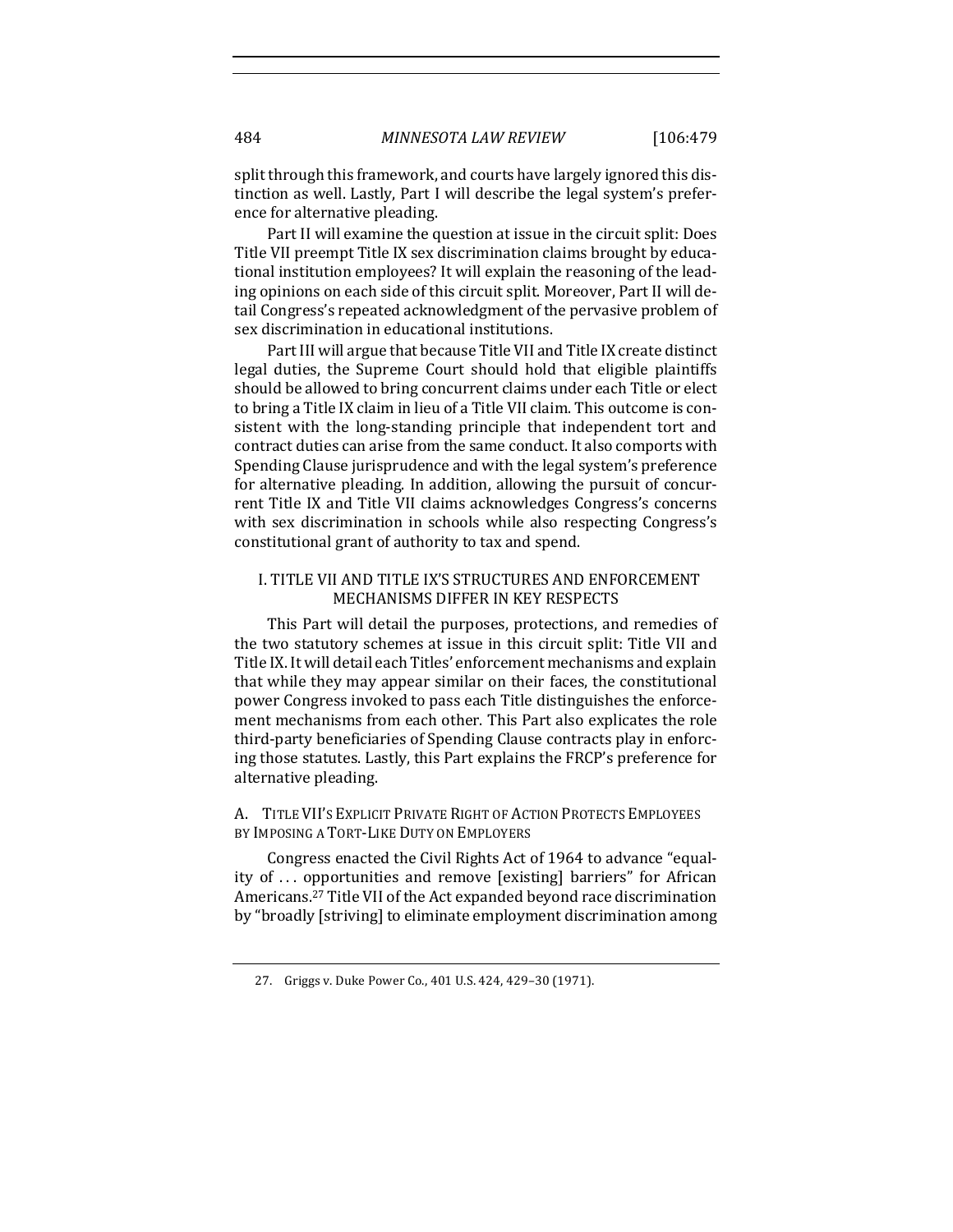split through this framework, and courts have largely ignored this distinction as well. Lastly, Part I will describe the legal system's preference for alternative pleading.

Part II will examine the question at issue in the circuit split: Does Title VII preempt Title IX sex discrimination claims brought by educational institution employees? It will explain the reasoning of the leading opinions on each side of this circuit split. Moreover, Part II will detail Congress's repeated acknowledgment of the pervasive problem of sex discrimination in educational institutions.

Part III will argue that because Title VII and Title IX create distinct legal duties, the Supreme Court should hold that eligible plaintiffs should be allowed to bring concurrent claims under each Title or elect to bring a Title IX claim in lieu of a Title VII claim. This outcome is consistent with the long-standing principle that independent tort and contract duties can arise from the same conduct. It also comports with Spending Clause jurisprudence and with the legal system's preference for alternative pleading. In addition, allowing the pursuit of concurrent Title IX and Title VII claims acknowledges Congress's concerns with sex discrimination in schools while also respecting Congress's constitutional grant of authority to tax and spend.

#### I. TITLE VII AND TITLE IX'S STRUCTURES AND ENFORCEMENT MECHANISMS DIFFER IN KEY RESPECTS

This Part will detail the purposes, protections, and remedies of the two statutory schemes at issue in this circuit split: Title VII and Title IX. It will detail each Titles' enforcement mechanisms and explain that while they may appear similar on their faces, the constitutional power Congress invoked to pass each Title distinguishes the enforcement mechanisms from each other. This Part also explicates the role third-party beneficiaries of Spending Clause contracts play in enforcing those statutes. Lastly, this Part explains the FRCP's preference for alternative pleading.

#### A. TITLE VII'S EXPLICIT PRIVATE RIGHT OF ACTION PROTECTS EMPLOYEES BY IMPOSING A TORT-LIKE DUTY ON EMPLOYERS

Congress enacted the Civil Rights Act of 1964 to advance "equality of ... opportunities and remove [existing] barriers" for African Americans.<sup>27</sup> Title VII of the Act expanded beyond race discrimination by "broadly [striving] to eliminate employment discrimination among

<sup>27.</sup> Griggs v. Duke Power Co., 401 U.S. 424, 429-30 (1971).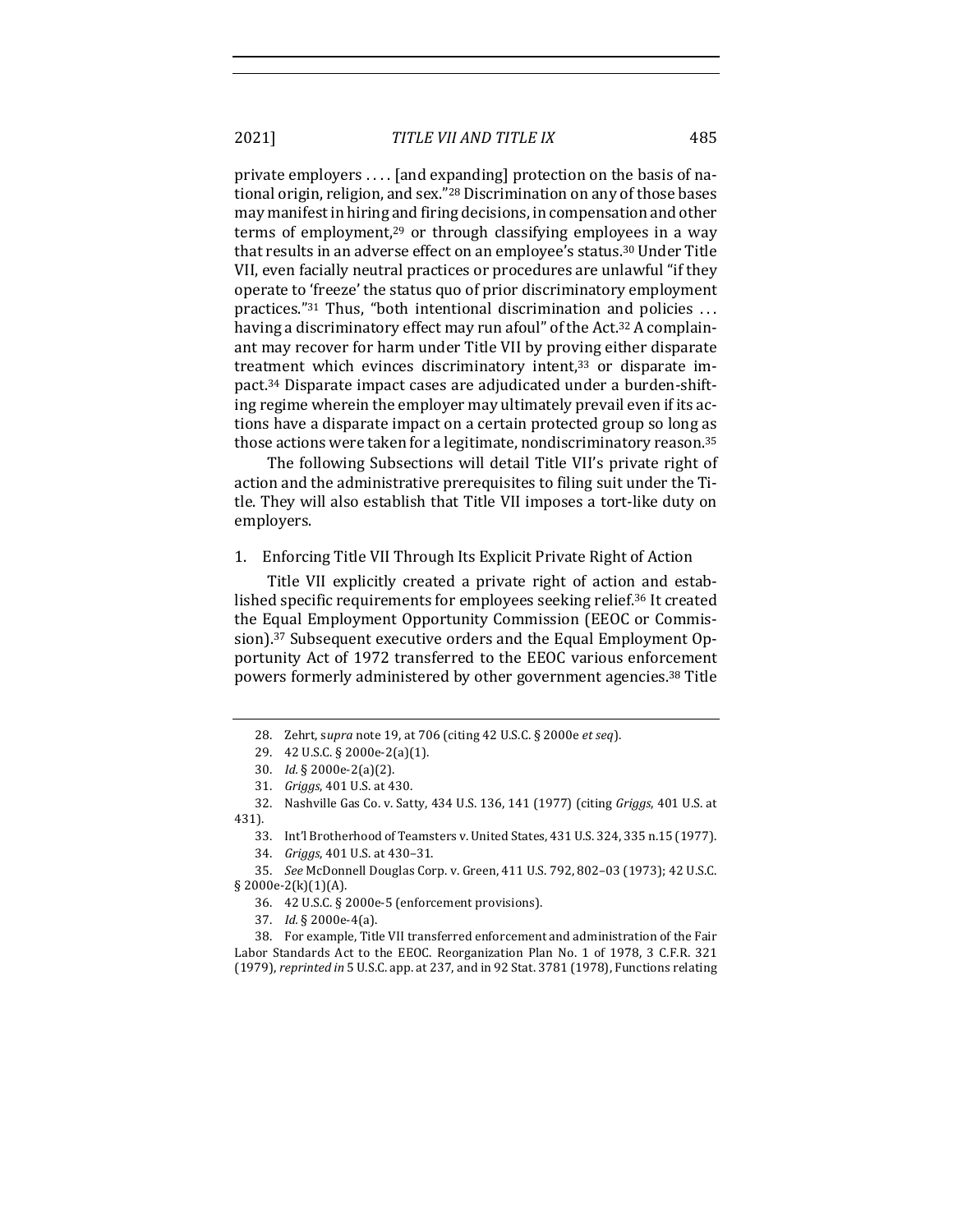2021] *TITLE VII AND TITLE IX* 485

private employers  $\dots$  [and expanding] protection on the basis of national origin, religion, and sex."<sup>28</sup> Discrimination on any of those bases may manifest in hiring and firing decisions, in compensation and other terms of employment,<sup>29</sup> or through classifying employees in a way that results in an adverse effect on an employee's status.<sup>30</sup> Under Title VII, even facially neutral practices or procedures are unlawful "if they operate to 'freeze' the status quo of prior discriminatory employment practices." $31$  Thus, "both intentional discrimination and policies ... having a discriminatory effect may run afoul" of the Act.<sup>32</sup> A complainant may recover for harm under Title VII by proving either disparate treatment which evinces discriminatory intent, $33$  or disparate impact.<sup>34</sup> Disparate impact cases are adjudicated under a burden-shifting regime wherein the employer may ultimately prevail even if its actions have a disparate impact on a certain protected group so long as those actions were taken for a legitimate, nondiscriminatory reason.<sup>35</sup>

The following Subsections will detail Title VII's private right of action and the administrative prerequisites to filing suit under the Title. They will also establish that Title VII imposes a tort-like duty on employers.

#### 1. Enforcing Title VII Through Its Explicit Private Right of Action

Title VII explicitly created a private right of action and established specific requirements for employees seeking relief.<sup>36</sup> It created the Equal Employment Opportunity Commission (EEOC or Commission).<sup>37</sup> Subsequent executive orders and the Equal Employment Opportunity Act of 1972 transferred to the EEOC various enforcement powers formerly administered by other government agencies.<sup>38</sup> Title

35. *See* McDonnell Douglas Corp. v. Green, 411 U.S. 792, 802-03 (1973); 42 U.S.C. § 2000e-2(k)(1)(A).

<sup>28.</sup> Zehrt, supra note 19, at 706 (citing 42 U.S.C. § 2000e et seq).

<sup>29. 42</sup> U.S.C. § 2000e-2(a)(1).

<sup>30.</sup> *Id.* § 2000e-2(a)(2).

<sup>31.</sup> *Griggs*, 401 U.S. at 430.

<sup>32.</sup> Nashville Gas Co. v. Satty, 434 U.S. 136, 141 (1977) (citing *Griggs*, 401 U.S. at 431).

<sup>33.</sup> Int'l Brotherhood of Teamsters v. United States, 431 U.S. 324, 335 n.15 (1977).

<sup>34.</sup> *Griggs*, 401 U.S. at 430-31.

<sup>36. 42</sup> U.S.C. § 2000e-5 (enforcement provisions).

<sup>37.</sup> *Id.* § 2000e-4(a).

<sup>38.</sup> For example, Title VII transferred enforcement and administration of the Fair Labor Standards Act to the EEOC. Reorganization Plan No. 1 of 1978, 3 C.F.R. 321 (1979), reprinted in 5 U.S.C. app. at 237, and in 92 Stat. 3781 (1978), Functions relating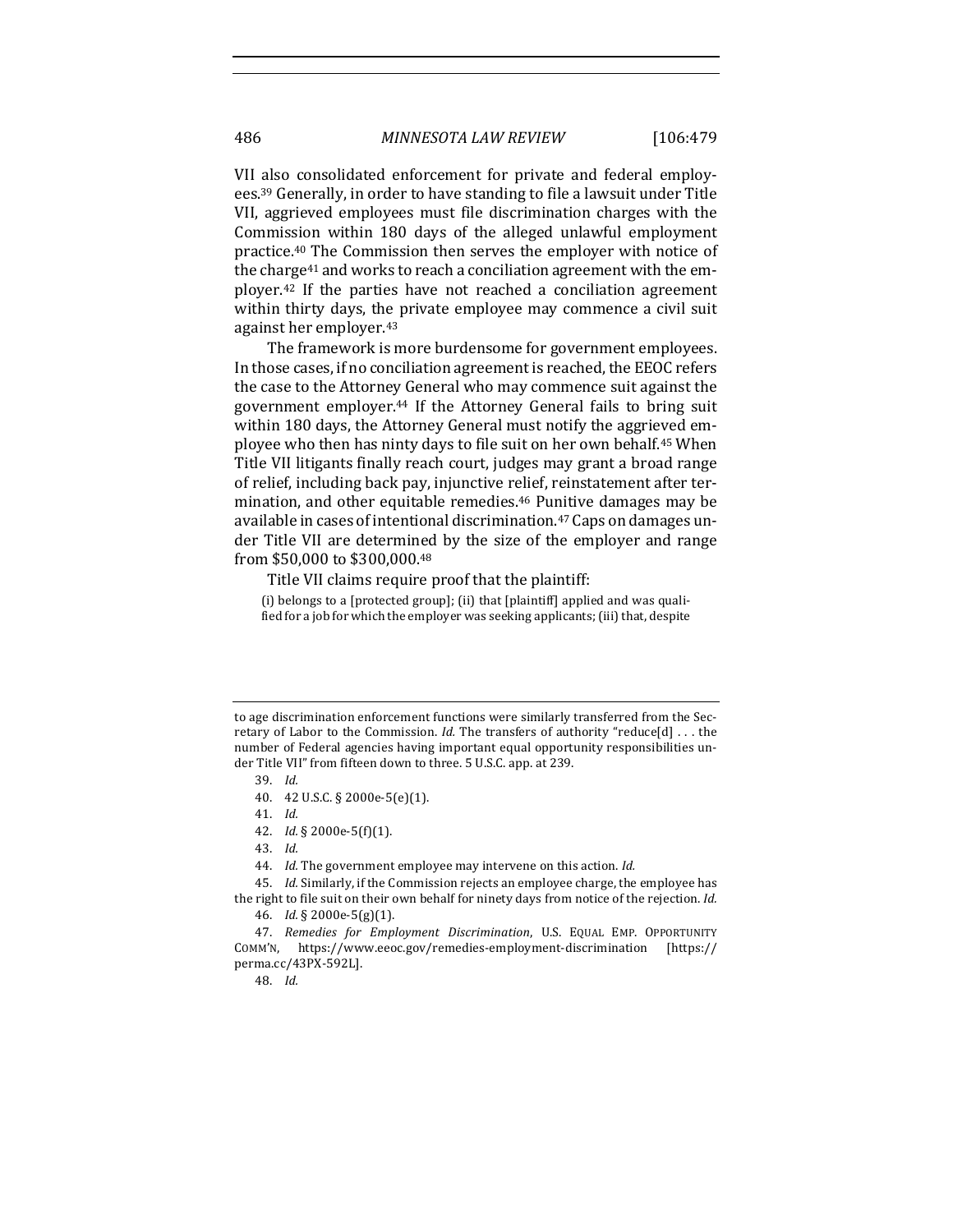VII also consolidated enforcement for private and federal employees.<sup>39</sup> Generally, in order to have standing to file a lawsuit under Title VII, aggrieved employees must file discrimination charges with the Commission within 180 days of the alleged unlawful employment practice.<sup>40</sup> The Commission then serves the employer with notice of the charge<sup>41</sup> and works to reach a conciliation agreement with the employer.<sup>42</sup> If the parties have not reached a conciliation agreement within thirty days, the private employee may commence a civil suit against her employer.<sup>43</sup>

The framework is more burdensome for government employees. In those cases, if no conciliation agreement is reached, the EEOC refers the case to the Attorney General who may commence suit against the government employer.<sup>44</sup> If the Attorney General fails to bring suit within 180 days, the Attorney General must notify the aggrieved employee who then has ninty days to file suit on her own behalf.<sup>45</sup> When Title VII litigants finally reach court, judges may grant a broad range of relief, including back pay, injunctive relief, reinstatement after termination, and other equitable remedies.<sup>46</sup> Punitive damages may be available in cases of intentional discrimination.<sup>47</sup> Caps on damages under Title VII are determined by the size of the employer and range from \$50,000 to \$300,000.48

Title VII claims require proof that the plaintiff:

(i) belongs to a [protected group]; (ii) that [plaintiff] applied and was qualified for a job for which the employer was seeking applicants; (iii) that, despite

44. *Id.* The government employee may intervene on this action. *Id.* 

45. *Id.* Similarly, if the Commission rejects an employee charge, the employee has the right to file suit on their own behalf for ninety days from notice of the rejection. *Id.* 46. *Id.* § 2000e-5(g)(1).

47. *Remedies for Employment Discrimination*, U.S. EQUAL EMP. OPPORTUNITY COMM'N, https://www.eeoc.gov/remedies-employment-discrimination [https:// perma.cc/43PX-592L].

48. *Id.*

to age discrimination enforcement functions were similarly transferred from the Secretary of Labor to the Commission. *Id*. The transfers of authority "reduce[d] . . . the number of Federal agencies having important equal opportunity responsibilities under Title VII" from fifteen down to three. 5 U.S.C. app. at 239.

<sup>39.</sup> *Id.*

<sup>40.</sup> 42 U.S.C. § 2000e-5(e)(1).

<sup>41.</sup> *Id.*

<sup>42.</sup> *Id.* § 2000e-5(f)(1).

<sup>43.</sup> *Id.*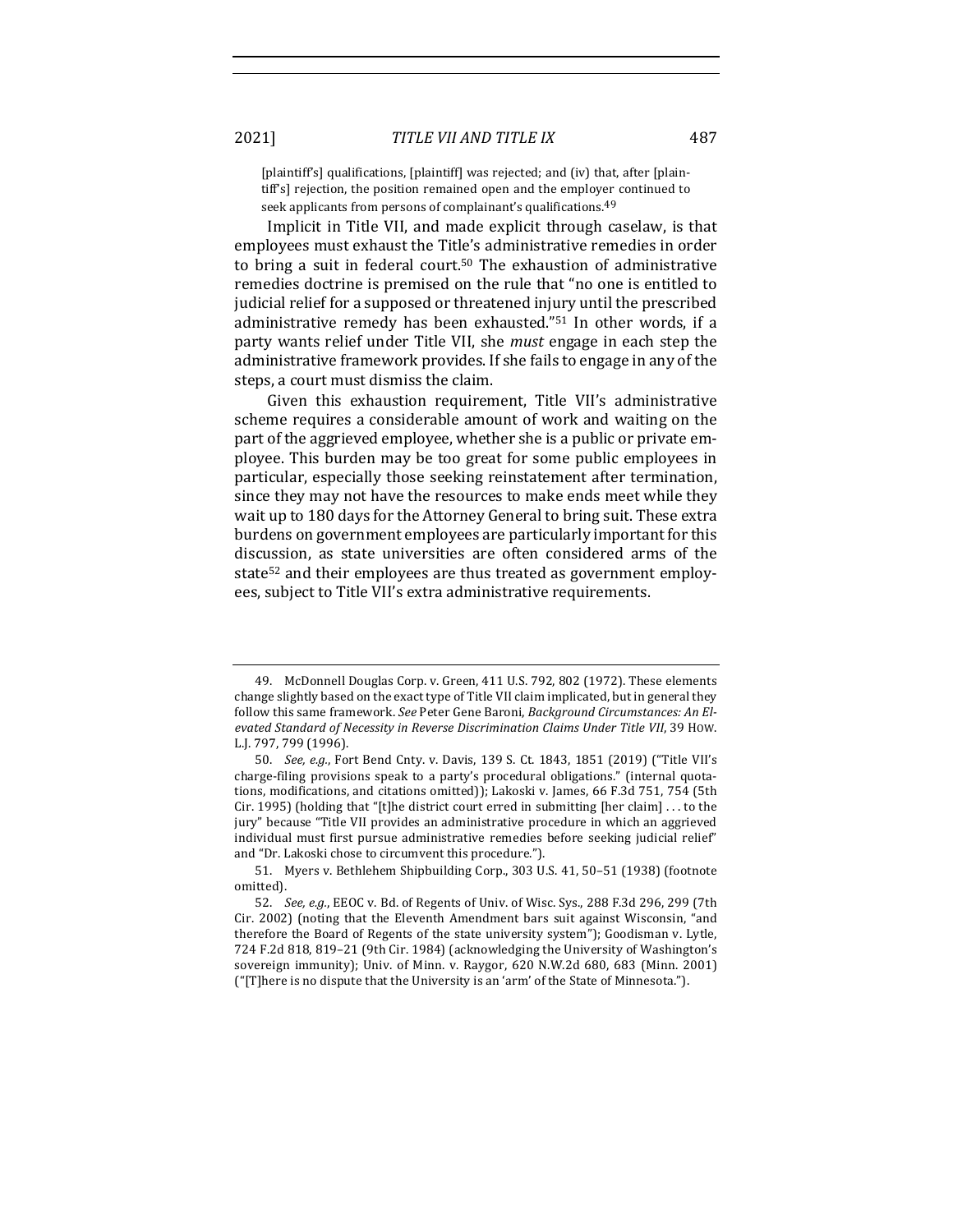[plaintiff's] qualifications, [plaintiff] was rejected; and (iv) that, after [plaintiff's] rejection, the position remained open and the employer continued to seek applicants from persons of complainant's qualifications.<sup>49</sup>

Implicit in Title VII, and made explicit through caselaw, is that employees must exhaust the Title's administrative remedies in order to bring a suit in federal court.<sup>50</sup> The exhaustion of administrative remedies doctrine is premised on the rule that "no one is entitled to judicial relief for a supposed or threatened injury until the prescribed administrative remedy has been exhausted."<sup>51</sup> In other words, if a party wants relief under Title VII, she *must* engage in each step the administrative framework provides. If she fails to engage in any of the steps, a court must dismiss the claim.

Given this exhaustion requirement, Title VII's administrative scheme requires a considerable amount of work and waiting on the part of the aggrieved employee, whether she is a public or private employee. This burden may be too great for some public employees in particular, especially those seeking reinstatement after termination, since they may not have the resources to make ends meet while they wait up to 180 days for the Attorney General to bring suit. These extra burdens on government employees are particularly important for this discussion, as state universities are often considered arms of the state<sup>52</sup> and their employees are thus treated as government employees, subject to Title VII's extra administrative requirements.

<sup>49.</sup> McDonnell Douglas Corp. v. Green, 411 U.S. 792, 802 (1972). These elements change slightly based on the exact type of Title VII claim implicated, but in general they follow this same framework. See Peter Gene Baroni, Background Circumstances: An Elevated Standard of Necessity in Reverse Discrimination Claims Under Title VII, 39 How. L.J. 797, 799 (1996).

<sup>50.</sup> *See, e.g.*, Fort Bend Cnty. v. Davis, 139 S. Ct. 1843, 1851 (2019) ("Title VII's charge-filing provisions speak to a party's procedural obligations." (internal quotations, modifications, and citations omitted)); Lakoski v. James, 66 F.3d 751, 754 (5th Cir. 1995) (holding that "[t]he district court erred in submitting [her claim]  $\dots$  to the jury" because "Title VII provides an administrative procedure in which an aggrieved individual must first pursue administrative remedies before seeking judicial relief" and "Dr. Lakoski chose to circumvent this procedure.").

<sup>51.</sup> Myers v. Bethlehem Shipbuilding Corp., 303 U.S. 41, 50-51 (1938) (footnote omitted).

<sup>52.</sup> *See, e.g.*, EEOC v. Bd. of Regents of Univ. of Wisc. Sys., 288 F.3d 296, 299 (7th Cir. 2002) (noting that the Eleventh Amendment bars suit against Wisconsin, "and therefore the Board of Regents of the state university system"); Goodisman v. Lytle, 724 F.2d 818, 819-21 (9th Cir. 1984) (acknowledging the University of Washington's sovereign immunity); Univ. of Minn. v. Raygor, 620 N.W.2d 680, 683 (Minn. 2001) ("[T]here is no dispute that the University is an 'arm' of the State of Minnesota.").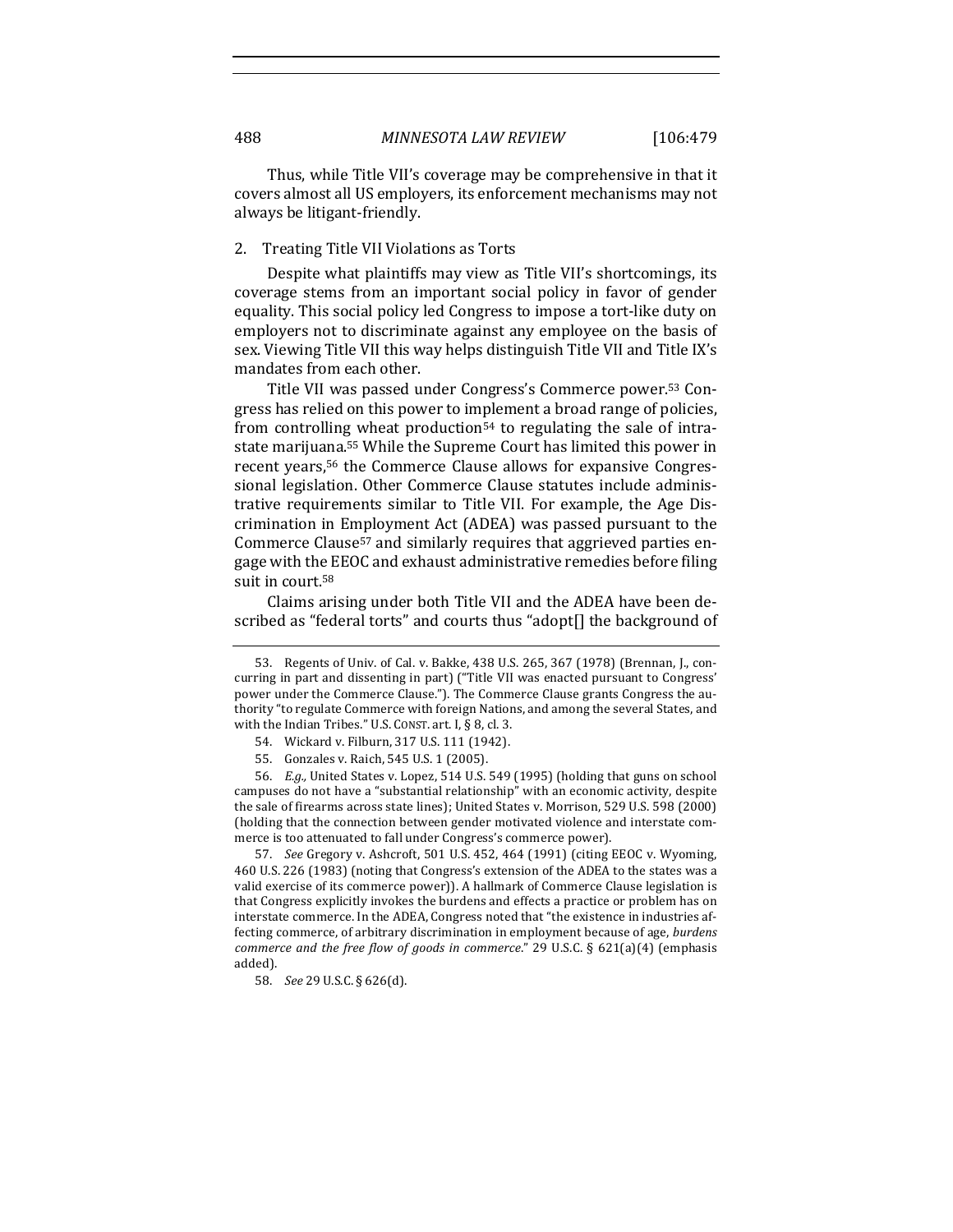Thus, while Title VII's coverage may be comprehensive in that it covers almost all US employers, its enforcement mechanisms may not always be litigant-friendly.

#### 2. Treating Title VII Violations as Torts

Despite what plaintiffs may view as Title VII's shortcomings, its coverage stems from an important social policy in favor of gender equality. This social policy led Congress to impose a tort-like duty on employers not to discriminate against any employee on the basis of sex. Viewing Title VII this way helps distinguish Title VII and Title IX's mandates from each other.

Title VII was passed under Congress's Commerce power.<sup>53</sup> Congress has relied on this power to implement a broad range of policies, from controlling wheat production<sup>54</sup> to regulating the sale of intrastate marijuana.<sup>55</sup> While the Supreme Court has limited this power in recent years,<sup>56</sup> the Commerce Clause allows for expansive Congressional legislation. Other Commerce Clause statutes include administrative requirements similar to Title VII. For example, the Age Discrimination in Employment Act (ADEA) was passed pursuant to the Commerce Clause<sup>57</sup> and similarly requires that aggrieved parties engage with the EEOC and exhaust administrative remedies before filing suit in court.<sup>58</sup>

Claims arising under both Title VII and the ADEA have been described as "federal torts" and courts thus "adopt[] the background of

<sup>53.</sup> Regents of Univ. of Cal. v. Bakke, 438 U.S. 265, 367 (1978) (Brennan, J., concurring in part and dissenting in part) ("Title VII was enacted pursuant to Congress' power under the Commerce Clause."). The Commerce Clause grants Congress the authority "to regulate Commerce with foreign Nations, and among the several States, and with the Indian Tribes." U.S. CONST. art. I,  $\S$  8, cl. 3.

<sup>54.</sup> Wickard v. Filburn, 317 U.S. 111 (1942).

<sup>55.</sup> Gonzales v. Raich, 545 U.S. 1 (2005).

<sup>56.</sup> *E.g.*, United States v. Lopez, 514 U.S. 549 (1995) (holding that guns on school campuses do not have a "substantial relationship" with an economic activity, despite the sale of firearms across state lines); United States v. Morrison, 529 U.S. 598 (2000) (holding that the connection between gender motivated violence and interstate commerce is too attenuated to fall under Congress's commerce power).

<sup>57.</sup> *See* Gregory v. Ashcroft, 501 U.S. 452, 464 (1991) (citing EEOC v. Wyoming, 460 U.S. 226 (1983) (noting that Congress's extension of the ADEA to the states was a valid exercise of its commerce power)). A hallmark of Commerce Clause legislation is that Congress explicitly invokes the burdens and effects a practice or problem has on interstate commerce. In the ADEA, Congress noted that "the existence in industries affecting commerce, of arbitrary discrimination in employment because of age, *burdens commerce and the free flow of goods in commerce*." 29 U.S.C. § 621(a)(4) (emphasis added).

<sup>58.</sup> *See* 29 U.S.C. § 626(d).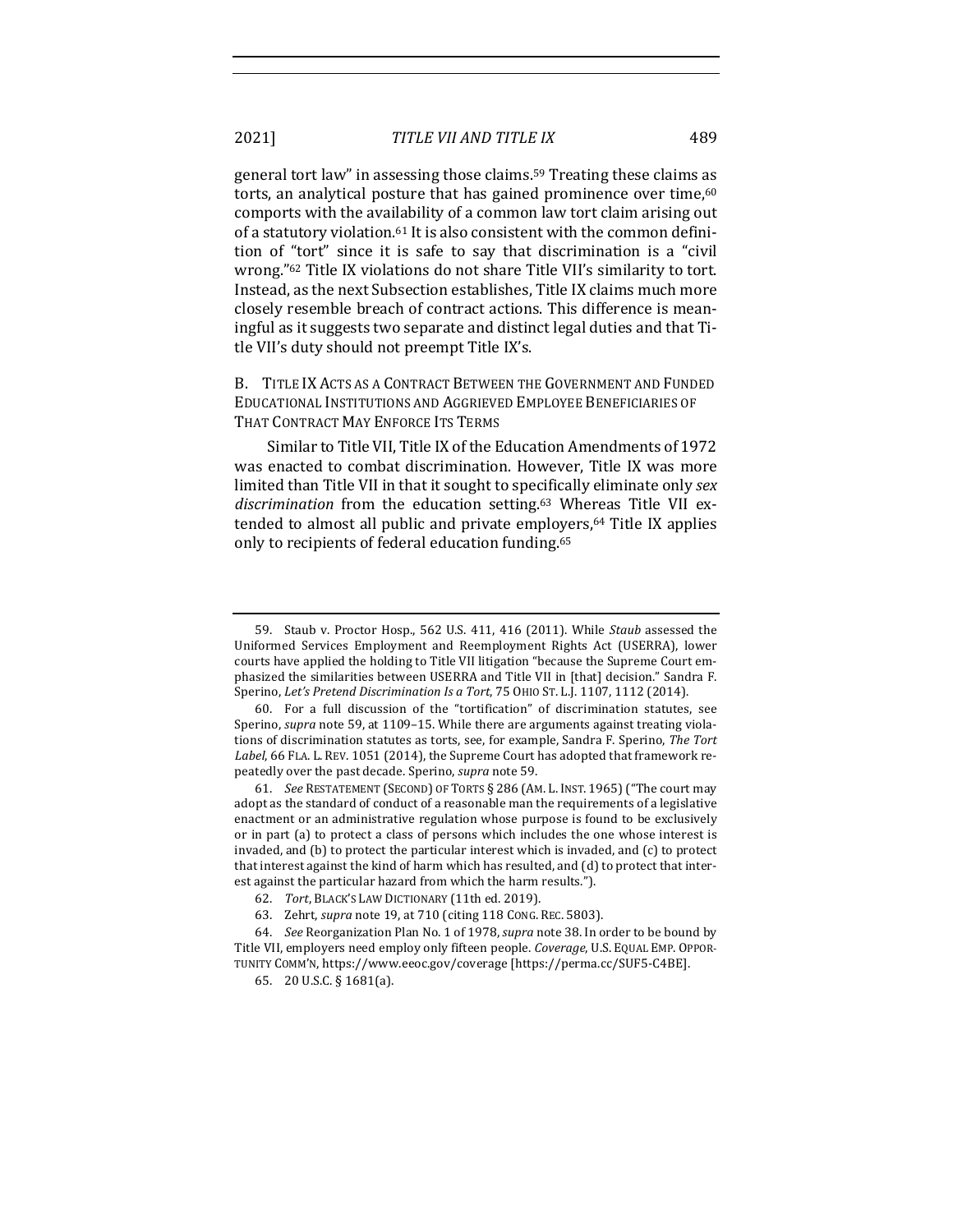general tort law" in assessing those claims.<sup>59</sup> Treating these claims as torts, an analytical posture that has gained prominence over time, $60$ comports with the availability of a common law tort claim arising out of a statutory violation.<sup>61</sup> It is also consistent with the common definition of "tort" since it is safe to say that discrimination is a "civil wrong."<sup>62</sup> Title IX violations do not share Title VII's similarity to tort. Instead, as the next Subsection establishes, Title IX claims much more closely resemble breach of contract actions. This difference is meaningful as it suggests two separate and distinct legal duties and that Title VII's duty should not preempt Title IX's.

B. TITLE IX ACTS AS A CONTRACT BETWEEN THE GOVERNMENT AND FUNDED EDUCATIONAL INSTITUTIONS AND AGGRIEVED EMPLOYEE BENEFICIARIES OF THAT CONTRACT MAY ENFORCE ITS TERMS

Similar to Title VII. Title IX of the Education Amendments of 1972 was enacted to combat discrimination. However, Title IX was more limited than Title VII in that it sought to specifically eliminate only sex discrimination from the education setting.<sup>63</sup> Whereas Title VII extended to almost all public and private employers,<sup>64</sup> Title IX applies only to recipients of federal education funding.<sup>65</sup>

<sup>59.</sup> Staub v. Proctor Hosp., 562 U.S. 411, 416 (2011). While Staub assessed the Uniformed Services Employment and Reemployment Rights Act (USERRA), lower courts have applied the holding to Title VII litigation "because the Supreme Court emphasized the similarities between USERRA and Title VII in [that] decision." Sandra F. Sperino, *Let's Pretend Discrimination Is a Tort*, 75 OHIO ST. L.J. 1107, 1112 (2014).

<sup>60.</sup> For a full discussion of the "tortification" of discrimination statutes, see Sperino, *supra* note 59, at 1109-15. While there are arguments against treating violations of discrimination statutes as torts, see, for example, Sandra F. Sperino, The Tort Label, 66 FLA. L. REV. 1051 (2014), the Supreme Court has adopted that framework repeatedly over the past decade. Sperino, *supra* note 59.

<sup>61.</sup> *See* RESTATEMENT (SECOND) OF TORTS § 286 (AM. L. INST. 1965) ("The court may adopt as the standard of conduct of a reasonable man the requirements of a legislative enactment or an administrative regulation whose purpose is found to be exclusively or in part (a) to protect a class of persons which includes the one whose interest is invaded, and  $(b)$  to protect the particular interest which is invaded, and  $(c)$  to protect that interest against the kind of harm which has resulted, and (d) to protect that interest against the particular hazard from which the harm results.").

<sup>62.</sup> *Tort*, BLACK'S LAW DICTIONARY (11th ed. 2019).

<sup>63.</sup> Zehrt, *supra* note 19, at 710 (citing 118 CONG. REC. 5803).

<sup>64.</sup> *See* Reorganization Plan No. 1 of 1978, *supra* note 38. In order to be bound by Title VII, employers need employ only fifteen people. *Coverage*, U.S. EQUAL EMP. OPPOR-TUNITY COMM'N, https://www.eeoc.gov/coverage [https://perma.cc/SUF5-C4BE].

<sup>65.</sup> 20 U.S.C. § 1681(a).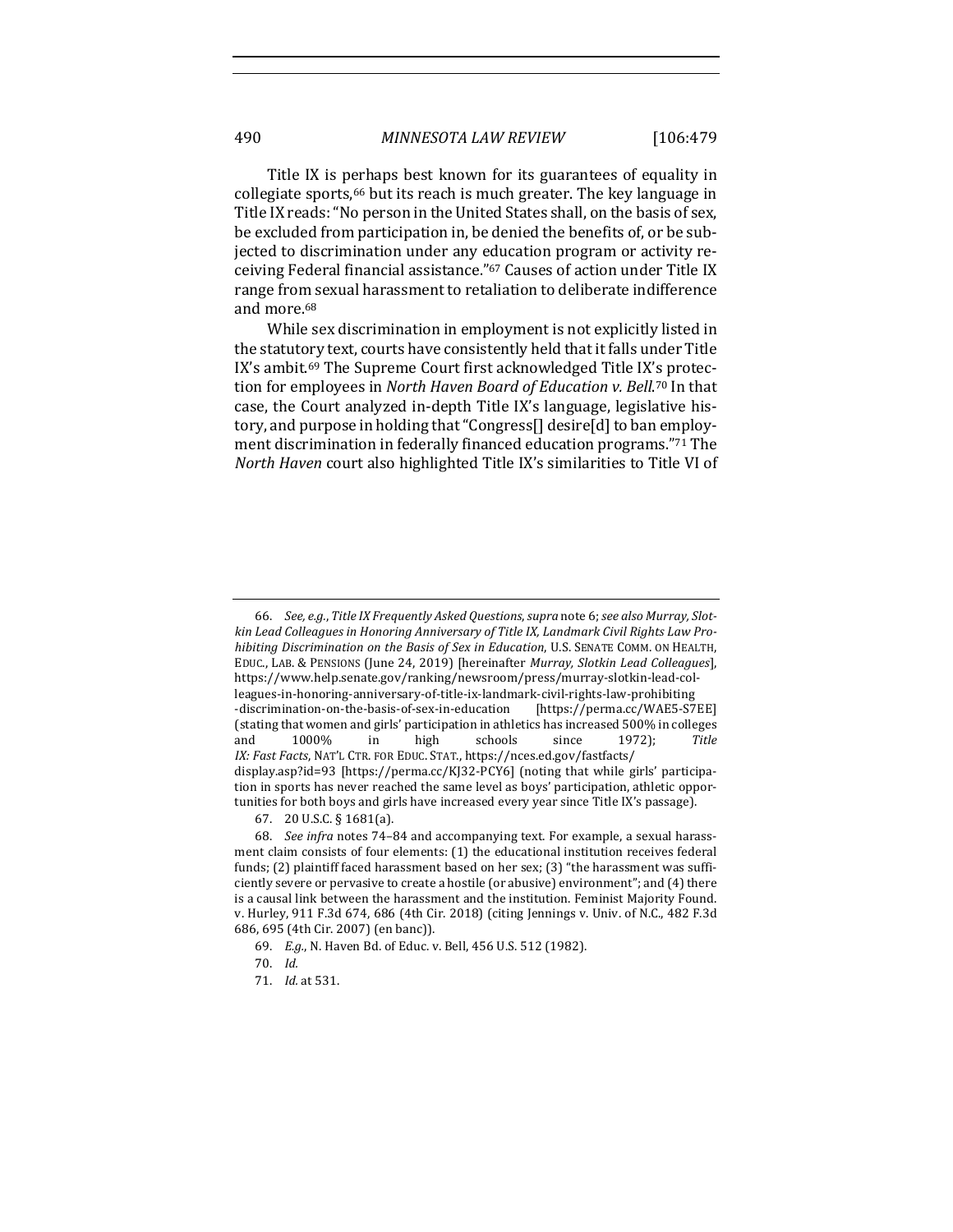Title IX is perhaps best known for its guarantees of equality in collegiate sports,<sup>66</sup> but its reach is much greater. The key language in Title IX reads: "No person in the United States shall, on the basis of sex, be excluded from participation in, be denied the benefits of, or be subjected to discrimination under any education program or activity receiving Federal financial assistance."<sup>67</sup> Causes of action under Title IX range from sexual harassment to retaliation to deliberate indifference and more.<sup>68</sup>

While sex discrimination in employment is not explicitly listed in the statutory text, courts have consistently held that it falls under Title IX's ambit.<sup>69</sup> The Supreme Court first acknowledged Title IX's protection for employees in *North Haven Board of Education v. Bell*.<sup>70</sup> In that case, the Court analyzed in-depth Title IX's language, legislative history, and purpose in holding that "Congress<sup>[]</sup> desire<sup>[d]</sup> to ban employment discrimination in federally financed education programs."71 The *North Haven* court also highlighted Title IX's similarities to Title VI of

<sup>66.</sup> *See, e.g., Title IX Frequently Asked Questions, supra note 6; see also Murray, Slot*kin Lead Colleagues in Honoring Anniversary of Title IX, Landmark Civil Rights Law Pro*hibiting Discrimination on the Basis of Sex in Education*, U.S. SENATE COMM. ON HEALTH, EDUC., LAB. & PENSIONS (June 24, 2019) [hereinafter *Murray, Slotkin Lead Colleagues*], https://www.help.senate.gov/ranking/newsroom/press/murray-slotkin-lead-colleagues-in-honoring-anniversary-of-title-ix-landmark-civil-rights-law-prohibiting -discrimination-on-the-basis-of-sex-in-education [https://perma.cc/WAE5-S7EE] (stating that women and girls' participation in athletics has increased 500% in colleges and 1000% in high schools since 1972); *Title IX: Fast Facts*, NAT'L CTR. FOR EDUC. STAT., https://nces.ed.gov/fastfacts/ display.asp?id=93 [https://perma.cc/KJ32-PCY6] (noting that while girls' participation in sports has never reached the same level as boys' participation, athletic opportunities for both boys and girls have increased every year since Title IX's passage).

<sup>67.</sup> 20 U.S.C. § 1681(a).

<sup>68.</sup> See infra notes 74-84 and accompanying text. For example, a sexual harassment claim consists of four elements: (1) the educational institution receives federal funds;  $(2)$  plaintiff faced harassment based on her sex;  $(3)$  "the harassment was sufficiently severe or pervasive to create a hostile (or abusive) environment"; and  $(4)$  there is a causal link between the harassment and the institution. Feminist Majority Found. v. Hurley, 911 F.3d 674, 686 (4th Cir. 2018) (citing Jennings v. Univ. of N.C., 482 F.3d 686, 695 (4th Cir. 2007) (en banc)).

<sup>69.</sup> E.g., N. Haven Bd. of Educ. v. Bell, 456 U.S. 512 (1982).

<sup>70.</sup> *Id.*

<sup>71.</sup> *Id.* at 531.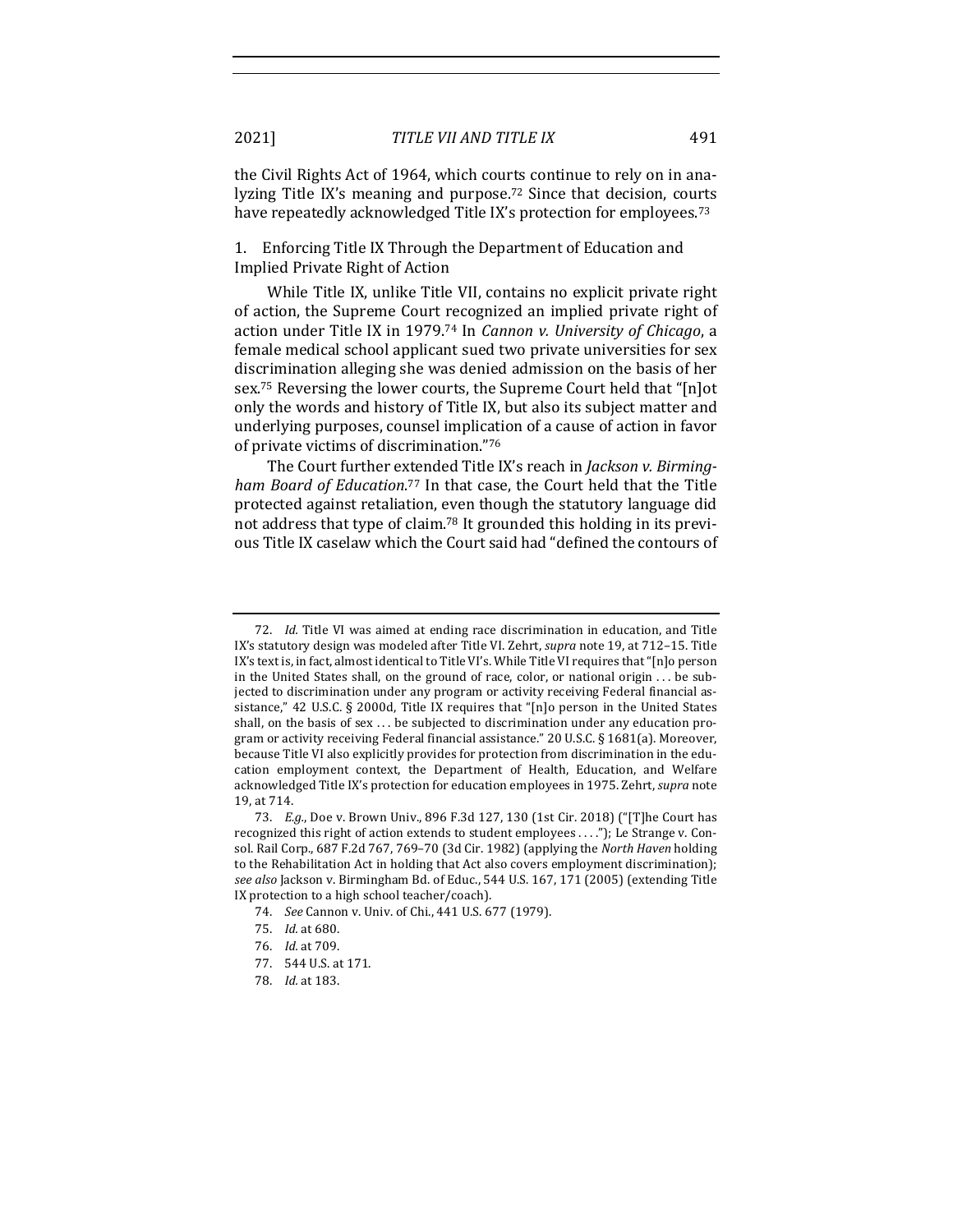the Civil Rights Act of 1964, which courts continue to rely on in analyzing Title IX's meaning and purpose.<sup>72</sup> Since that decision, courts have repeatedly acknowledged Title IX's protection for employees.<sup>73</sup>

1. Enforcing Title IX Through the Department of Education and Implied Private Right of Action

While Title IX, unlike Title VII, contains no explicit private right of action, the Supreme Court recognized an implied private right of action under Title IX in 1979.<sup>74</sup> In *Cannon v. University of Chicago*, a female medical school applicant sued two private universities for sex discrimination alleging she was denied admission on the basis of her sex.<sup>75</sup> Reversing the lower courts, the Supreme Court held that "[n]ot only the words and history of Title IX, but also its subject matter and underlying purposes, counsel implication of a cause of action in favor of private victims of discrimination."76

The Court further extended Title IX's reach in *Jackson v. Birming*ham Board of Education.<sup>77</sup> In that case, the Court held that the Title protected against retaliation, even though the statutory language did not address that type of claim.<sup>78</sup> It grounded this holding in its previous Title IX caselaw which the Court said had "defined the contours of

<sup>72.</sup> *Id.* Title VI was aimed at ending race discrimination in education, and Title IX's statutory design was modeled after Title VI. Zehrt, *supra* note 19, at 712–15. Title IX's text is, in fact, almost identical to Title VI's. While Title VI requires that "[n]o person in the United States shall, on the ground of race, color, or national origin ... be subjected to discrimination under any program or activity receiving Federal financial assistance," 42 U.S.C. § 2000d, Title IX requires that "[n]o person in the United States shall, on the basis of sex  $\dots$  be subjected to discrimination under any education program or activity receiving Federal financial assistance." 20 U.S.C.  $\S$  1681(a). Moreover, because Title VI also explicitly provides for protection from discrimination in the education employment context, the Department of Health, Education, and Welfare acknowledged Title IX's protection for education employees in 1975. Zehrt, *supra* note 19, at 714.

<sup>73.</sup> *E.g.*, Doe v. Brown Univ., 896 F.3d 127, 130 (1st Cir. 2018) ("[T]he Court has recognized this right of action extends to student employees  $\dots$ "); Le Strange v. Consol. Rail Corp., 687 F.2d 767, 769-70 (3d Cir. 1982) (applying the *North Haven* holding to the Rehabilitation Act in holding that Act also covers employment discrimination); see also Jackson v. Birmingham Bd. of Educ., 544 U.S. 167, 171 (2005) (extending Title IX protection to a high school teacher/coach).

<sup>74.</sup> *See* Cannon v. Univ. of Chi., 441 U.S. 677 (1979).

<sup>75.</sup> *Id.* at 680.

<sup>76.</sup> *Id.* at 709.

<sup>77. 544</sup> U.S. at 171.

<sup>78.</sup> *Id.* at 183.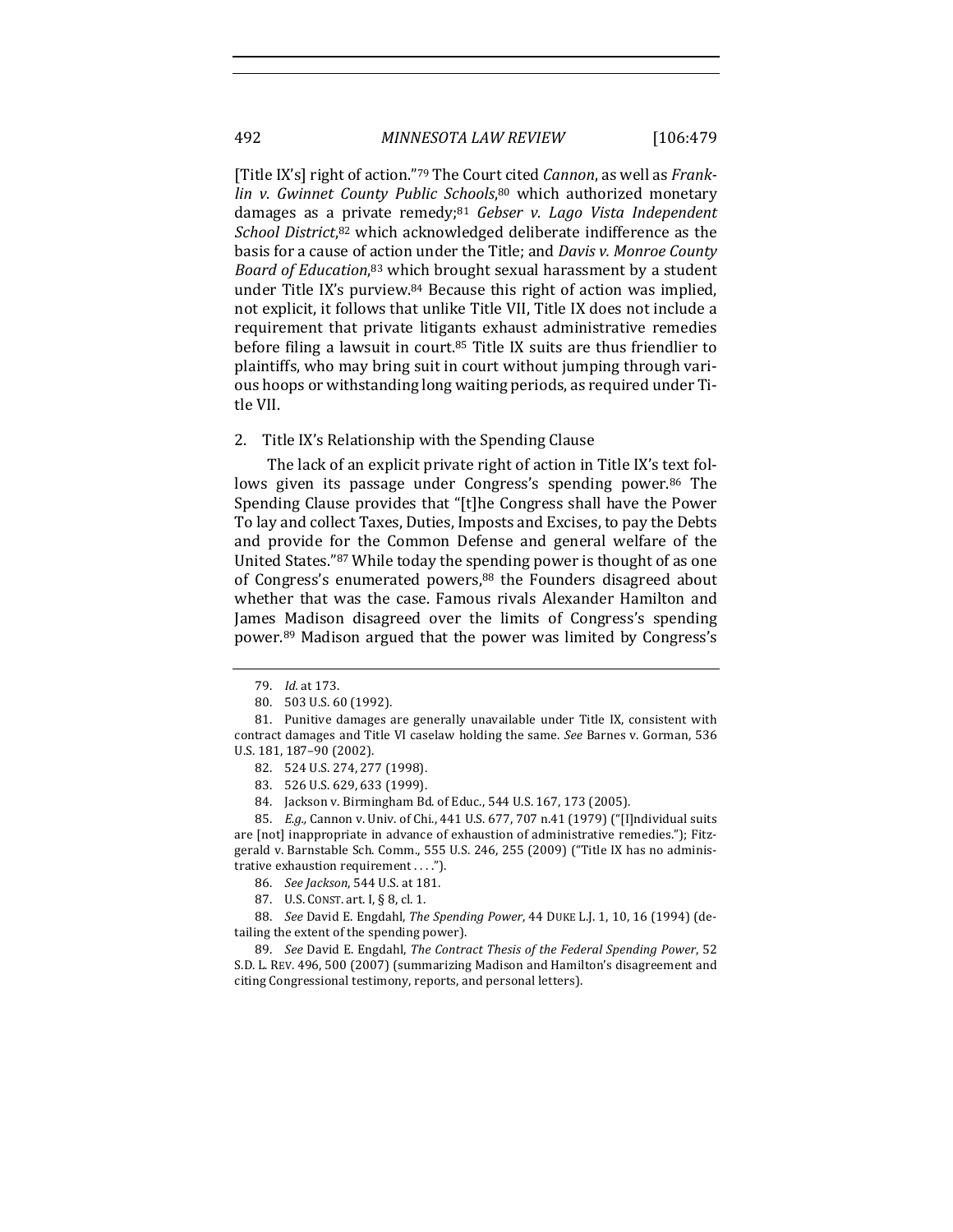[Title IX's] right of action."<sup>79</sup> The Court cited *Cannon*, as well as *Frank*lin v. Gwinnet County Public Schools,<sup>80</sup> which authorized monetary damages as a private remedy;<sup>81</sup> Gebser v. Lago Vista Independent School District,<sup>82</sup> which acknowledged deliberate indifference as the basis for a cause of action under the Title; and *Davis v. Monroe County* Board of Education,<sup>83</sup> which brought sexual harassment by a student under Title IX's purview. $84$  Because this right of action was implied, not explicit, it follows that unlike Title VII, Title IX does not include a requirement that private litigants exhaust administrative remedies before filing a lawsuit in court.<sup>85</sup> Title IX suits are thus friendlier to plaintiffs, who may bring suit in court without jumping through various hoops or withstanding long waiting periods, as required under Title VII.

#### 2. Title IX's Relationship with the Spending Clause

The lack of an explicit private right of action in Title IX's text follows given its passage under Congress's spending power.<sup>86</sup> The Spending Clause provides that "[t]he Congress shall have the Power To lay and collect Taxes, Duties, Imposts and Excises, to pay the Debts and provide for the Common Defense and general welfare of the United States."87 While today the spending power is thought of as one of Congress's enumerated powers, $88$  the Founders disagreed about whether that was the case. Famous rivals Alexander Hamilton and James Madison disagreed over the limits of Congress's spending power.<sup>89</sup> Madison argued that the power was limited by Congress's

85. *E.g.,* Cannon v. Univ. of Chi., 441 U.S. 677, 707 n.41 (1979) ("[I]ndividual suits are [not] inappropriate in advance of exhaustion of administrative remedies."); Fitzgerald v. Barnstable Sch. Comm.,  $555$  U.S. 246, 255 (2009) ("Title IX has no administrative exhaustion requirement . . . .").

88. *See* David E. Engdahl, *The Spending Power*, 44 DUKE L.J. 1, 10, 16 (1994) (detailing the extent of the spending power).

89. *See* David E. Engdahl, *The Contract Thesis of the Federal Spending Power*, 52 S.D. L. REV. 496, 500 (2007) (summarizing Madison and Hamilton's disagreement and citing Congressional testimony, reports, and personal letters).

<sup>79.</sup> *Id.* at 173.

<sup>80. 503</sup> U.S. 60 (1992).

<sup>81.</sup> Punitive damages are generally unavailable under Title IX, consistent with contract damages and Title VI caselaw holding the same. See Barnes v. Gorman, 536 U.S. 181, 187-90 (2002).

<sup>82. 524</sup> U.S. 274, 277 (1998).

<sup>83. 526</sup> U.S. 629, 633 (1999).

<sup>84.</sup> Jackson v. Birmingham Bd. of Educ., 544 U.S. 167, 173 (2005).

<sup>86.</sup> *See Jackson*, 544 U.S. at 181.

<sup>87.</sup> U.S. CONST. art. I, § 8, cl. 1.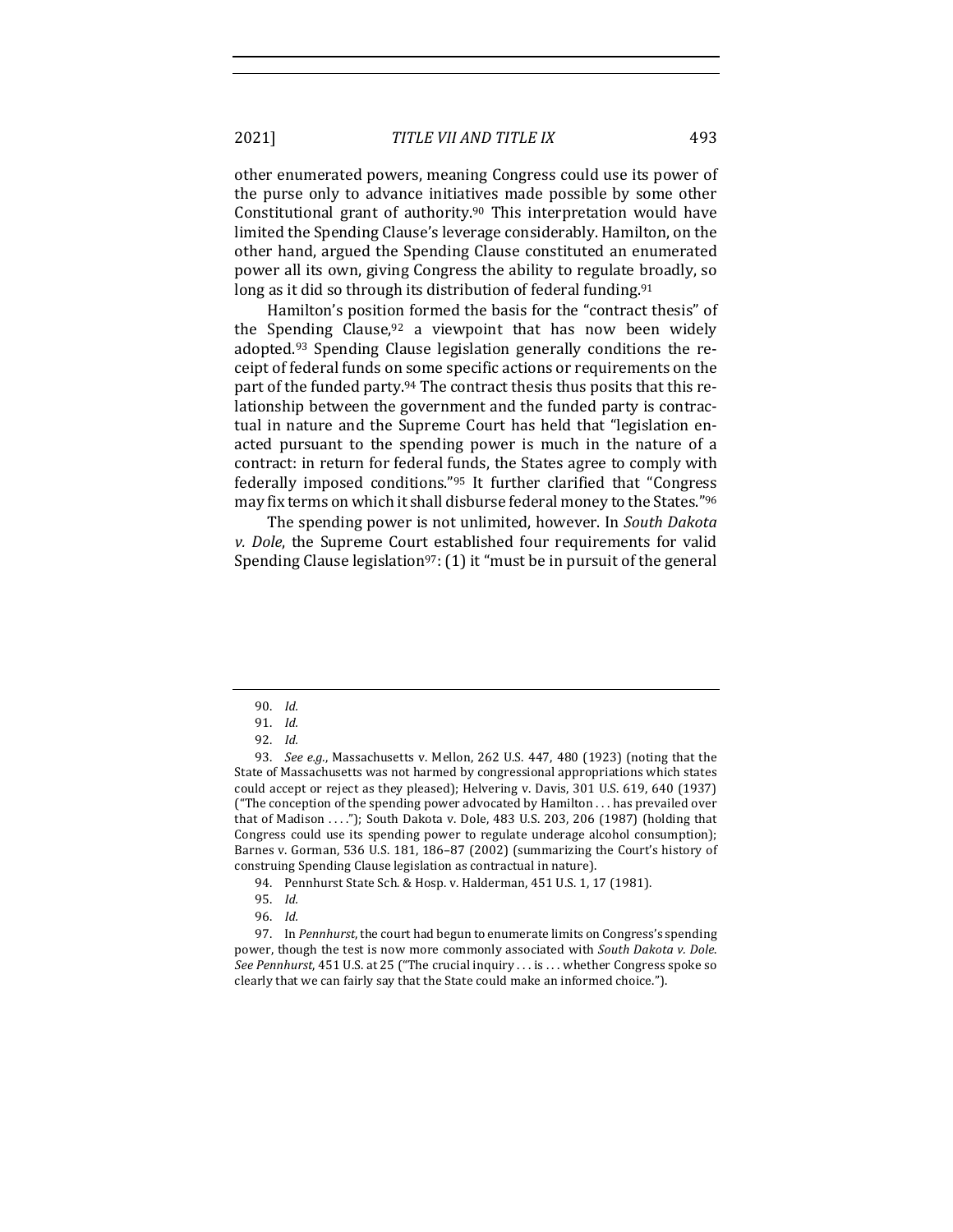2021] *TITLE VII AND TITLE IX* 493

other enumerated powers, meaning Congress could use its power of the purse only to advance initiatives made possible by some other Constitutional grant of authority.<sup>90</sup> This interpretation would have limited the Spending Clause's leverage considerably. Hamilton, on the other hand, argued the Spending Clause constituted an enumerated power all its own, giving Congress the ability to regulate broadly, so long as it did so through its distribution of federal funding.<sup>91</sup>

Hamilton's position formed the basis for the "contract thesis" of the Spending Clause,  $92$  a viewpoint that has now been widely adopted.<sup>93</sup> Spending Clause legislation generally conditions the receipt of federal funds on some specific actions or requirements on the part of the funded party.<sup>94</sup> The contract thesis thus posits that this relationship between the government and the funded party is contractual in nature and the Supreme Court has held that "legislation enacted pursuant to the spending power is much in the nature of a contract: in return for federal funds, the States agree to comply with federally imposed conditions." $95$  It further clarified that "Congress may fix terms on which it shall disburse federal money to the States."<sup>96</sup>

The spending power is not unlimited, however. In *South Dakota v.* Dole, the Supreme Court established four requirements for valid Spending Clause legislation<sup>97</sup>: (1) it "must be in pursuit of the general

<sup>90.</sup> *Id.*

<sup>91.</sup> *Id.*

<sup>92.</sup> *Id.*

<sup>93.</sup> *See e.g.*, Massachusetts v. Mellon, 262 U.S. 447, 480 (1923) (noting that the State of Massachusetts was not harmed by congressional appropriations which states could accept or reject as they pleased); Helvering v. Davis, 301 U.S. 619, 640 (1937) ("The conception of the spending power advocated by Hamilton  $\dots$  has prevailed over that of Madison  $\dots$ "); South Dakota v. Dole, 483 U.S. 203, 206 (1987) (holding that Congress could use its spending power to regulate underage alcohol consumption); Barnes v. Gorman, 536 U.S. 181, 186-87 (2002) (summarizing the Court's history of construing Spending Clause legislation as contractual in nature).

<sup>94.</sup> Pennhurst State Sch. & Hosp. v. Halderman, 451 U.S. 1, 17 (1981).

<sup>95.</sup> *Id.*

<sup>96.</sup> *Id.*

<sup>97.</sup> In Pennhurst, the court had begun to enumerate limits on Congress's spending power, though the test is now more commonly associated with *South Dakota v. Dole*. *See Pennhurst*, 451 U.S. at 25 ("The crucial inquiry . . . is . . . whether Congress spoke so clearly that we can fairly say that the State could make an informed choice.").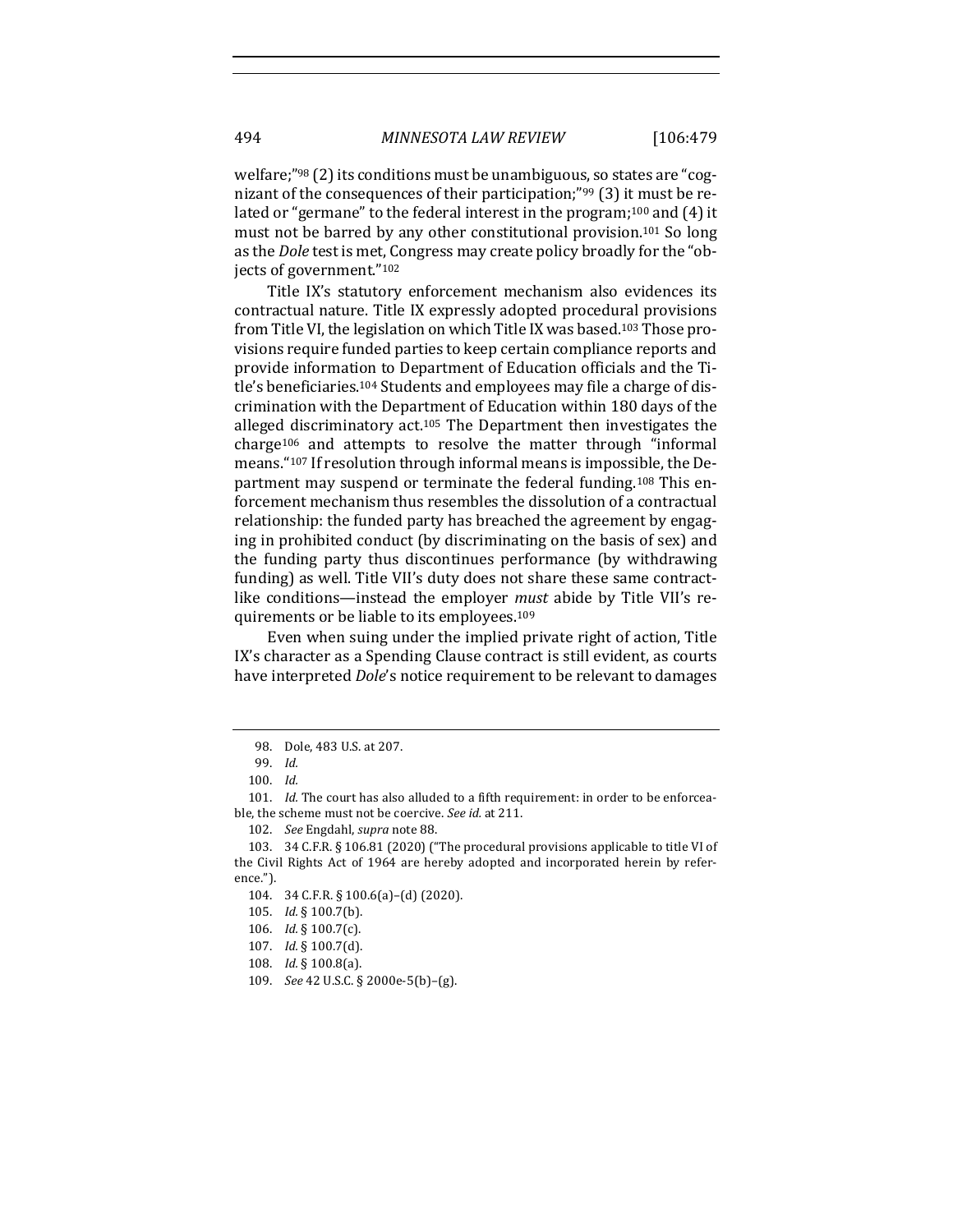welfare;" $98$  (2) its conditions must be unambiguous, so states are "cognizant of the consequences of their participation;"<sup>99</sup> (3) it must be related or "germane" to the federal interest in the program;<sup>100</sup> and  $(4)$  it must not be barred by any other constitutional provision.<sup>101</sup> So long as the *Dole* test is met, Congress may create policy broadly for the "objects of government."<sup>102</sup>

Title IX's statutory enforcement mechanism also evidences its contractual nature. Title IX expressly adopted procedural provisions from Title VI, the legislation on which Title IX was based.<sup>103</sup> Those provisions require funded parties to keep certain compliance reports and provide information to Department of Education officials and the Title's beneficiaries.<sup>104</sup> Students and employees may file a charge of discrimination with the Department of Education within 180 days of the alleged discriminatory  $act.^{105}$  The Department then investigates the charge<sup>106</sup> and attempts to resolve the matter through "informal means."<sup>107</sup> If resolution through informal means is impossible, the Department may suspend or terminate the federal funding.<sup>108</sup> This enforcement mechanism thus resembles the dissolution of a contractual relationship: the funded party has breached the agreement by engaging in prohibited conduct (by discriminating on the basis of sex) and the funding party thus discontinues performance (by withdrawing funding) as well. Title VII's duty does not share these same contractlike conditions—instead the employer *must* abide by Title VII's requirements or be liable to its employees.<sup>109</sup>

Even when suing under the implied private right of action, Title IX's character as a Spending Clause contract is still evident, as courts have interpreted *Dole's* notice requirement to be relevant to damages

101. *Id.* The court has also alluded to a fifth requirement: in order to be enforceable, the scheme must not be coercive. See id. at 211.

- 106. *Id.* § 100.7(c).
- 107. *Id.* § 100.7(d).

<sup>98.</sup> Dole, 483 U.S. at 207.

<sup>99.</sup> *Id.*

<sup>100.</sup> *Id.*

<sup>102.</sup> *See* Engdahl, *supra* note 88.

<sup>103. 34</sup> C.F.R. § 106.81 (2020) ("The procedural provisions applicable to title VI of the Civil Rights Act of 1964 are hereby adopted and incorporated herein by reference.").

<sup>104. 34</sup> C.F.R. § 100.6(a)-(d) (2020).

<sup>105.</sup> *Id.* § 100.7(b).

<sup>108.</sup> *Id.* § 100.8(a).

<sup>109.</sup> *See* 42 U.S.C. § 2000e-5(b)–(g).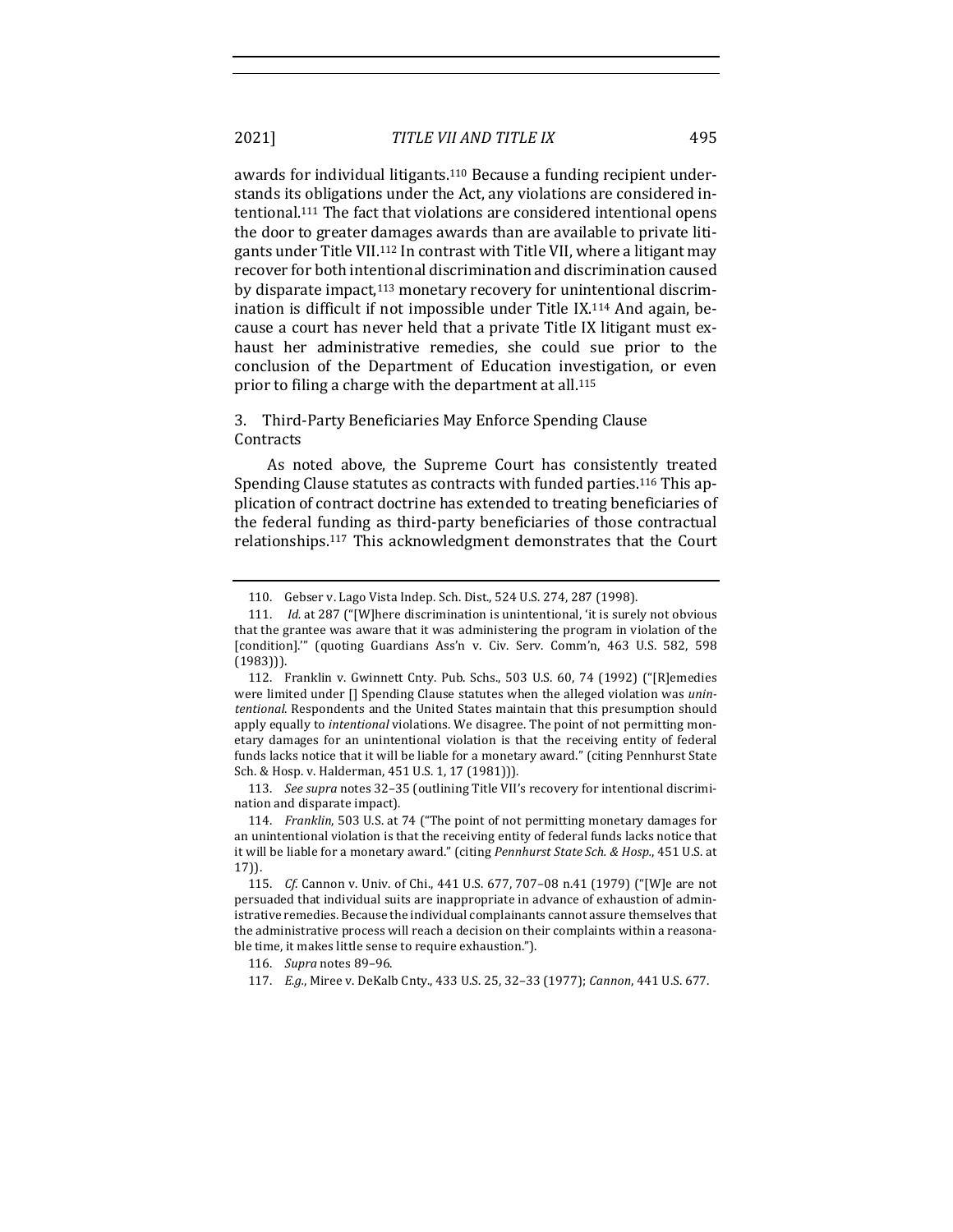awards for individual litigants.<sup>110</sup> Because a funding recipient understands its obligations under the Act, any violations are considered intentional.<sup>111</sup> The fact that violations are considered intentional opens the door to greater damages awards than are available to private litigants under Title VII.<sup>112</sup> In contrast with Title VII, where a litigant may recover for both intentional discrimination and discrimination caused by disparate impact,<sup>113</sup> monetary recovery for unintentional discrimination is difficult if not impossible under Title IX.<sup>114</sup> And again, because a court has never held that a private Title IX litigant must exhaust her administrative remedies, she could sue prior to the conclusion of the Department of Education investigation, or even prior to filing a charge with the department at all.<sup>115</sup>

## 3. Third-Party Beneficiaries May Enforce Spending Clause **Contracts**

As noted above, the Supreme Court has consistently treated Spending Clause statutes as contracts with funded parties.<sup>116</sup> This application of contract doctrine has extended to treating beneficiaries of the federal funding as third-party beneficiaries of those contractual relationships.<sup>117</sup> This acknowledgment demonstrates that the Court

113. *See supra* notes 32-35 (outlining Title VII's recovery for intentional discrimination and disparate impact).

<sup>110.</sup> Gebser v. Lago Vista Indep. Sch. Dist., 524 U.S. 274, 287 (1998).

<sup>111.</sup> *Id.* at 287 ("[W]here discrimination is unintentional, 'it is surely not obvious that the grantee was aware that it was administering the program in violation of the [condition]."" (quoting Guardians Ass'n v. Civ. Serv. Comm'n, 463 U.S. 582, 598 (1983))).

<sup>112.</sup> Franklin v. Gwinnett Cnty. Pub. Schs., 503 U.S. 60, 74 (1992) ("[R]emedies were limited under [] Spending Clause statutes when the alleged violation was *unin*tentional. Respondents and the United States maintain that this presumption should apply equally to *intentional* violations. We disagree. The point of not permitting monetary damages for an unintentional violation is that the receiving entity of federal funds lacks notice that it will be liable for a monetary award." (citing Pennhurst State Sch. & Hosp. v. Halderman, 451 U.S. 1, 17 (1981))).

<sup>114.</sup> *Franklin*, 503 U.S. at 74 ("The point of not permitting monetary damages for an unintentional violation is that the receiving entity of federal funds lacks notice that it will be liable for a monetary award." (citing *Pennhurst State Sch. & Hosp.*, 451 U.S. at 17)).

<sup>115.</sup> *Cf.* Cannon v. Univ. of Chi., 441 U.S. 677, 707-08 n.41 (1979) ("[W]e are not persuaded that individual suits are inappropriate in advance of exhaustion of administrative remedies. Because the individual complainants cannot assure themselves that the administrative process will reach a decision on their complaints within a reasonable time, it makes little sense to require exhaustion.").

<sup>116.</sup> *Supra* notes 89-96.

<sup>117.</sup> *E.g.*, Miree v. DeKalb Cnty., 433 U.S. 25, 32-33 (1977); *Cannon*, 441 U.S. 677.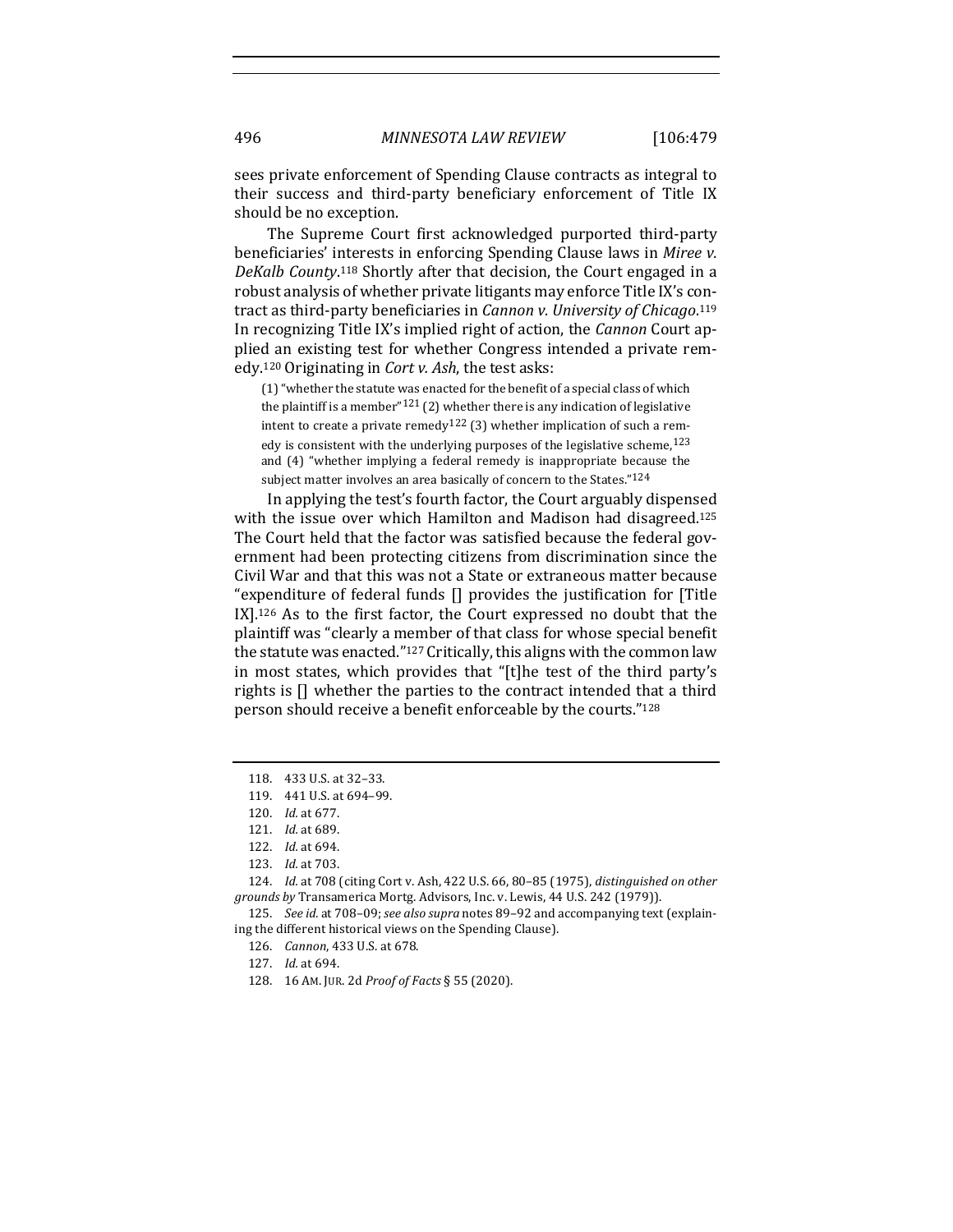sees private enforcement of Spending Clause contracts as integral to their success and third-party beneficiary enforcement of Title IX should be no exception.

The Supreme Court first acknowledged purported third-party beneficiaries' interests in enforcing Spending Clause laws in Miree v. DeKalb County.<sup>118</sup> Shortly after that decision, the Court engaged in a robust analysis of whether private litigants may enforce Title IX's contract as third-party beneficiaries in *Cannon v. University of Chicago*.<sup>119</sup> In recognizing Title IX's implied right of action, the *Cannon* Court applied an existing test for whether Congress intended a private remedy.<sup>120</sup> Originating in *Cort v. Ash*, the test asks:

(1) "whether the statute was enacted for the benefit of a special class of which the plaintiff is a member<sup>"121</sup> (2) whether there is any indication of legislative intent to create a private remedy<sup>122</sup> (3) whether implication of such a remedy is consistent with the underlying purposes of the legislative scheme,  $123$ and  $(4)$  "whether implying a federal remedy is inappropriate because the subject matter involves an area basically of concern to the States."<sup>124</sup>

In applying the test's fourth factor, the Court arguably dispensed with the issue over which Hamilton and Madison had disagreed.<sup>125</sup> The Court held that the factor was satisfied because the federal government had been protecting citizens from discrimination since the Civil War and that this was not a State or extraneous matter because "expenditure of federal funds  $\Box$  provides the justification for  $\Box$  itle  $IX$ ].<sup>126</sup> As to the first factor, the Court expressed no doubt that the plaintiff was "clearly a member of that class for whose special benefit the statute was enacted." $127$  Critically, this aligns with the common law in most states, which provides that "[t]he test of the third party's rights is  $\iint$  whether the parties to the contract intended that a third person should receive a benefit enforceable by the courts."<sup>128</sup>

124. *Id.* at 708 (citing Cort v. Ash, 422 U.S. 66, 80-85 (1975), *distinguished on other* grounds by Transamerica Mortg. Advisors, Inc. v. Lewis, 44 U.S. 242 (1979)).

125. See id. at 708-09; see also supra notes 89-92 and accompanying text (explaining the different historical views on the Spending Clause).

126. *Cannon*, 433 U.S. at 678.

127. *Id.* at 694.

<sup>118. 433</sup> U.S. at 32-33.

<sup>119. 441</sup> U.S. at 694-99.

<sup>120.</sup> *Id.* at 677.

<sup>121.</sup> *Id.* at 689.

<sup>122.</sup> *Id.* at 694.

<sup>123.</sup> *Id.* at 703.

<sup>128.</sup> 16 AM. JUR. 2d *Proof of Facts* § 55 (2020).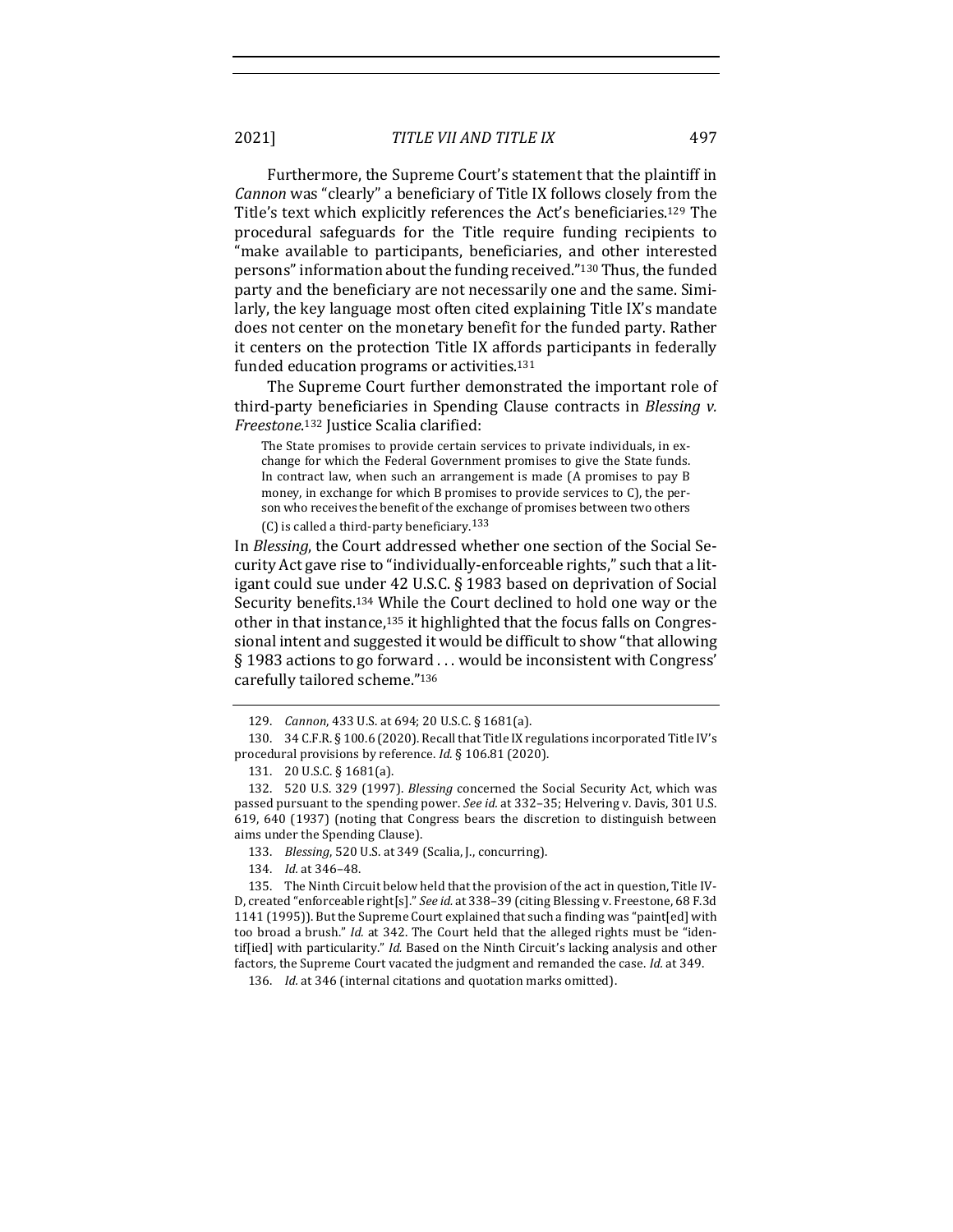2021] *TITLE VII AND TITLE IX* 497

Furthermore, the Supreme Court's statement that the plaintiff in *Cannon* was "clearly" a beneficiary of Title IX follows closely from the Title's text which explicitly references the Act's beneficiaries.<sup>129</sup> The procedural safeguards for the Title require funding recipients to "make available to participants, beneficiaries, and other interested persons" information about the funding received."<sup>130</sup> Thus, the funded party and the beneficiary are not necessarily one and the same. Similarly, the key language most often cited explaining Title IX's mandate does not center on the monetary benefit for the funded party. Rather it centers on the protection Title IX affords participants in federally funded education programs or activities.<sup>131</sup>

The Supreme Court further demonstrated the important role of third-party beneficiaries in Spending Clause contracts in *Blessing v. Freestone*. <sup>132</sup> Justice Scalia clarified:

The State promises to provide certain services to private individuals, in exchange for which the Federal Government promises to give the State funds. In contract law, when such an arrangement is made  $(A \text{ promises to pay } B)$ money, in exchange for which B promises to provide services to  $C$ ), the person who receives the benefit of the exchange of promises between two others (C) is called a third-party beneficiary. $133$ 

In *Blessing*, the Court addressed whether one section of the Social Security Act gave rise to "individually-enforceable rights," such that a litigant could sue under 42 U.S.C. § 1983 based on deprivation of Social Security benefits.<sup>134</sup> While the Court declined to hold one way or the other in that instance,<sup>135</sup> it highlighted that the focus falls on Congressional intent and suggested it would be difficult to show "that allowing  $\S$  1983 actions to go forward ... would be inconsistent with Congress' carefully tailored scheme."136

<sup>129.</sup> *Cannon*, 433 U.S. at 694; 20 U.S.C. § 1681(a).

<sup>130. 34</sup> C.F.R. § 100.6 (2020). Recall that Title IX regulations incorporated Title IV's procedural provisions by reference. *Id*. § 106.81 (2020).

<sup>131. 20</sup> U.S.C. § 1681(a).

<sup>132. 520</sup> U.S. 329 (1997). *Blessing* concerned the Social Security Act, which was passed pursuant to the spending power. See id. at 332-35; Helvering v. Davis, 301 U.S. 619, 640 (1937) (noting that Congress bears the discretion to distinguish between aims under the Spending Clause).

<sup>133.</sup> *Blessing*, 520 U.S. at 349 (Scalia, J., concurring).

<sup>134.</sup> *Id.* at 346-48.

<sup>135.</sup> The Ninth Circuit below held that the provision of the act in question, Title IV-D, created "enforceable right[s]." *See id.* at 338-39 (citing Blessing v. Freestone, 68 F.3d 1141 (1995)). But the Supreme Court explained that such a finding was "paint[ed] with too broad a brush." *Id.* at 342. The Court held that the alleged rights must be "identif[ied] with particularity." *Id.* Based on the Ninth Circuit's lacking analysis and other factors, the Supreme Court vacated the judgment and remanded the case. *Id.* at 349.

<sup>136.</sup> *Id.* at 346 (internal citations and quotation marks omitted).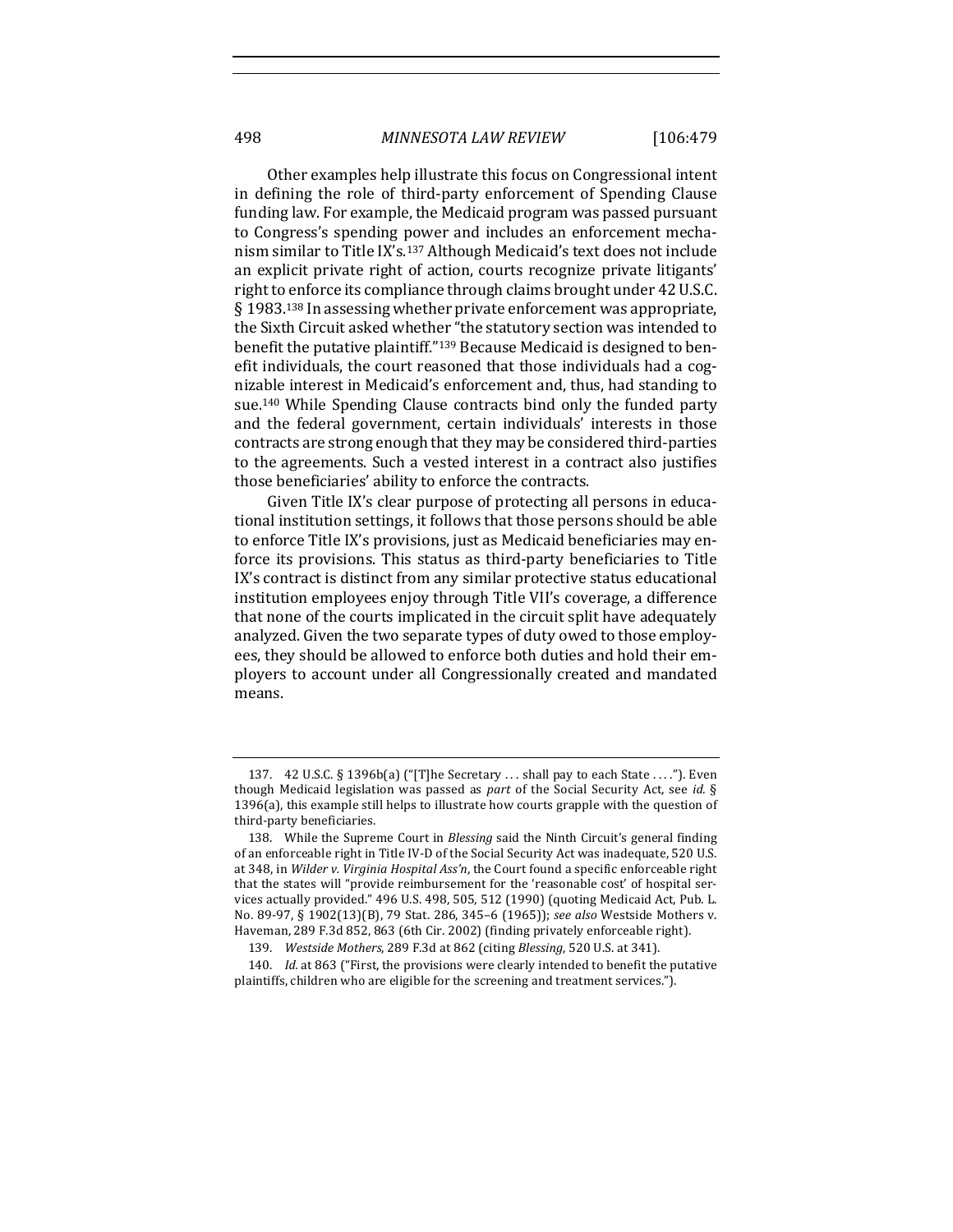Other examples help illustrate this focus on Congressional intent in defining the role of third-party enforcement of Spending Clause funding law. For example, the Medicaid program was passed pursuant to Congress's spending power and includes an enforcement mechanism similar to Title IX's.<sup>137</sup> Although Medicaid's text does not include an explicit private right of action, courts recognize private litigants' right to enforce its compliance through claims brought under 42 U.S.C.  $\S$  1983.<sup>138</sup> In assessing whether private enforcement was appropriate, the Sixth Circuit asked whether "the statutory section was intended to benefit the putative plaintiff."<sup>139</sup> Because Medicaid is designed to benefit individuals, the court reasoned that those individuals had a cognizable interest in Medicaid's enforcement and, thus, had standing to sue.<sup>140</sup> While Spending Clause contracts bind only the funded party and the federal government, certain individuals' interests in those contracts are strong enough that they may be considered third-parties to the agreements. Such a vested interest in a contract also justifies those beneficiaries' ability to enforce the contracts.

Given Title IX's clear purpose of protecting all persons in educational institution settings, it follows that those persons should be able to enforce Title IX's provisions, just as Medicaid beneficiaries may enforce its provisions. This status as third-party beneficiaries to Title IX's contract is distinct from any similar protective status educational institution employees enjoy through Title VII's coverage, a difference that none of the courts implicated in the circuit split have adequately analyzed. Given the two separate types of duty owed to those employees, they should be allowed to enforce both duties and hold their employers to account under all Congressionally created and mandated means. 

<sup>137. 42</sup> U.S.C. § 1396b(a) ("[T]he Secretary ... shall pay to each State ...."). Even though Medicaid legislation was passed as *part* of the Social Security Act, see *id.* § 1396(a), this example still helps to illustrate how courts grapple with the question of third-party beneficiaries.

<sup>138.</sup> While the Supreme Court in *Blessing* said the Ninth Circuit's general finding of an enforceable right in Title IV-D of the Social Security Act was inadequate, 520 U.S. at 348, in *Wilder v. Virginia Hospital Ass'n*, the Court found a specific enforceable right that the states will "provide reimbursement for the 'reasonable cost' of hospital services actually provided." 496 U.S. 498, 505, 512 (1990) (quoting Medicaid Act, Pub. L. No. 89-97, § 1902(13)(B), 79 Stat. 286, 345-6 (1965)); see also Westside Mothers v. Haveman, 289 F.3d 852, 863 (6th Cir. 2002) (finding privately enforceable right).

<sup>139.</sup> *Westside Mothers*, 289 F.3d at 862 (citing *Blessing*, 520 U.S. at 341).

<sup>140.</sup> *Id.* at 863 ("First, the provisions were clearly intended to benefit the putative plaintiffs, children who are eligible for the screening and treatment services.").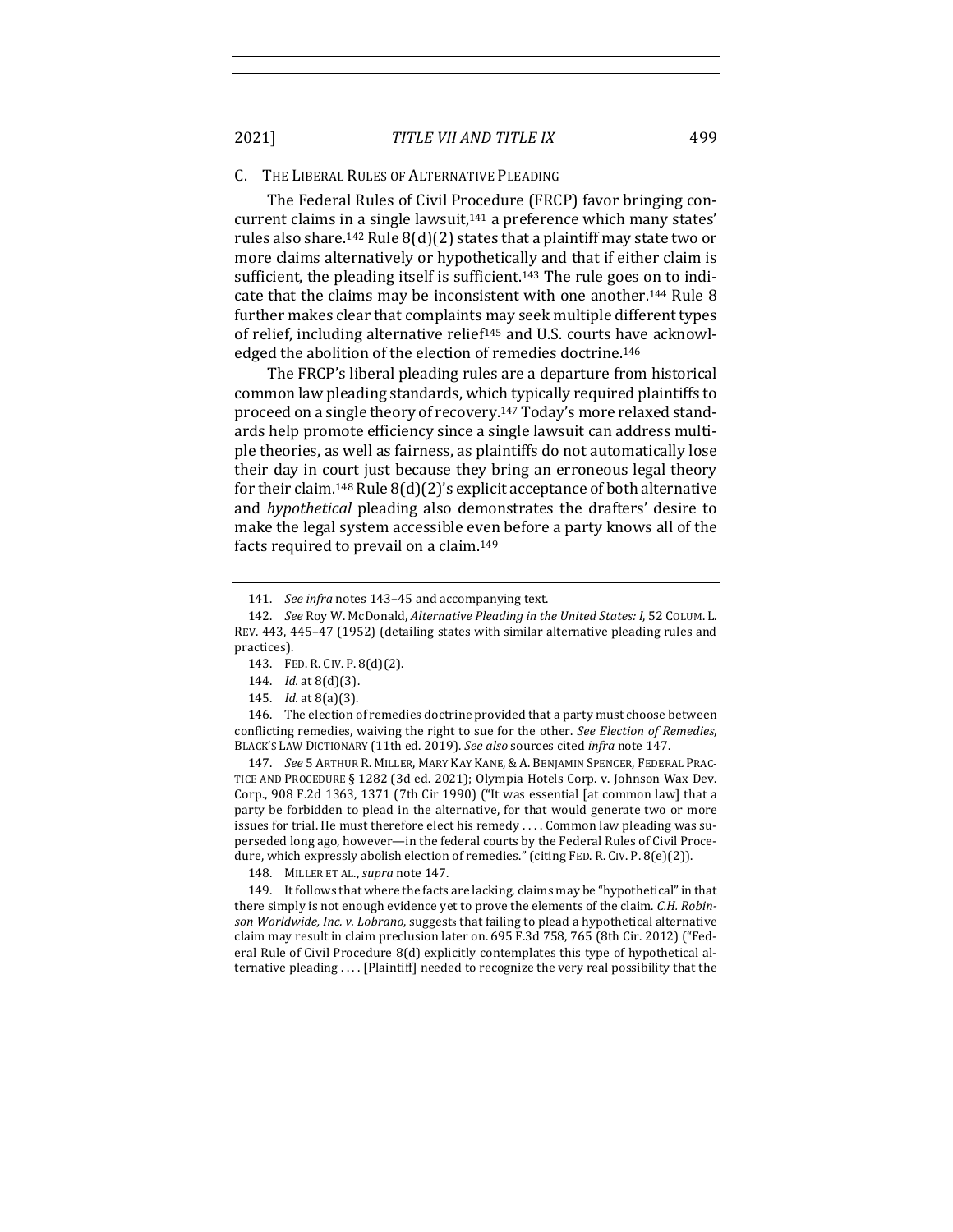#### C. THE LIBERAL RULES OF ALTERNATIVE PLEADING

The Federal Rules of Civil Procedure (FRCP) favor bringing concurrent claims in a single lawsuit,<sup>141</sup> a preference which many states' rules also share.<sup>142</sup> Rule  $8(d)(2)$  states that a plaintiff may state two or more claims alternatively or hypothetically and that if either claim is sufficient, the pleading itself is sufficient.<sup>143</sup> The rule goes on to indicate that the claims may be inconsistent with one another.<sup>144</sup> Rule 8 further makes clear that complaints may seek multiple different types of relief, including alternative relief<sup>145</sup> and U.S. courts have acknowledged the abolition of the election of remedies doctrine.<sup>146</sup>

The FRCP's liberal pleading rules are a departure from historical common law pleading standards, which typically required plaintiffs to proceed on a single theory of recovery.<sup>147</sup> Today's more relaxed standards help promote efficiency since a single lawsuit can address multiple theories, as well as fairness, as plaintiffs do not automatically lose their day in court just because they bring an erroneous legal theory for their claim.<sup>148</sup> Rule  $8(d)(2)'$ s explicit acceptance of both alternative and *hypothetical* pleading also demonstrates the drafters' desire to make the legal system accessible even before a party knows all of the facts required to prevail on a claim.<sup>149</sup>

- 144. *Id.* at 8(d)(3).
- 145. *Id.* at 8(a)(3).

146. The election of remedies doctrine provided that a party must choose between conflicting remedies, waiving the right to sue for the other. See *Election of Remedies*, BLACK'S LAW DICTIONARY (11th ed. 2019). See also sources cited infra note 147.

147. *See* 5 ARTHUR R. MILLER, MARY KAY KANE, & A. BENJAMIN SPENCER, FEDERAL PRAC-TICE AND PROCEDURE § 1282 (3d ed. 2021); Olympia Hotels Corp. v. Johnson Wax Dev. Corp., 908 F.2d 1363, 1371 (7th Cir 1990) ("It was essential [at common law] that a party be forbidden to plead in the alternative, for that would generate two or more issues for trial. He must therefore elect his remedy  $\dots$  Common law pleading was superseded long ago, however—in the federal courts by the Federal Rules of Civil Procedure, which expressly abolish election of remedies." (citing FED. R. CIV. P. 8(e)(2)).

148. MILLER ET AL., *supra* note 147.

149. It follows that where the facts are lacking, claims may be "hypothetical" in that there simply is not enough evidence yet to prove the elements of the claim. *C.H. Robin*son Worldwide, Inc. v. Lobrano, suggests that failing to plead a hypothetical alternative claim may result in claim preclusion later on. 695 F.3d 758, 765 (8th Cir. 2012) ("Federal Rule of Civil Procedure  $8(d)$  explicitly contemplates this type of hypothetical alternative pleading .... [Plaintiff] needed to recognize the very real possibility that the

<sup>141.</sup> *See infra* notes 143-45 and accompanying text.

<sup>142.</sup> *See* Roy W. McDonald, *Alternative Pleading in the United States: I*, 52 COLUM. L. REV. 443, 445-47 (1952) (detailing states with similar alternative pleading rules and practices).

<sup>143.</sup> FED. R. CIV. P. 8(d)(2).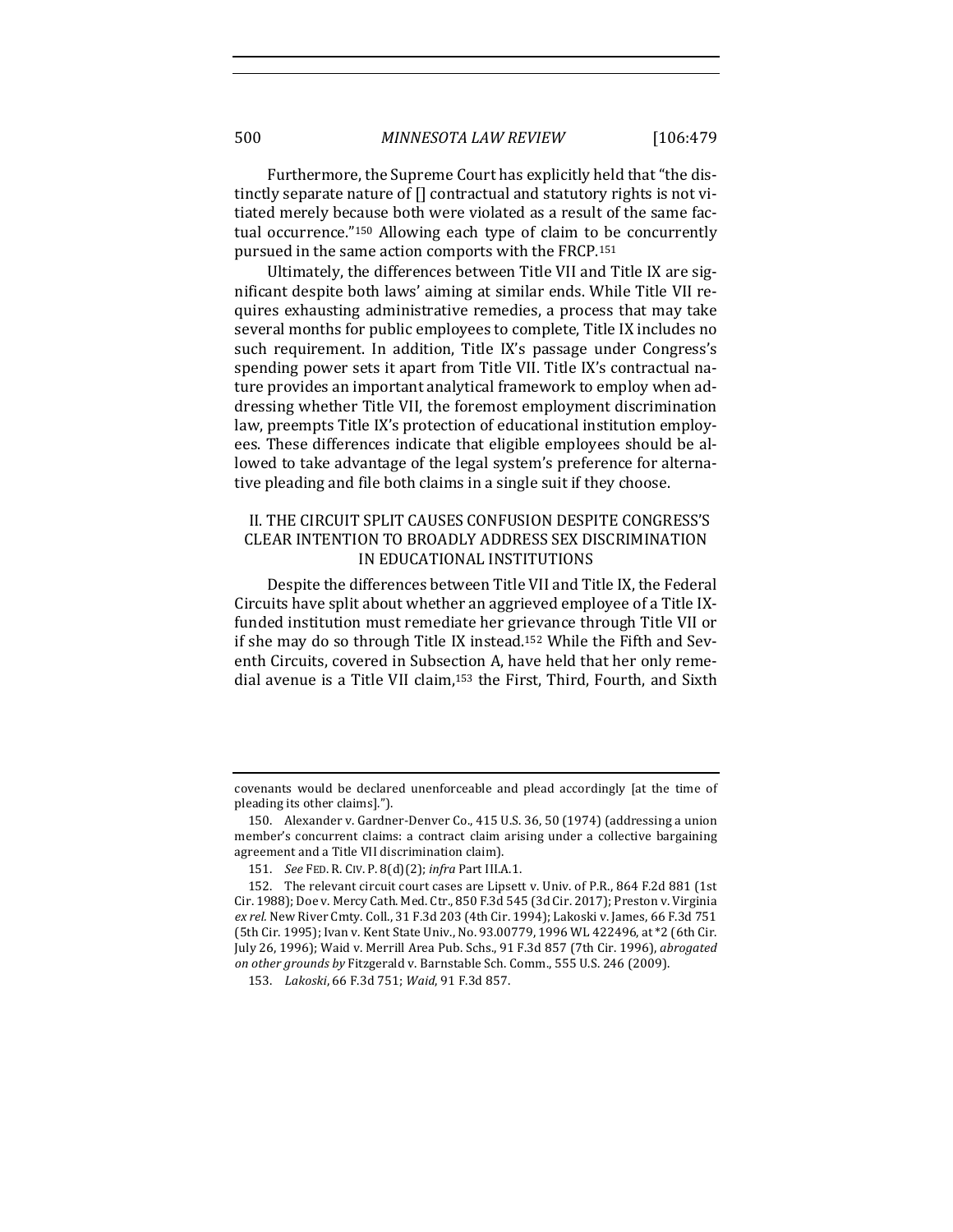Furthermore, the Supreme Court has explicitly held that "the distinctly separate nature of  $[]$  contractual and statutory rights is not vitiated merely because both were violated as a result of the same factual occurrence."<sup>150</sup> Allowing each type of claim to be concurrently pursued in the same action comports with the FRCP.<sup>151</sup>

Ultimately, the differences between Title VII and Title IX are significant despite both laws' aiming at similar ends. While Title VII requires exhausting administrative remedies, a process that may take several months for public employees to complete, Title IX includes no such requirement. In addition, Title IX's passage under Congress's spending power sets it apart from Title VII. Title IX's contractual nature provides an important analytical framework to employ when addressing whether Title VII, the foremost employment discrimination law, preempts Title IX's protection of educational institution employees. These differences indicate that eligible employees should be allowed to take advantage of the legal system's preference for alternative pleading and file both claims in a single suit if they choose.

## II. THE CIRCUIT SPLIT CAUSES CONFUSION DESPITE CONGRESS'S CLEAR INTENTION TO BROADLY ADDRESS SEX DISCRIMINATION IN EDUCATIONAL INSTITUTIONS

Despite the differences between Title VII and Title IX, the Federal Circuits have split about whether an aggrieved employee of a Title IXfunded institution must remediate her grievance through Title VII or if she may do so through Title IX instead.<sup>152</sup> While the Fifth and Seventh Circuits, covered in Subsection A, have held that her only remedial avenue is a Title VII claim,<sup>153</sup> the First, Third, Fourth, and Sixth

covenants would be declared unenforceable and plead accordingly [at the time of pleading its other claims].").

<sup>150.</sup> Alexander v. Gardner-Denver Co., 415 U.S. 36, 50 (1974) (addressing a union member's concurrent claims: a contract claim arising under a collective bargaining agreement and a Title VII discrimination claim).

<sup>151.</sup> *See* FED. R. CIV. P. 8(d)(2); *infra* Part III.A.1.

<sup>152.</sup> The relevant circuit court cases are Lipsett v. Univ. of P.R., 864 F.2d 881 (1st) Cir. 1988); Doe v. Mercy Cath. Med. Ctr., 850 F.3d 545 (3d Cir. 2017); Preston v. Virginia ex rel. New River Cmty. Coll., 31 F.3d 203 (4th Cir. 1994); Lakoski v. James, 66 F.3d 751 (5th Cir. 1995); Ivan v. Kent State Univ., No. 93.00779, 1996 WL 422496, at \*2 (6th Cir. July 26, 1996); Waid v. Merrill Area Pub. Schs., 91 F.3d 857 (7th Cir. 1996), *abrogated on other grounds by* Fitzgerald v. Barnstable Sch. Comm., 555 U.S. 246 (2009).

<sup>153.</sup> Lakoski, 66 F.3d 751; Waid, 91 F.3d 857.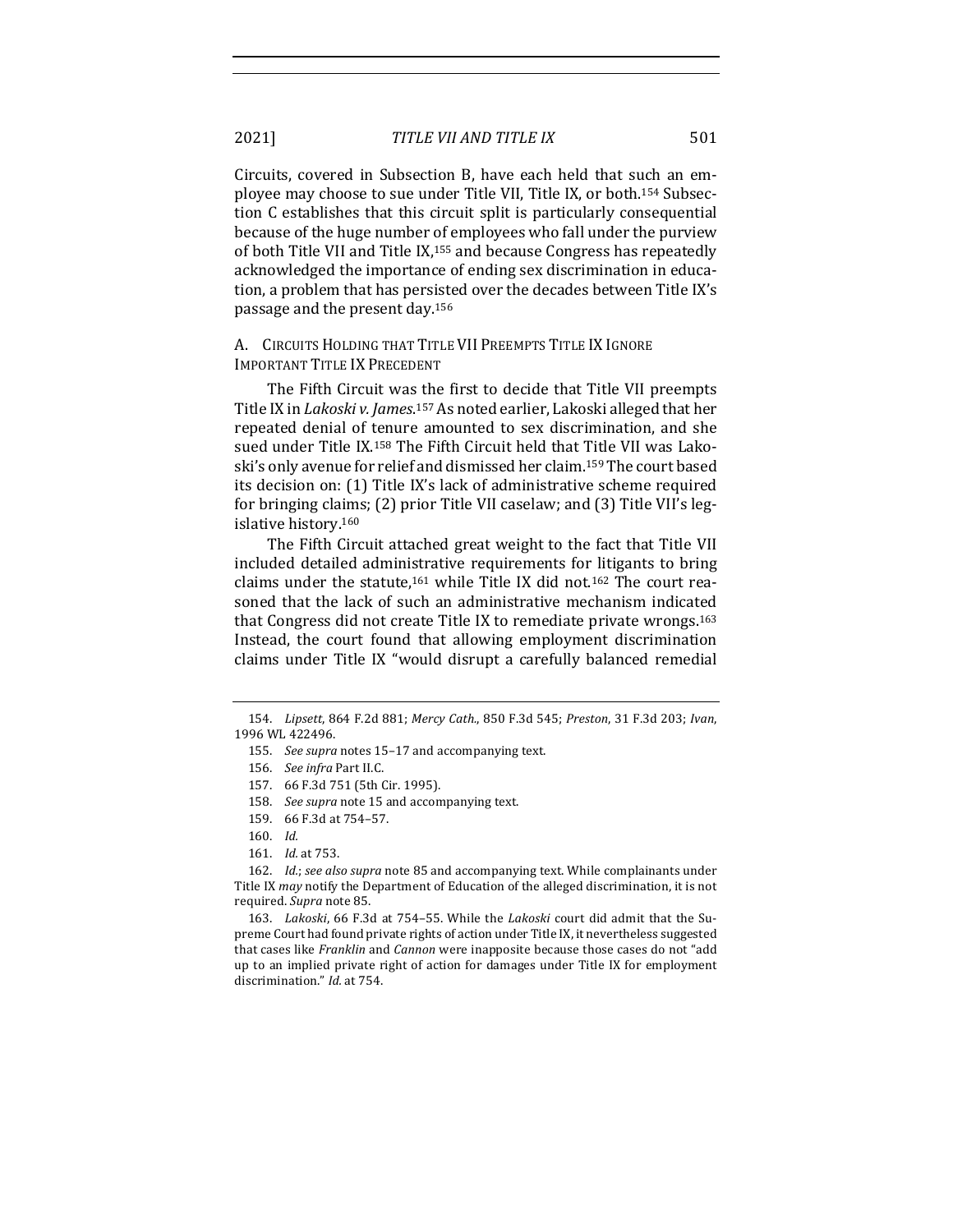Circuits, covered in Subsection B, have each held that such an employee may choose to sue under Title VII, Title IX, or both.<sup>154</sup> Subsection C establishes that this circuit split is particularly consequential because of the huge number of employees who fall under the purview of both Title VII and Title IX,<sup>155</sup> and because Congress has repeatedly acknowledged the importance of ending sex discrimination in education, a problem that has persisted over the decades between Title IX's passage and the present day.<sup>156</sup>

#### A. CIRCUITS HOLDING THAT TITLE VII PREEMPTS TITLE IX IGNORE IMPORTANT TITLE IX PRECEDENT

The Fifth Circuit was the first to decide that Title VII preempts Title IX in *Lakoski v. James*.<sup>157</sup> As noted earlier, Lakoski alleged that her repeated denial of tenure amounted to sex discrimination, and she sued under Title  $IX^{158}$  The Fifth Circuit held that Title VII was Lakoski's only avenue for relief and dismissed her claim.<sup>159</sup> The court based its decision on: (1) Title IX's lack of administrative scheme required for bringing claims; (2) prior Title VII caselaw; and (3) Title VII's legislative history.<sup>160</sup>

The Fifth Circuit attached great weight to the fact that Title VII included detailed administrative requirements for litigants to bring claims under the statute,<sup>161</sup> while Title IX did not.<sup>162</sup> The court reasoned that the lack of such an administrative mechanism indicated that Congress did not create Title IX to remediate private wrongs.<sup>163</sup> Instead, the court found that allowing employment discrimination claims under Title IX "would disrupt a carefully balanced remedial

<sup>154.</sup> *Lipsett*, 864 F.2d 881; *Mercy Cath.*, 850 F.3d 545; *Preston*, 31 F.3d 203; *Ivan*, 1996 WL 422496.

<sup>155.</sup> See supra notes 15-17 and accompanying text.

<sup>156.</sup> See infra Part II.C.

<sup>157. 66</sup> F.3d 751 (5th Cir. 1995).

<sup>158.</sup> See supra note 15 and accompanying text.

<sup>159.</sup> 66 F.3d at 754–57.

<sup>160.</sup> *Id.*

<sup>161.</sup> *Id.* at 753.

<sup>162.</sup> *Id.*; *see also supra* note 85 and accompanying text. While complainants under Title IX *may* notify the Department of Education of the alleged discrimination, it is not required. *Supra* note 85.

<sup>163.</sup> *Lakoski*, 66 F.3d at 754-55. While the *Lakoski* court did admit that the Supreme Court had found private rights of action under Title IX, it nevertheless suggested that cases like *Franklin* and *Cannon* were inapposite because those cases do not "add up to an implied private right of action for damages under Title IX for employment discrimination." *Id.* at 754.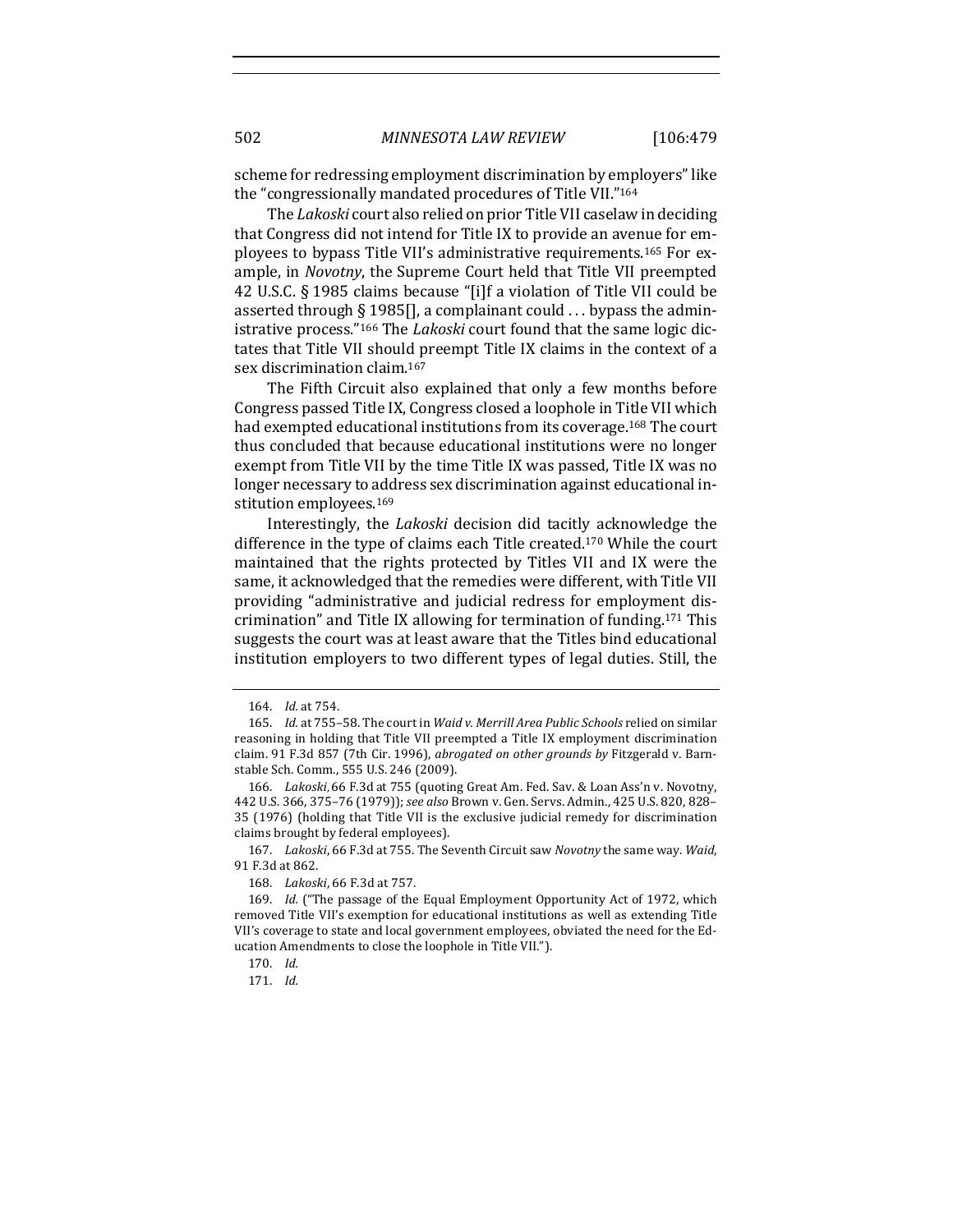scheme for redressing employment discrimination by employers" like the "congressionally mandated procedures of Title VII."164

The *Lakoski* court also relied on prior Title VII caselaw in deciding that Congress did not intend for Title IX to provide an avenue for employees to bypass Title VII's administrative requirements.<sup>165</sup> For example, in *Novotny*, the Supreme Court held that Title VII preempted 42 U.S.C.  $\S$  1985 claims because "[i]f a violation of Title VII could be asserted through § 1985[], a complainant could  $\ldots$  bypass the administrative process."<sup>166</sup> The *Lakoski* court found that the same logic dictates that Title VII should preempt Title IX claims in the context of a sex discrimination claim.<sup>167</sup>

The Fifth Circuit also explained that only a few months before Congress passed Title IX, Congress closed a loophole in Title VII which had exempted educational institutions from its coverage.<sup>168</sup> The court thus concluded that because educational institutions were no longer exempt from Title VII by the time Title IX was passed, Title IX was no longer necessary to address sex discrimination against educational institution employees.<sup>169</sup>

Interestingly, the *Lakoski* decision did tacitly acknowledge the difference in the type of claims each Title created.<sup>170</sup> While the court maintained that the rights protected by Titles VII and IX were the same, it acknowledged that the remedies were different, with Title VII providing "administrative and judicial redress for employment discrimination" and Title IX allowing for termination of funding.<sup>171</sup> This suggests the court was at least aware that the Titles bind educational institution employers to two different types of legal duties. Still, the

167. Lakoski, 66 F.3d at 755. The Seventh Circuit saw *Novotny* the same way. *Waid*, 91 F.3d at 862.

<sup>164.</sup> *Id.* at 754.

<sup>165.</sup> *Id.* at 755-58. The court in *Waid v. Merrill Area Public Schools* relied on similar reasoning in holding that Title VII preempted a Title IX employment discrimination claim. 91 F.3d 857 (7th Cir. 1996), *abrogated on other grounds by* Fitzgerald v. Barnstable Sch. Comm., 555 U.S. 246 (2009).

<sup>166.</sup> Lakoski, 66 F.3d at 755 (quoting Great Am. Fed. Sav. & Loan Ass'n v. Novotny, 442 U.S. 366, 375-76 (1979)); see also Brown v. Gen. Servs. Admin., 425 U.S. 820, 828-35 (1976) (holding that Title VII is the exclusive judicial remedy for discrimination claims brought by federal employees).

<sup>168.</sup> Lakoski, 66 F.3d at 757.

<sup>169.</sup> *Id.* ("The passage of the Equal Employment Opportunity Act of 1972, which removed Title VII's exemption for educational institutions as well as extending Title VII's coverage to state and local government employees, obviated the need for the Education Amendments to close the loophole in Title VII.").

<sup>170.</sup> *Id.*

<sup>171.</sup> *Id.*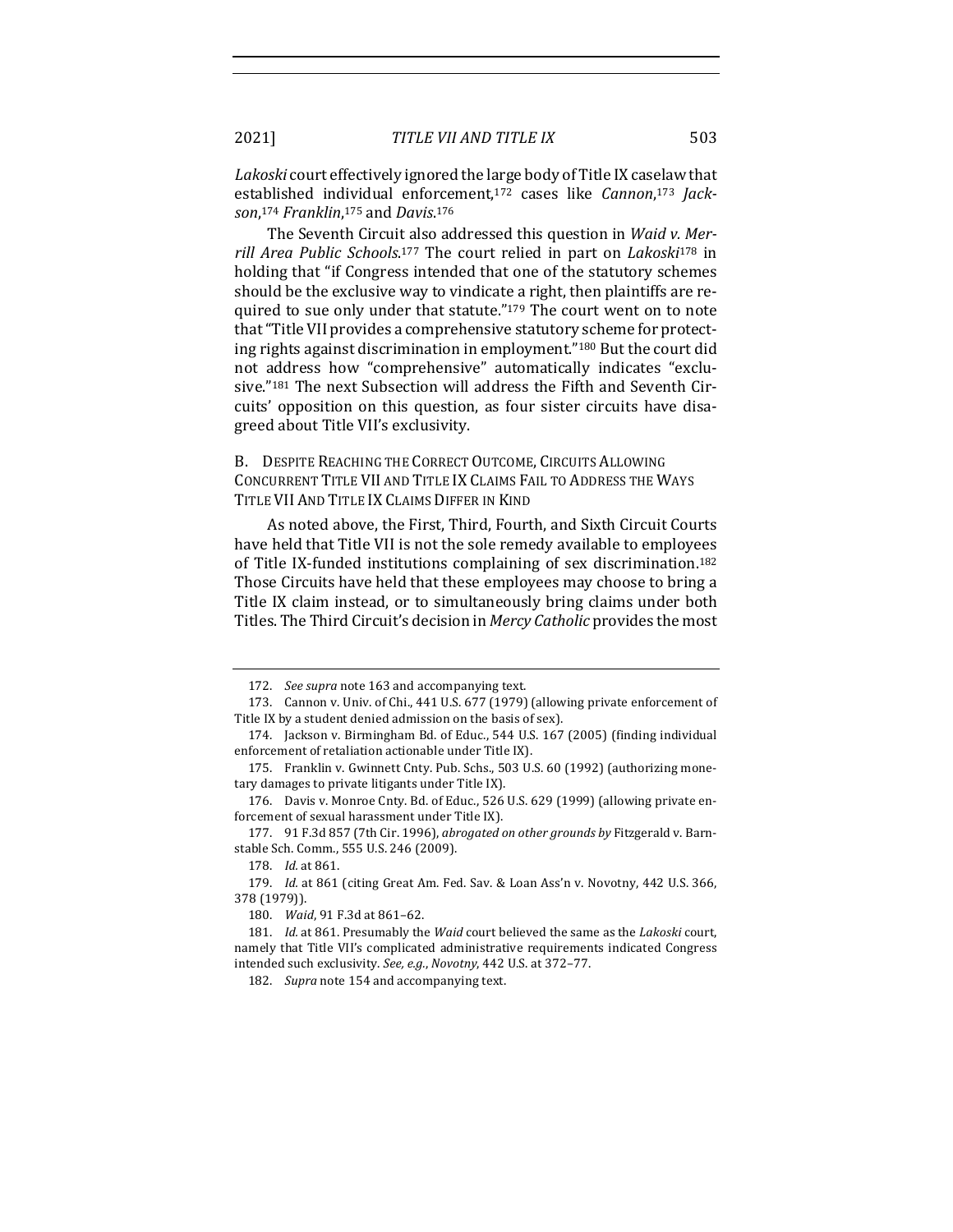Lakoski court effectively ignored the large body of Title IX caselaw that established individual enforcement,<sup>172</sup> cases like *Cannon*,<sup>173</sup> Jack*son*, <sup>174</sup> *Franklin*, <sup>175</sup> and *Davis*. 176

The Seventh Circuit also addressed this question in *Waid v. Mer*rill Area Public Schools.<sup>177</sup> The court relied in part on *Lakoski*<sup>178</sup> in holding that "if Congress intended that one of the statutory schemes should be the exclusive way to vindicate a right, then plaintiffs are required to sue only under that statute."<sup>179</sup> The court went on to note that "Title VII provides a comprehensive statutory scheme for protecting rights against discrimination in employment."<sup>180</sup> But the court did not address how "comprehensive" automatically indicates "exclusive."<sup>181</sup> The next Subsection will address the Fifth and Seventh Circuits' opposition on this question, as four sister circuits have disagreed about Title VII's exclusivity.

## B. DESPITE REACHING THE CORRECT OUTCOME, CIRCUITS ALLOWING CONCURRENT TITLE VII AND TITLE IX CLAIMS FAIL TO ADDRESS THE WAYS TITLE VII AND TITLE IX CLAIMS DIFFER IN KIND

As noted above, the First, Third, Fourth, and Sixth Circuit Courts have held that Title VII is not the sole remedy available to employees of Title IX-funded institutions complaining of sex discrimination.<sup>182</sup> Those Circuits have held that these employees may choose to bring a Title IX claim instead, or to simultaneously bring claims under both Titles. The Third Circuit's decision in *Mercy Catholic* provides the most

<sup>172.</sup> See supra note 163 and accompanying text.

<sup>173.</sup> Cannon v. Univ. of Chi., 441 U.S. 677 (1979) (allowing private enforcement of Title IX by a student denied admission on the basis of sex).

<sup>174.</sup> Jackson v. Birmingham Bd. of Educ., 544 U.S. 167 (2005) (finding individual enforcement of retaliation actionable under Title IX).

<sup>175.</sup> Franklin v. Gwinnett Cnty. Pub. Schs., 503 U.S. 60 (1992) (authorizing monetary damages to private litigants under Title IX).

<sup>176.</sup> Davis v. Monroe Cnty. Bd. of Educ., 526 U.S. 629 (1999) (allowing private enforcement of sexual harassment under Title IX).

<sup>177. 91</sup> F.3d 857 (7th Cir. 1996), *abrogated on other grounds by* Fitzgerald v. Barnstable Sch. Comm., 555 U.S. 246 (2009).

<sup>178.</sup> *Id.* at 861.

<sup>179.</sup> *Id.* at 861 (citing Great Am. Fed. Sav. & Loan Ass'n v. Novotny, 442 U.S. 366, 378 (1979)).

<sup>180.</sup> *Waid*, 91 F.3d at 861-62.

<sup>181.</sup> *Id.* at 861. Presumably the *Waid* court believed the same as the *Lakoski* court, namely that Title VII's complicated administrative requirements indicated Congress intended such exclusivity. See, e.g., Novotny, 442 U.S. at 372-77.

<sup>182.</sup> Supra note 154 and accompanying text.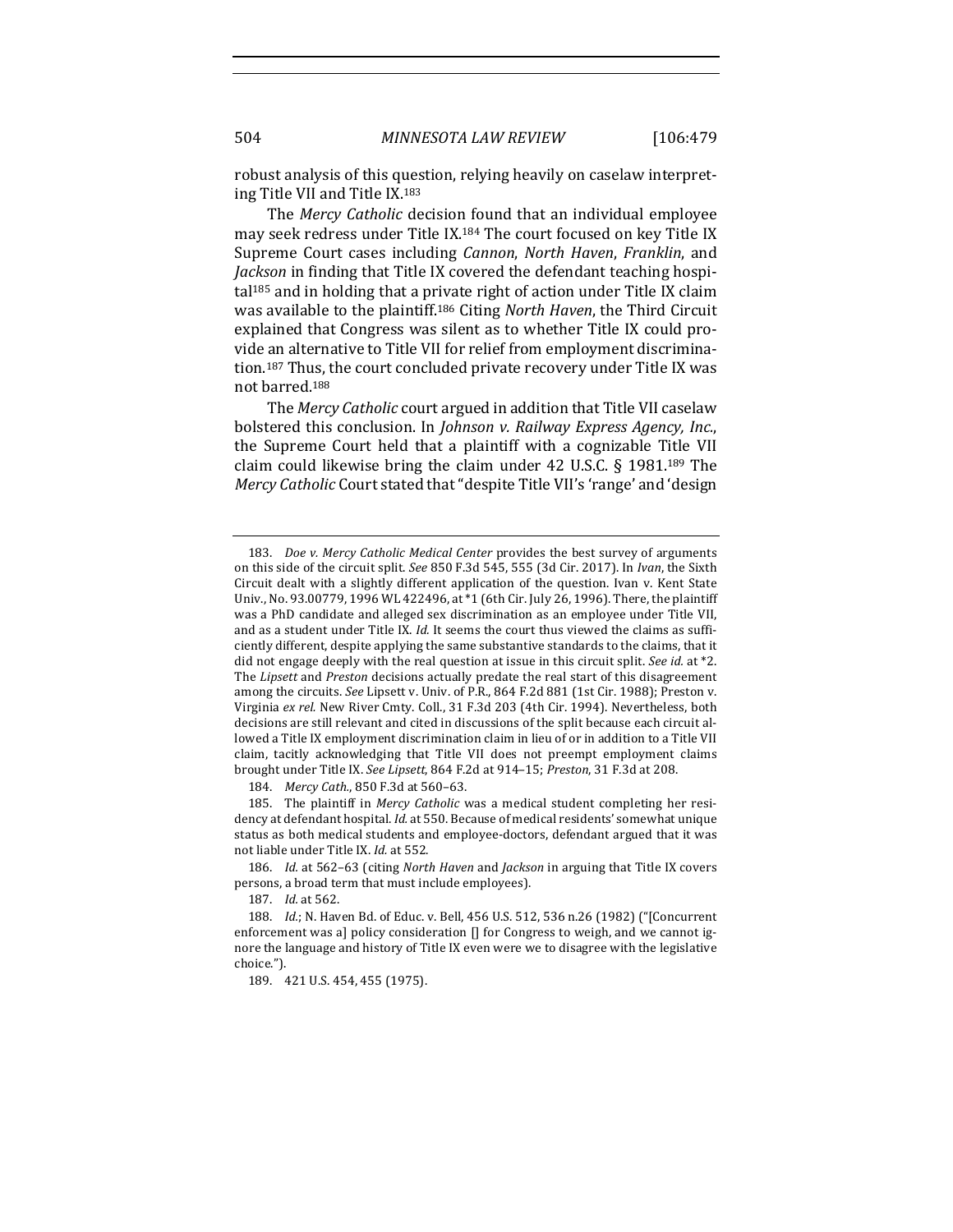robust analysis of this question, relying heavily on caselaw interpreting Title VII and Title IX.<sup>183</sup>

The *Mercy Catholic* decision found that an individual employee may seek redress under Title IX.<sup>184</sup> The court focused on key Title IX Supreme Court cases including *Cannon*, *North Haven*, *Franklin*, and *Jackson* in finding that Title IX covered the defendant teaching hospi $tal<sup>185</sup>$  and in holding that a private right of action under Title IX claim was available to the plaintiff.<sup>186</sup> Citing *North Haven*, the Third Circuit explained that Congress was silent as to whether Title IX could provide an alternative to Title VII for relief from employment discrimination.<sup>187</sup> Thus, the court concluded private recovery under Title IX was not barred.<sup>188</sup>

The Mercy Catholic court argued in addition that Title VII caselaw bolstered this conclusion. In *Johnson v. Railway Express Agency, Inc.*, the Supreme Court held that a plaintiff with a cognizable Title VII claim could likewise bring the claim under  $42$  U.S.C. § 1981.<sup>189</sup> The *Mercy Catholic* Court stated that "despite Title VII's 'range' and 'design

184. *Mercy Cath.*, 850 F.3d at 560-63.

185. The plaintiff in *Mercy Catholic* was a medical student completing her residency at defendant hospital. *Id.* at 550. Because of medical residents' somewhat unique status as both medical students and employee-doctors, defendant argued that it was not liable under Title IX. *Id.* at 552.

186. *Id.* at 562-63 (citing *North Haven* and *Jackson* in arguing that Title IX covers persons, a broad term that must include employees).

187. *Id.* at 562.

189. 421 U.S. 454, 455 (1975).

<sup>183.</sup> *Doe v. Mercy Catholic Medical Center* provides the best survey of arguments on this side of the circuit split. See 850 F.3d 545, 555 (3d Cir. 2017). In *Ivan*, the Sixth Circuit dealt with a slightly different application of the question. Ivan v. Kent State Univ., No. 93.00779, 1996 WL 422496, at \*1 (6th Cir. July 26, 1996). There, the plaintiff was a PhD candidate and alleged sex discrimination as an employee under Title VII, and as a student under Title IX. *Id.* It seems the court thus viewed the claims as sufficiently different, despite applying the same substantive standards to the claims, that it did not engage deeply with the real question at issue in this circuit split. *See id.* at \*2. The Lipsett and Preston decisions actually predate the real start of this disagreement among the circuits. See Lipsett v. Univ. of P.R., 864 F.2d 881 (1st Cir. 1988); Preston v. Virginia ex rel. New River Cmty. Coll., 31 F.3d 203 (4th Cir. 1994). Nevertheless, both decisions are still relevant and cited in discussions of the split because each circuit allowed a Title IX employment discrimination claim in lieu of or in addition to a Title VII claim, tacitly acknowledging that Title VII does not preempt employment claims brought under Title IX. See Lipsett, 864 F.2d at 914-15; Preston, 31 F.3d at 208.

<sup>188.</sup> *Id.*; N. Haven Bd. of Educ. v. Bell, 456 U.S. 512, 536 n.26 (1982) ("[Concurrent enforcement was a] policy consideration  $[]$  for Congress to weigh, and we cannot ignore the language and history of Title IX even were we to disagree with the legislative choice.").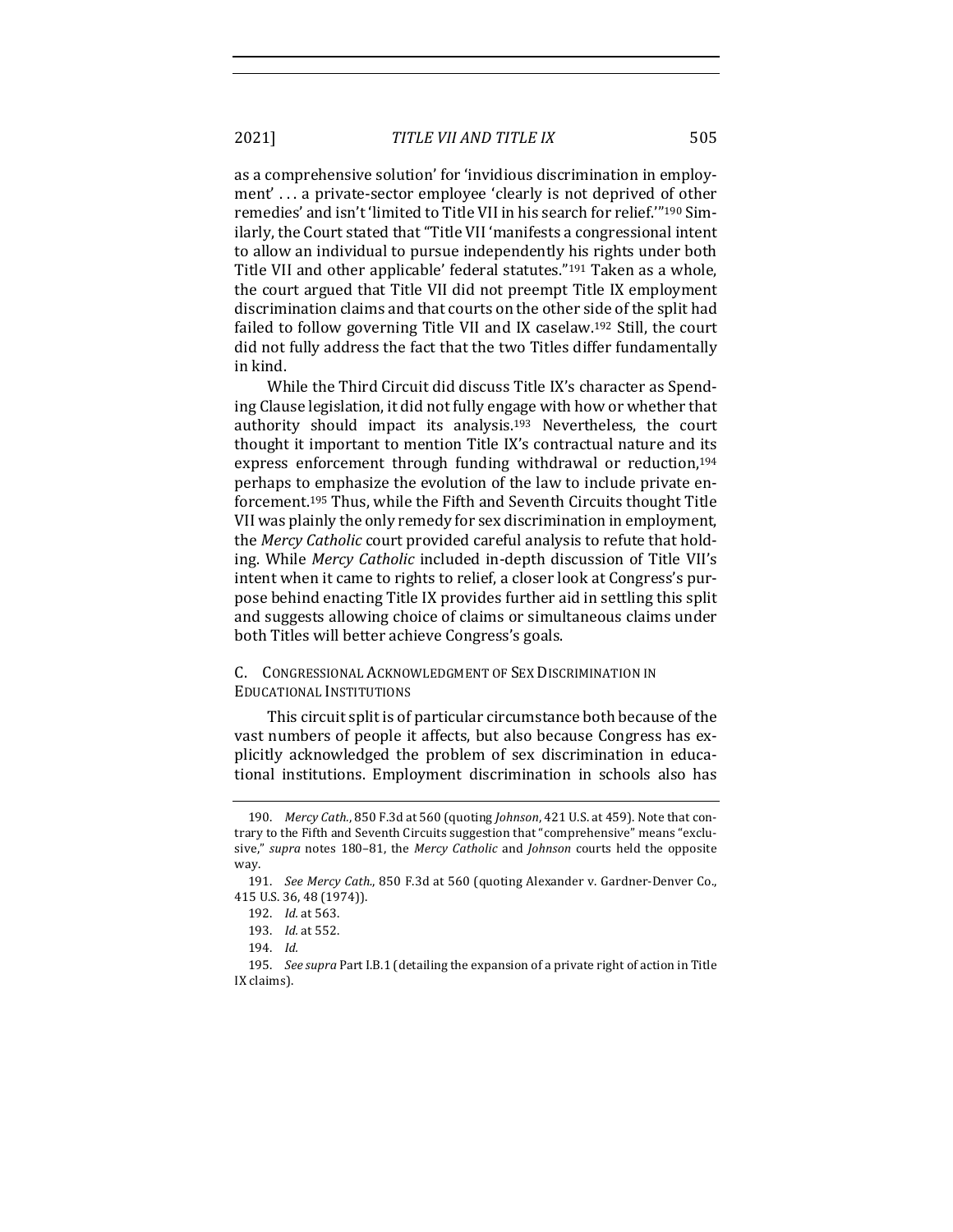2021] *TITLE VII AND TITLE IX* 505

as a comprehensive solution' for 'invidious discrimination in employment'... a private-sector employee 'clearly is not deprived of other remedies' and isn't 'limited to Title VII in his search for relief."<sup>190</sup> Similarly, the Court stated that "Title VII 'manifests a congressional intent to allow an individual to pursue independently his rights under both Title VII and other applicable' federal statutes."<sup>191</sup> Taken as a whole, the court argued that Title VII did not preempt Title IX employment discrimination claims and that courts on the other side of the split had failed to follow governing Title VII and IX caselaw.<sup>192</sup> Still, the court did not fully address the fact that the two Titles differ fundamentally in kind.

While the Third Circuit did discuss Title IX's character as Spending Clause legislation, it did not fully engage with how or whether that authority should impact its analysis.<sup>193</sup> Nevertheless, the court thought it important to mention Title IX's contractual nature and its express enforcement through funding withdrawal or reduction,<sup>194</sup> perhaps to emphasize the evolution of the law to include private enforcement.<sup>195</sup> Thus, while the Fifth and Seventh Circuits thought Title VII was plainly the only remedy for sex discrimination in employment, the *Mercy Catholic* court provided careful analysis to refute that holding. While *Mercy Catholic* included in-depth discussion of Title VII's intent when it came to rights to relief, a closer look at Congress's purpose behind enacting Title IX provides further aid in settling this split and suggests allowing choice of claims or simultaneous claims under both Titles will better achieve Congress's goals.

#### C. CONGRESSIONAL ACKNOWLEDGMENT OF SEX DISCRIMINATION IN EDUCATIONAL INSTITUTIONS

This circuit split is of particular circumstance both because of the vast numbers of people it affects, but also because Congress has explicitly acknowledged the problem of sex discrimination in educational institutions. Employment discrimination in schools also has

<sup>190.</sup> *Mercy Cath.*, 850 F.3d at 560 (quoting *Johnson*, 421 U.S. at 459). Note that contrary to the Fifth and Seventh Circuits suggestion that "comprehensive" means "exclusive," *supra* notes 180-81, the *Mercy Catholic* and *Johnson* courts held the opposite way.

<sup>191.</sup> *See Mercy Cath.*, 850 F.3d at 560 (quoting Alexander v. Gardner-Denver Co., 415 U.S. 36, 48 (1974)).

<sup>192.</sup> *Id.* at 563.

<sup>193.</sup> *Id.* at 552.

<sup>194.</sup> *Id.*

<sup>195.</sup> *See supra* Part I.B.1 (detailing the expansion of a private right of action in Title IX claims).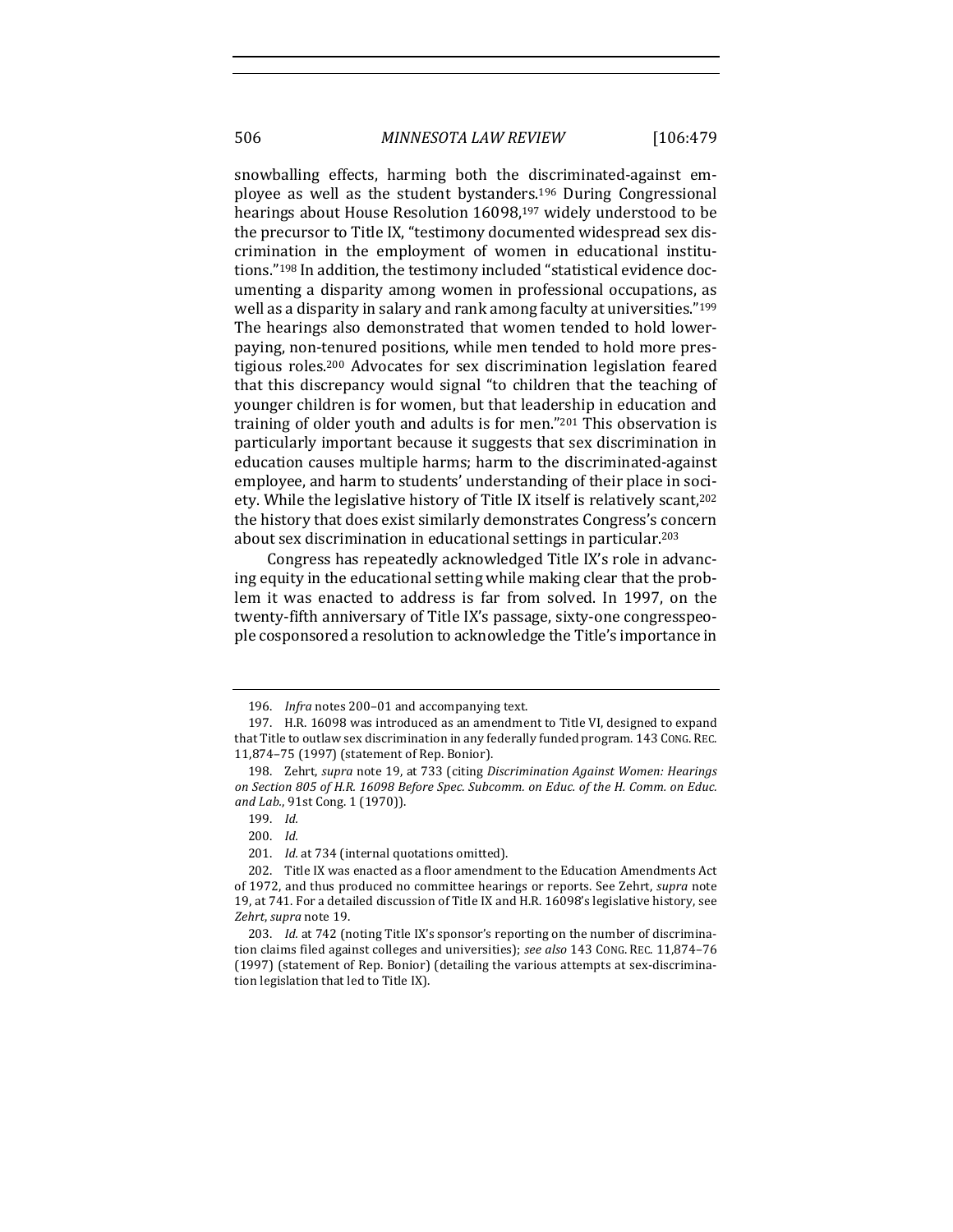506 *MINNESOTA LAW REVIEW* [106:479

snowballing effects, harming both the discriminated-against employee as well as the student bystanders.<sup>196</sup> During Congressional hearings about House Resolution 16098,<sup>197</sup> widely understood to be the precursor to Title IX, "testimony documented widespread sex discrimination in the employment of women in educational institutions."<sup>198</sup> In addition, the testimony included "statistical evidence documenting a disparity among women in professional occupations, as well as a disparity in salary and rank among faculty at universities."<sup>199</sup> The hearings also demonstrated that women tended to hold lowerpaying, non-tenured positions, while men tended to hold more prestigious roles.<sup>200</sup> Advocates for sex discrimination legislation feared that this discrepancy would signal "to children that the teaching of younger children is for women, but that leadership in education and training of older youth and adults is for men."<sup>201</sup> This observation is particularly important because it suggests that sex discrimination in education causes multiple harms; harm to the discriminated-against employee, and harm to students' understanding of their place in society. While the legislative history of Title IX itself is relatively scant,<sup>202</sup> the history that does exist similarly demonstrates Congress's concern about sex discrimination in educational settings in particular.<sup>203</sup>

Congress has repeatedly acknowledged Title IX's role in advancing equity in the educational setting while making clear that the problem it was enacted to address is far from solved. In 1997, on the twenty-fifth anniversary of Title IX's passage, sixty-one congresspeople cosponsored a resolution to acknowledge the Title's importance in

<sup>196.</sup> *Infra* notes 200-01 and accompanying text.

<sup>197.</sup> H.R. 16098 was introduced as an amendment to Title VI, designed to expand that Title to outlaw sex discrimination in any federally funded program. 143 CONG. REC. 11,874-75 (1997) (statement of Rep. Bonior).

<sup>198.</sup> Zehrt, *supra* note 19, at 733 (citing Discrimination Against Women: Hearings on Section 805 of H.R. 16098 Before Spec. Subcomm. on Educ. of the H. Comm. on Educ. and Lab., 91st Cong. 1 (1970)).

<sup>199.</sup> *Id.*

<sup>200.</sup> *Id.*

<sup>201.</sup> *Id.* at 734 (internal quotations omitted).

<sup>202.</sup> Title IX was enacted as a floor amendment to the Education Amendments Act of 1972, and thus produced no committee hearings or reports. See Zehrt, *supra* note 19, at 741. For a detailed discussion of Title IX and H.R. 16098's legislative history, see Zehrt, supra note 19.

<sup>203.</sup> *Id.* at 742 (noting Title IX's sponsor's reporting on the number of discrimination claims filed against colleges and universities); see also 143 CONG. REC. 11,874-76 (1997) (statement of Rep. Bonior) (detailing the various attempts at sex-discrimination legislation that led to Title IX).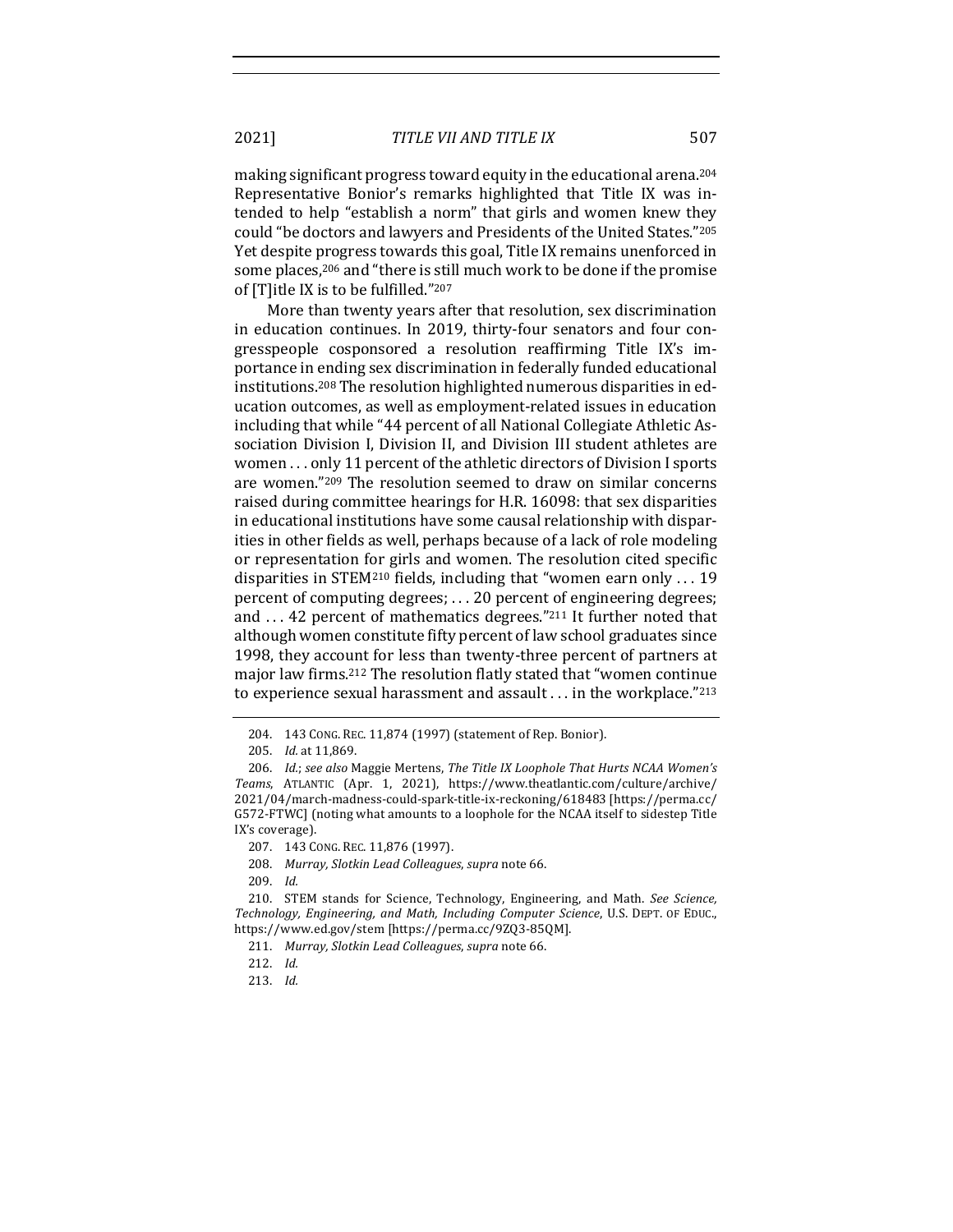2021] *TITLE VII AND TITLE IX* 507

making significant progress toward equity in the educational arena.<sup>204</sup> Representative Bonior's remarks highlighted that Title IX was intended to help "establish a norm" that girls and women knew they could "be doctors and lawyers and Presidents of the United States."205 Yet despite progress towards this goal, Title IX remains unenforced in some places,<sup>206</sup> and "there is still much work to be done if the promise of [T]itle IX is to be fulfilled."207

More than twenty years after that resolution, sex discrimination in education continues. In 2019, thirty-four senators and four congresspeople cosponsored a resolution reaffirming Title IX's importance in ending sex discrimination in federally funded educational institutions.<sup>208</sup> The resolution highlighted numerous disparities in education outcomes, as well as employment-related issues in education including that while "44 percent of all National Collegiate Athletic Association Division I, Division II, and Division III student athletes are women ... only 11 percent of the athletic directors of Division I sports are women."209 The resolution seemed to draw on similar concerns raised during committee hearings for H.R. 16098: that sex disparities in educational institutions have some causal relationship with disparities in other fields as well, perhaps because of a lack of role modeling or representation for girls and women. The resolution cited specific disparities in STEM<sup>210</sup> fields, including that "women earn only  $\dots$  19 percent of computing degrees; ... 20 percent of engineering degrees; and  $\dots$  42 percent of mathematics degrees."<sup>211</sup> It further noted that although women constitute fifty percent of law school graduates since 1998, they account for less than twenty-three percent of partners at major law firms.<sup>212</sup> The resolution flatly stated that "women continue to experience sexual harassment and assault . . . in the workplace."213

<sup>204. 143</sup> CONG. REC. 11,874 (1997) (statement of Rep. Bonior).

<sup>205.</sup> *Id.* at 11,869.

<sup>206.</sup> *Id.*; see also Maggie Mertens, The Title IX Loophole That Hurts NCAA Women's *Teams*, ATLANTIC (Apr. 1, 2021), https://www.theatlantic.com/culture/archive/ 2021/04/march-madness-could-spark-title-ix-reckoning/618483 [https://perma.cc/ G572-FTWC] (noting what amounts to a loophole for the NCAA itself to sidestep Title IX's coverage).

<sup>207.</sup> 143 CONG. REC. 11,876 (1997).

<sup>208.</sup> *Murray, Slotkin Lead Colleagues, supra* note 66.

<sup>209.</sup> *Id.*

<sup>210.</sup> STEM stands for Science, Technology, Engineering, and Math. See Science, Technology, Engineering, and Math, Including Computer Science, U.S. DEPT. OF EDUC., https://www.ed.gov/stem [https://perma.cc/9ZQ3-85QM].

<sup>211.</sup> Murray, Slotkin Lead Colleagues, supra note 66.

<sup>212.</sup> *Id.*

<sup>213.</sup> *Id.*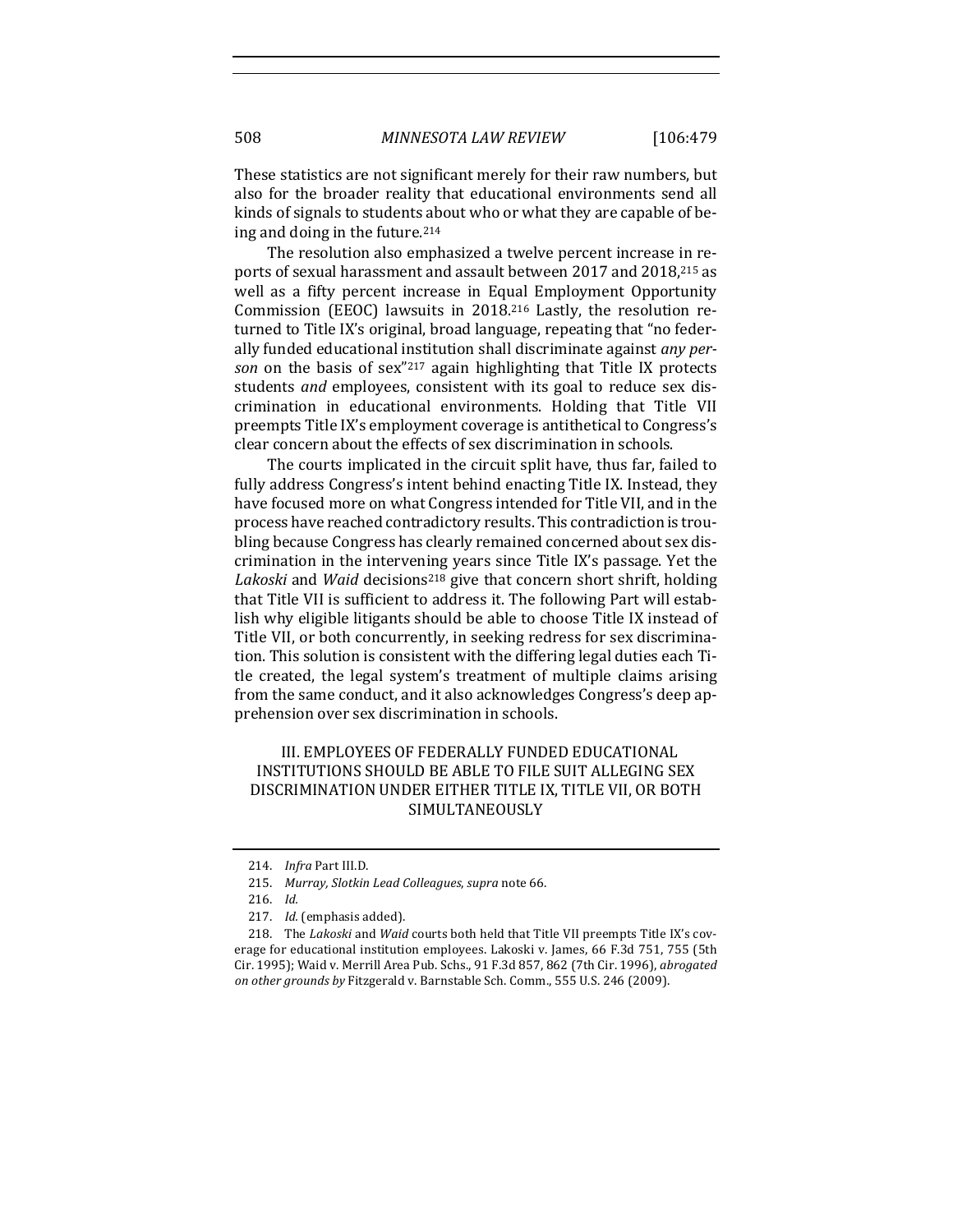These statistics are not significant merely for their raw numbers, but also for the broader reality that educational environments send all kinds of signals to students about who or what they are capable of being and doing in the future. $214$ 

The resolution also emphasized a twelve percent increase in reports of sexual harassment and assault between 2017 and 2018,<sup>215</sup> as well as a fifty percent increase in Equal Employment Opportunity Commission (EEOC) lawsuits in  $2018<sup>216</sup>$  Lastly, the resolution returned to Title IX's original, broad language, repeating that "no federally funded educational institution shall discriminate against *any per*son on the basis of sex"<sup>217</sup> again highlighting that Title IX protects students and employees, consistent with its goal to reduce sex discrimination in educational environments. Holding that Title VII preempts Title IX's employment coverage is antithetical to Congress's clear concern about the effects of sex discrimination in schools.

The courts implicated in the circuit split have, thus far, failed to fully address Congress's intent behind enacting Title IX. Instead, they have focused more on what Congress intended for Title VII, and in the process have reached contradictory results. This contradiction is troubling because Congress has clearly remained concerned about sex discrimination in the intervening years since Title IX's passage. Yet the Lakoski and *Waid* decisions<sup>218</sup> give that concern short shrift, holding that Title VII is sufficient to address it. The following Part will establish why eligible litigants should be able to choose Title IX instead of Title VII, or both concurrently, in seeking redress for sex discrimination. This solution is consistent with the differing legal duties each Title created, the legal system's treatment of multiple claims arising from the same conduct, and it also acknowledges Congress's deep apprehension over sex discrimination in schools.

## III. EMPLOYEES OF FEDERALLY FUNDED EDUCATIONAL INSTITUTIONS SHOULD BE ABLE TO FILE SUIT ALLEGING SEX DISCRIMINATION UNDER EITHER TITLE IX, TITLE VII, OR BOTH SIMULTANEOUSLY

<sup>214.</sup> *Infra* Part III.D.

<sup>215.</sup> Murray, Slotkin Lead Colleagues, supra note 66.

<sup>216.</sup> *Id.*

<sup>217.</sup> *Id.* (emphasis added).

<sup>218.</sup> The *Lakoski* and *Waid* courts both held that Title VII preempts Title IX's coverage for educational institution employees. Lakoski v. James, 66 F.3d 751, 755 (5th Cir. 1995); Waid v. Merrill Area Pub. Schs., 91 F.3d 857, 862 (7th Cir. 1996), abrogated on other grounds by Fitzgerald v. Barnstable Sch. Comm., 555 U.S. 246 (2009).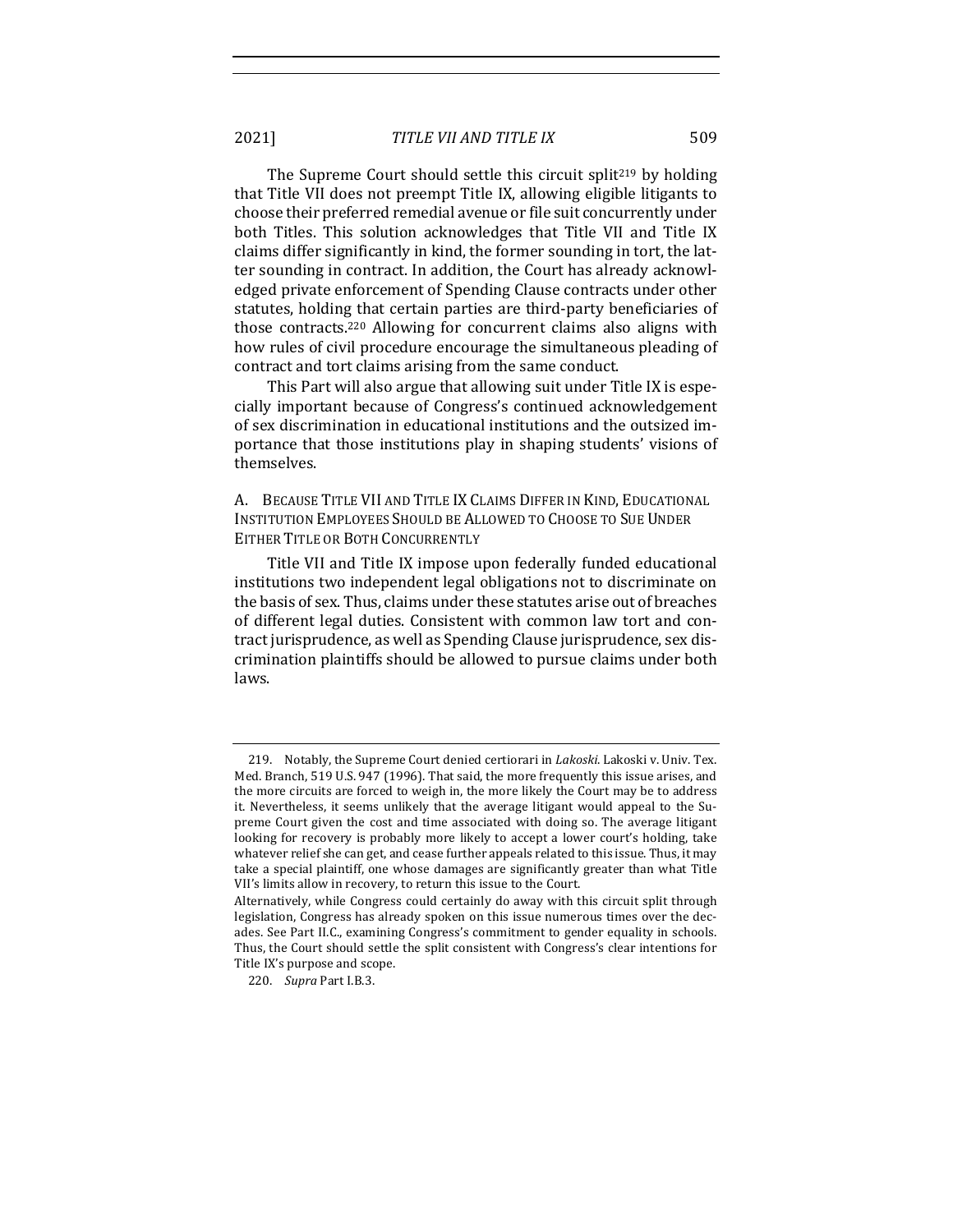2021] *TITLE VII AND TITLE IX* 509

The Supreme Court should settle this circuit split<sup>219</sup> by holding that Title VII does not preempt Title IX, allowing eligible litigants to choose their preferred remedial avenue or file suit concurrently under both Titles. This solution acknowledges that Title VII and Title IX claims differ significantly in kind, the former sounding in tort, the latter sounding in contract. In addition, the Court has already acknowledged private enforcement of Spending Clause contracts under other statutes, holding that certain parties are third-party beneficiaries of those contracts.<sup>220</sup> Allowing for concurrent claims also aligns with how rules of civil procedure encourage the simultaneous pleading of contract and tort claims arising from the same conduct.

This Part will also argue that allowing suit under Title IX is especially important because of Congress's continued acknowledgement of sex discrimination in educational institutions and the outsized importance that those institutions play in shaping students' visions of themselves.

A. BECAUSE TITLE VII AND TITLE IX CLAIMS DIFFER IN KIND, EDUCATIONAL INSTITUTION EMPLOYEES SHOULD BE ALLOWED TO CHOOSE TO SUE UNDER EITHER TITLE OR BOTH CONCURRENTLY

Title VII and Title IX impose upon federally funded educational institutions two independent legal obligations not to discriminate on the basis of sex. Thus, claims under these statutes arise out of breaches of different legal duties. Consistent with common law tort and contract jurisprudence, as well as Spending Clause jurisprudence, sex discrimination plaintiffs should be allowed to pursue claims under both laws.

<sup>219.</sup> Notably, the Supreme Court denied certiorari in *Lakoski*. Lakoski v. Univ. Tex. Med. Branch, 519 U.S. 947 (1996). That said, the more frequently this issue arises, and the more circuits are forced to weigh in, the more likely the Court may be to address it. Nevertheless, it seems unlikely that the average litigant would appeal to the Supreme Court given the cost and time associated with doing so. The average litigant looking for recovery is probably more likely to accept a lower court's holding, take whatever relief she can get, and cease further appeals related to this issue. Thus, it may take a special plaintiff, one whose damages are significantly greater than what Title VII's limits allow in recovery, to return this issue to the Court.

Alternatively, while Congress could certainly do away with this circuit split through legislation, Congress has already spoken on this issue numerous times over the decades. See Part II.C., examining Congress's commitment to gender equality in schools. Thus, the Court should settle the split consistent with Congress's clear intentions for Title IX's purpose and scope.

<sup>220.</sup> *Supra* Part I.B.3.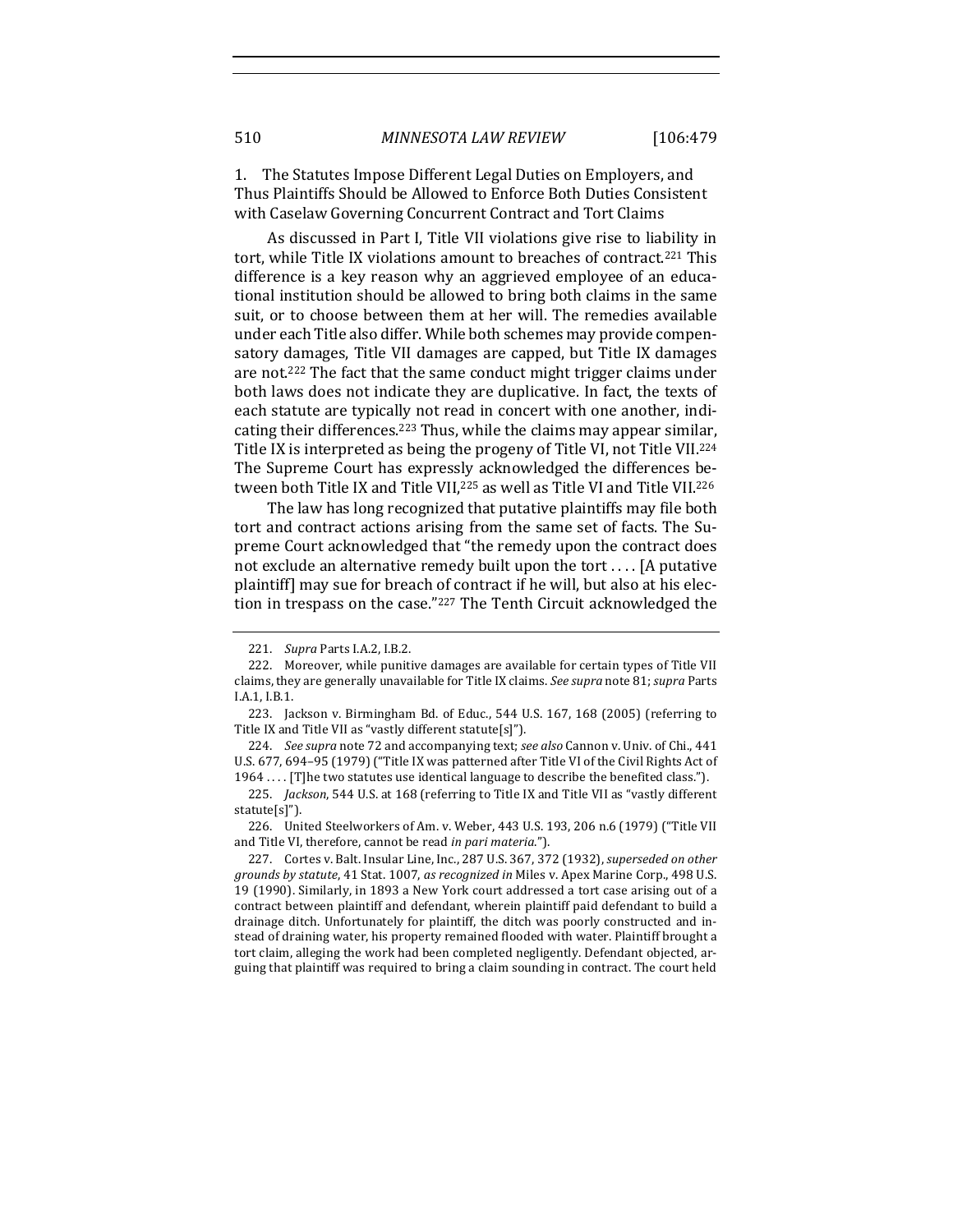1. The Statutes Impose Different Legal Duties on Employers, and Thus Plaintiffs Should be Allowed to Enforce Both Duties Consistent with Caselaw Governing Concurrent Contract and Tort Claims

As discussed in Part I, Title VII violations give rise to liability in tort, while Title IX violations amount to breaches of contract.<sup>221</sup> This difference is a key reason why an aggrieved employee of an educational institution should be allowed to bring both claims in the same suit, or to choose between them at her will. The remedies available under each Title also differ. While both schemes may provide compensatory damages, Title VII damages are capped, but Title IX damages are not.<sup>222</sup> The fact that the same conduct might trigger claims under both laws does not indicate they are duplicative. In fact, the texts of each statute are typically not read in concert with one another, indicating their differences.<sup>223</sup> Thus, while the claims may appear similar, Title IX is interpreted as being the progeny of Title VI, not Title VII.<sup>224</sup> The Supreme Court has expressly acknowledged the differences between both Title IX and Title VII,<sup>225</sup> as well as Title VI and Title VII.<sup>226</sup>

The law has long recognized that putative plaintiffs may file both tort and contract actions arising from the same set of facts. The Supreme Court acknowledged that "the remedy upon the contract does not exclude an alternative remedy built upon the tort  $\dots$  [A putative plaintiff] may sue for breach of contract if he will, but also at his election in trespass on the case."227 The Tenth Circuit acknowledged the

<sup>221.</sup> *Supra* Parts I.A.2, I.B.2.

<sup>222.</sup> Moreover, while punitive damages are available for certain types of Title VII claims, they are generally unavailable for Title IX claims. See supra note 81; *supra* Parts I.A.1, I.B.1.

<sup>223.</sup> Jackson v. Birmingham Bd. of Educ.,  $544$  U.S.  $167$ ,  $168$  (2005) (referring to Title IX and Title VII as "vastly different statute[s]").

<sup>224.</sup> *See supra* note 72 and accompanying text; see also Cannon v. Univ. of Chi., 441 U.S. 677, 694-95 (1979) ("Title IX was patterned after Title VI of the Civil Rights Act of 1964 .... [T]he two statutes use identical language to describe the benefited class.").

<sup>225.</sup> *Jackson*, 544 U.S. at 168 (referring to Title IX and Title VII as "vastly different statute[s]").

<sup>226.</sup> United Steelworkers of Am. v. Weber, 443 U.S. 193, 206 n.6 (1979) ("Title VII and Title VI, therefore, cannot be read *in pari materia*.").

<sup>227.</sup> Cortes v. Balt. Insular Line, Inc., 287 U.S. 367, 372 (1932), *superseded on other grounds by statute*, 41 Stat. 1007, *as recognized in* Miles v. Apex Marine Corp., 498 U.S. 19 (1990). Similarly, in 1893 a New York court addressed a tort case arising out of a contract between plaintiff and defendant, wherein plaintiff paid defendant to build a drainage ditch. Unfortunately for plaintiff, the ditch was poorly constructed and instead of draining water, his property remained flooded with water. Plaintiff brought a tort claim, alleging the work had been completed negligently. Defendant objected, arguing that plaintiff was required to bring a claim sounding in contract. The court held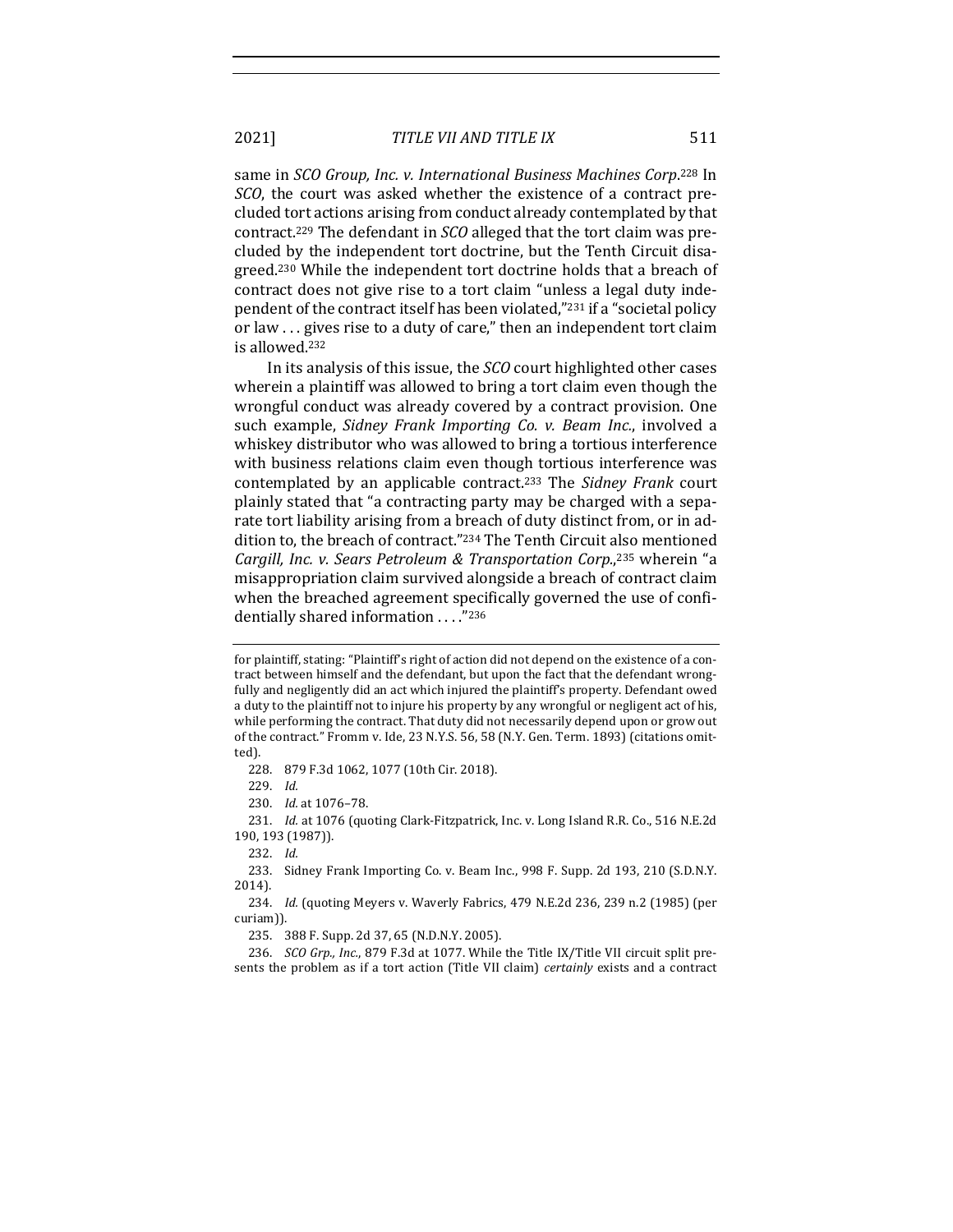same in *SCO Group, Inc. v. International Business Machines Corp.*<sup>228</sup> In *SCO*, the court was asked whether the existence of a contract precluded tort actions arising from conduct already contemplated by that contract.<sup>229</sup> The defendant in *SCO* alleged that the tort claim was precluded by the independent tort doctrine, but the Tenth Circuit disagreed.<sup>230</sup> While the independent tort doctrine holds that a breach of contract does not give rise to a tort claim "unless a legal duty independent of the contract itself has been violated,"<sup>231</sup> if a "societal policy or law ... gives rise to a duty of care," then an independent tort claim is allowed.<sup>232</sup>

In its analysis of this issue, the *SCO* court highlighted other cases wherein a plaintiff was allowed to bring a tort claim even though the wrongful conduct was already covered by a contract provision. One such example, *Sidney Frank Importing Co. v. Beam Inc.*, involved a whiskey distributor who was allowed to bring a tortious interference with business relations claim even though tortious interference was contemplated by an applicable contract.<sup>233</sup> The *Sidney Frank* court plainly stated that "a contracting party may be charged with a separate tort liability arising from a breach of duty distinct from, or in addition to, the breach of contract."<sup>234</sup> The Tenth Circuit also mentioned Cargill, Inc. v. Sears Petroleum & Transportation Corp.,<sup>235</sup> wherein "a misappropriation claim survived alongside a breach of contract claim when the breached agreement specifically governed the use of confidentially shared information . . . "236

233. Sidney Frank Importing Co. v. Beam Inc., 998 F. Supp. 2d 193, 210 (S.D.N.Y. 2014).

234. *Id.* (quoting Meyers v. Waverly Fabrics, 479 N.E.2d 236, 239 n.2 (1985) (per curiam)).

235. 388 F. Supp. 2d 37, 65 (N.D.N.Y. 2005).

236. *SCO Grp., Inc.*, 879 F.3d at 1077. While the Title IX/Title VII circuit split presents the problem as if a tort action (Title VII claim) *certainly* exists and a contract

for plaintiff, stating: "Plaintiff's right of action did not depend on the existence of a contract between himself and the defendant, but upon the fact that the defendant wrongfully and negligently did an act which injured the plaintiff's property. Defendant owed a duty to the plaintiff not to injure his property by any wrongful or negligent act of his, while performing the contract. That duty did not necessarily depend upon or grow out of the contract." Fromm v. Ide, 23 N.Y.S. 56, 58 (N.Y. Gen. Term. 1893) (citations omitted).

<sup>228. 879</sup> F.3d 1062, 1077 (10th Cir. 2018).

<sup>229.</sup> *Id.*

<sup>230.</sup> *Id.* at  $1076 - 78$ .

<sup>231.</sup> *Id.* at 1076 (quoting Clark-Fitzpatrick, Inc. v. Long Island R.R. Co., 516 N.E.2d 190, 193 (1987)).

<sup>232.</sup> *Id.*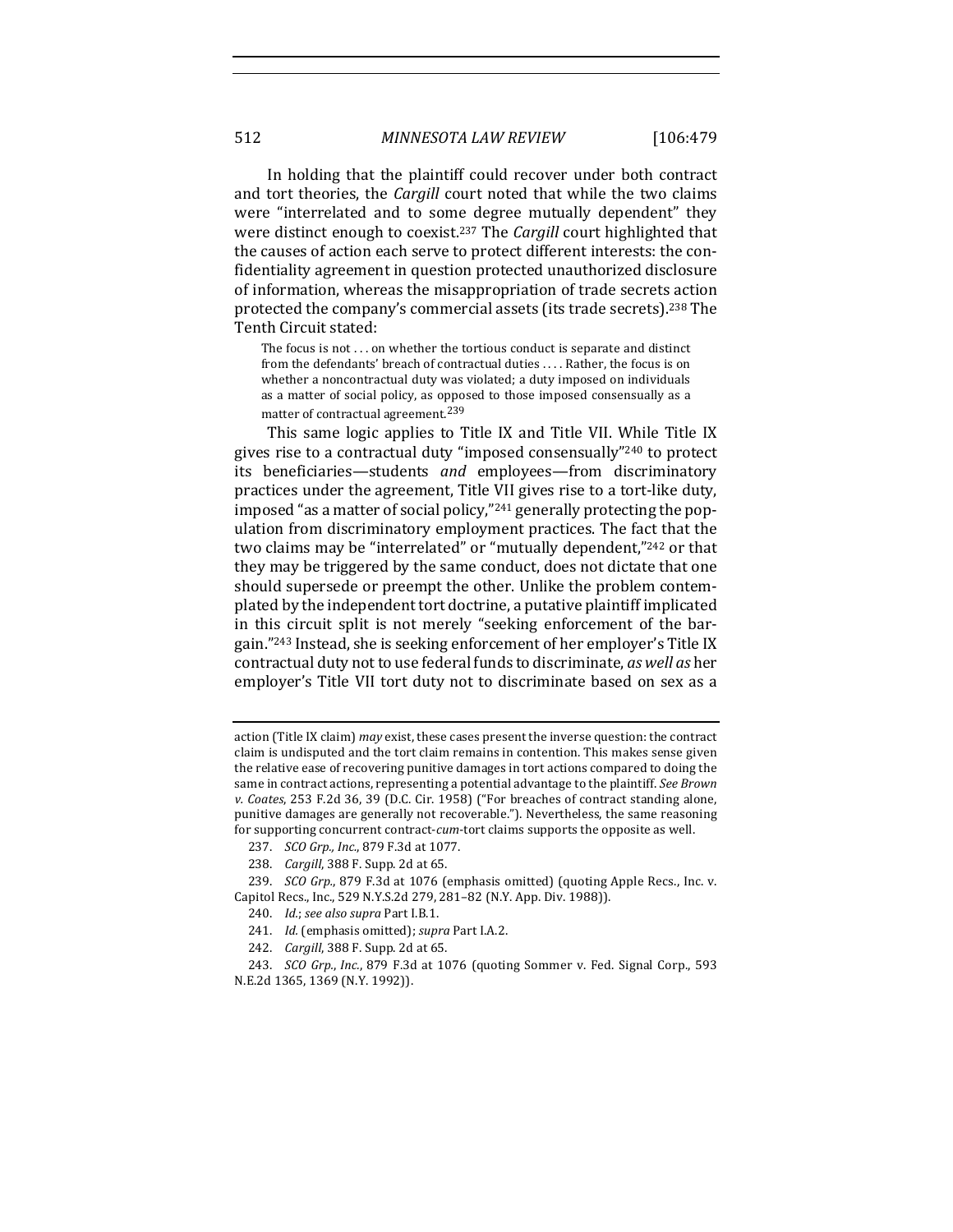In holding that the plaintiff could recover under both contract and tort theories, the *Cargill* court noted that while the two claims were "interrelated and to some degree mutually dependent" they were distinct enough to coexist.<sup>237</sup> The *Cargill* court highlighted that the causes of action each serve to protect different interests: the confidentiality agreement in question protected unauthorized disclosure of information, whereas the misappropriation of trade secrets action protected the company's commercial assets (its trade secrets).<sup>238</sup> The Tenth Circuit stated:

The focus is not  $\dots$  on whether the tortious conduct is separate and distinct from the defendants' breach of contractual duties .... Rather, the focus is on whether a noncontractual duty was violated; a duty imposed on individuals as a matter of social policy, as opposed to those imposed consensually as a matter of contractual agreement.<sup>239</sup>

This same logic applies to Title IX and Title VII. While Title IX gives rise to a contractual duty "imposed consensually"<sup>240</sup> to protect its beneficiaries—students and employees—from discriminatory practices under the agreement, Title VII gives rise to a tort-like duty, imposed "as a matter of social policy,"<sup>241</sup> generally protecting the population from discriminatory employment practices. The fact that the two claims may be "interrelated" or "mutually dependent,"<sup>242</sup> or that they may be triggered by the same conduct, does not dictate that one should supersede or preempt the other. Unlike the problem contemplated by the independent tort doctrine, a putative plaintiff implicated in this circuit split is not merely "seeking enforcement of the bargain."<sup>243</sup> Instead, she is seeking enforcement of her employer's Title IX contractual duty not to use federal funds to discriminate, *as well as* her employer's Title VII tort duty not to discriminate based on sex as a

- 241. *Id.* (emphasis omitted); *supra* Part I.A.2.
- 242. *Cargill*, 388 F. Supp. 2d at 65.

243. *SCO Grp., Inc.,* 879 F.3d at 1076 (quoting Sommer v. Fed. Signal Corp., 593 N.E.2d 1365, 1369 (N.Y. 1992)).

action (Title IX claim) *may* exist, these cases present the inverse question: the contract claim is undisputed and the tort claim remains in contention. This makes sense given the relative ease of recovering punitive damages in tort actions compared to doing the same in contract actions, representing a potential advantage to the plaintiff. See Brown *v. Coates*, 253 F.2d 36, 39 (D.C. Cir. 1958) ("For breaches of contract standing alone, punitive damages are generally not recoverable."). Nevertheless, the same reasoning for supporting concurrent contract-cum-tort claims supports the opposite as well.

<sup>237.</sup> *SCO Grp., Inc.*, 879 F.3d at 1077.

<sup>238.</sup> *Cargill*, 388 F. Supp. 2d at 65.

<sup>239.</sup> *SCO Grp.*, 879 F.3d at 1076 (emphasis omitted) (quoting Apple Recs., Inc. v. Capitol Recs., Inc., 529 N.Y.S.2d 279, 281-82 (N.Y. App. Div. 1988)).

<sup>240.</sup> *Id.*; see also supra Part I.B.1.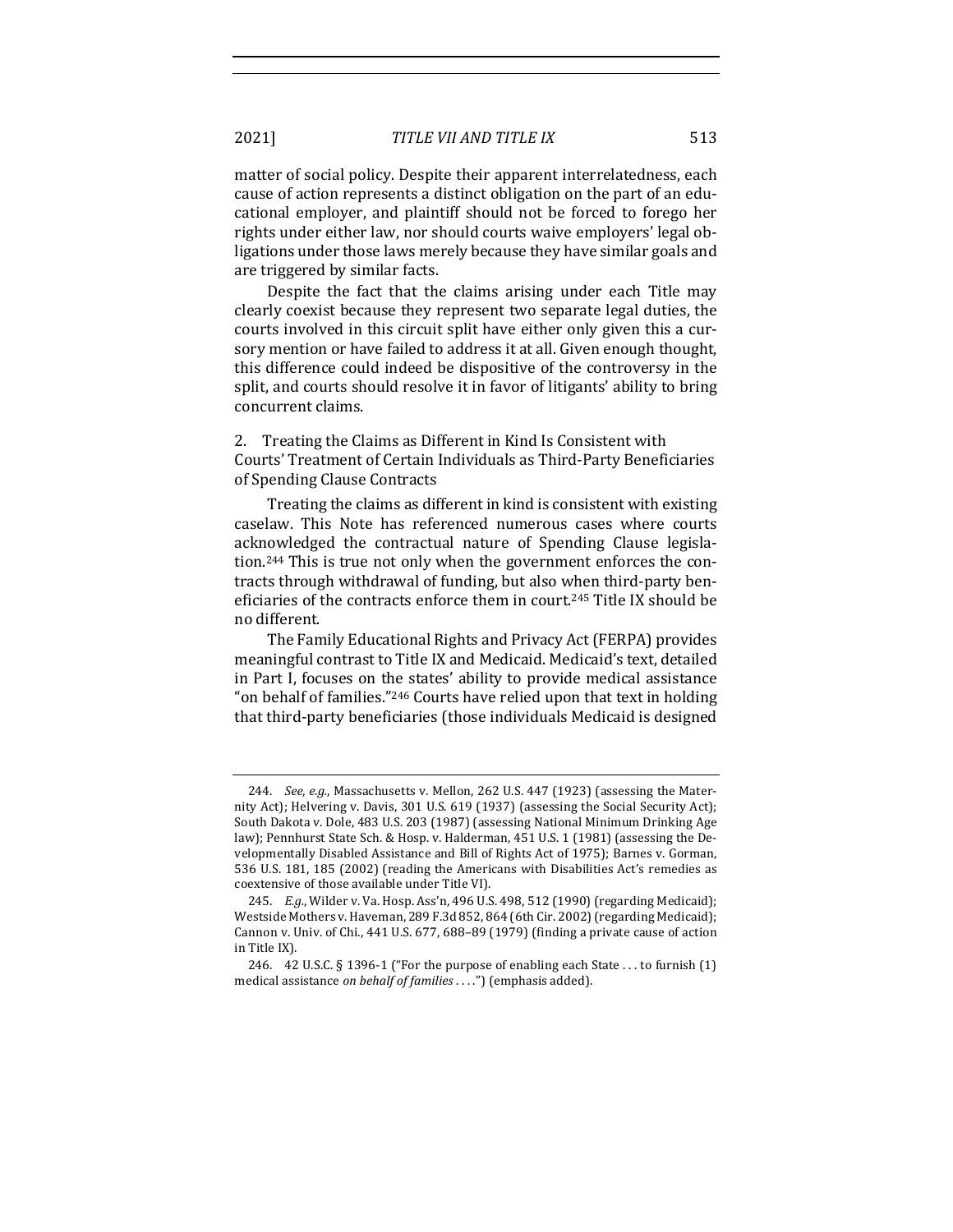matter of social policy. Despite their apparent interrelatedness, each cause of action represents a distinct obligation on the part of an educational employer, and plaintiff should not be forced to forego her rights under either law, nor should courts waive employers' legal obligations under those laws merely because they have similar goals and are triggered by similar facts.

Despite the fact that the claims arising under each Title may clearly coexist because they represent two separate legal duties, the courts involved in this circuit split have either only given this a cursory mention or have failed to address it at all. Given enough thought, this difference could indeed be dispositive of the controversy in the split, and courts should resolve it in favor of litigants' ability to bring concurrent claims.

2. Treating the Claims as Different in Kind Is Consistent with Courts' Treatment of Certain Individuals as Third-Party Beneficiaries of Spending Clause Contracts

Treating the claims as different in kind is consistent with existing caselaw. This Note has referenced numerous cases where courts acknowledged the contractual nature of Spending Clause legislation.<sup>244</sup> This is true not only when the government enforces the contracts through withdrawal of funding, but also when third-party beneficiaries of the contracts enforce them in court.<sup>245</sup> Title IX should be no different. 

The Family Educational Rights and Privacy Act (FERPA) provides meaningful contrast to Title IX and Medicaid. Medicaid's text, detailed in Part I, focuses on the states' ability to provide medical assistance "on behalf of families."<sup>246</sup> Courts have relied upon that text in holding that third-party beneficiaries (those individuals Medicaid is designed

<sup>244.</sup> *See, e.g.*, Massachusetts v. Mellon, 262 U.S. 447 (1923) (assessing the Maternity Act); Helvering v. Davis, 301 U.S. 619 (1937) (assessing the Social Security Act); South Dakota v. Dole, 483 U.S. 203 (1987) (assessing National Minimum Drinking Age law); Pennhurst State Sch. & Hosp. v. Halderman, 451 U.S. 1 (1981) (assessing the Developmentally Disabled Assistance and Bill of Rights Act of 1975); Barnes v. Gorman, 536 U.S. 181, 185 (2002) (reading the Americans with Disabilities Act's remedies as coextensive of those available under Title VI).

<sup>245.</sup> *E.g.*, Wilder v. Va. Hosp. Ass'n, 496 U.S. 498, 512 (1990) (regarding Medicaid); Westside Mothers v. Haveman, 289 F.3d 852, 864 (6th Cir. 2002) (regarding Medicaid); Cannon v. Univ. of Chi., 441 U.S. 677, 688-89 (1979) (finding a private cause of action in Title IX).

<sup>246.</sup>  $\,$  42 U.S.C. § 1396-1 ("For the purpose of enabling each State ... to furnish (1) medical assistance *on behalf of families* . . . .") (emphasis added).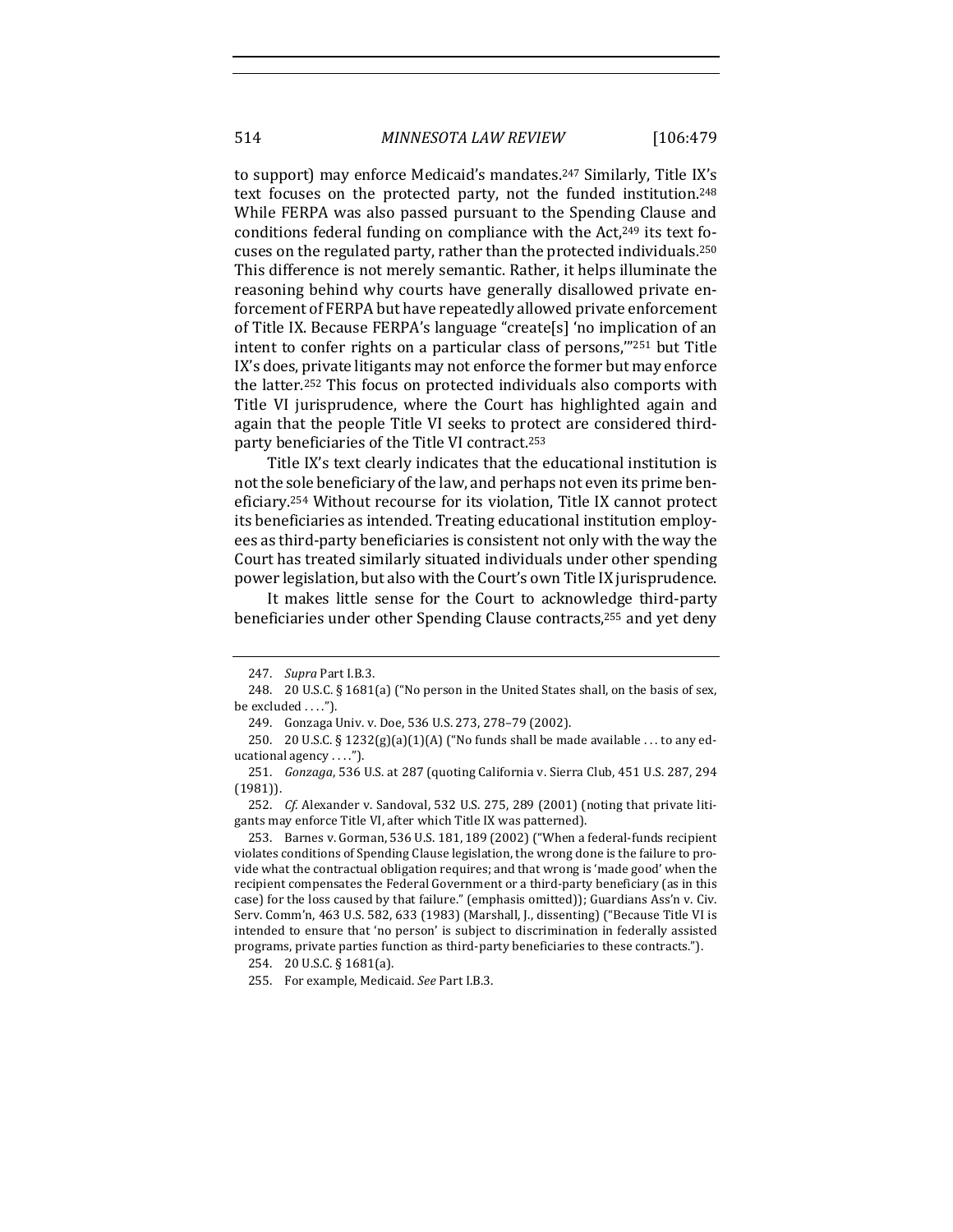to support) may enforce Medicaid's mandates.<sup>247</sup> Similarly, Title IX's text focuses on the protected party, not the funded institution.<sup>248</sup> While FERPA was also passed pursuant to the Spending Clause and conditions federal funding on compliance with the  $Act,249$  its text focuses on the regulated party, rather than the protected individuals.<sup>250</sup> This difference is not merely semantic. Rather, it helps illuminate the reasoning behind why courts have generally disallowed private enforcement of FERPA but have repeatedly allowed private enforcement of Title IX. Because FERPA's language "createls] 'no implication of an intent to confer rights on a particular class of persons,"251 but Title IX's does, private litigants may not enforce the former but may enforce the latter.<sup>252</sup> This focus on protected individuals also comports with Title VI jurisprudence, where the Court has highlighted again and again that the people Title VI seeks to protect are considered thirdparty beneficiaries of the Title VI contract.<sup>253</sup>

Title IX's text clearly indicates that the educational institution is not the sole beneficiary of the law, and perhaps not even its prime beneficiary.<sup>254</sup> Without recourse for its violation, Title IX cannot protect its beneficiaries as intended. Treating educational institution employees as third-party beneficiaries is consistent not only with the way the Court has treated similarly situated individuals under other spending power legislation, but also with the Court's own Title IX jurisprudence.

It makes little sense for the Court to acknowledge third-party beneficiaries under other Spending Clause contracts,<sup>255</sup> and yet deny

<sup>247.</sup> *Supra* Part I.B.3.

<sup>248. 20</sup> U.S.C. § 1681(a) ("No person in the United States shall, on the basis of sex, be excluded  $\dots$ .").

<sup>249.</sup> Gonzaga Univ. v. Doe, 536 U.S. 273, 278-79 (2002).

<sup>250. 20</sup> U.S.C. §  $1232(g)(a)(1)(A)$  ("No funds shall be made available ... to any educational agency  $\dots$ ").

<sup>251.</sup> *Gonzaga*, 536 U.S. at 287 (quoting California v. Sierra Club, 451 U.S. 287, 294 (1981)).

<sup>252.</sup> *Cf.* Alexander v. Sandoval, 532 U.S. 275, 289 (2001) (noting that private litigants may enforce Title VI, after which Title IX was patterned).

<sup>253.</sup> Barnes v. Gorman, 536 U.S. 181, 189 (2002) ("When a federal-funds recipient violates conditions of Spending Clause legislation, the wrong done is the failure to provide what the contractual obligation requires; and that wrong is 'made good' when the recipient compensates the Federal Government or a third-party beneficiary (as in this case) for the loss caused by that failure." (emphasis omitted)); Guardians Ass'n v. Civ. Serv. Comm'n, 463 U.S. 582, 633 (1983) (Marshall, J., dissenting) ("Because Title VI is intended to ensure that 'no person' is subject to discrimination in federally assisted programs, private parties function as third-party beneficiaries to these contracts.").

<sup>254. 20</sup> U.S.C. § 1681(a).

<sup>255.</sup> For example, Medicaid. See Part I.B.3.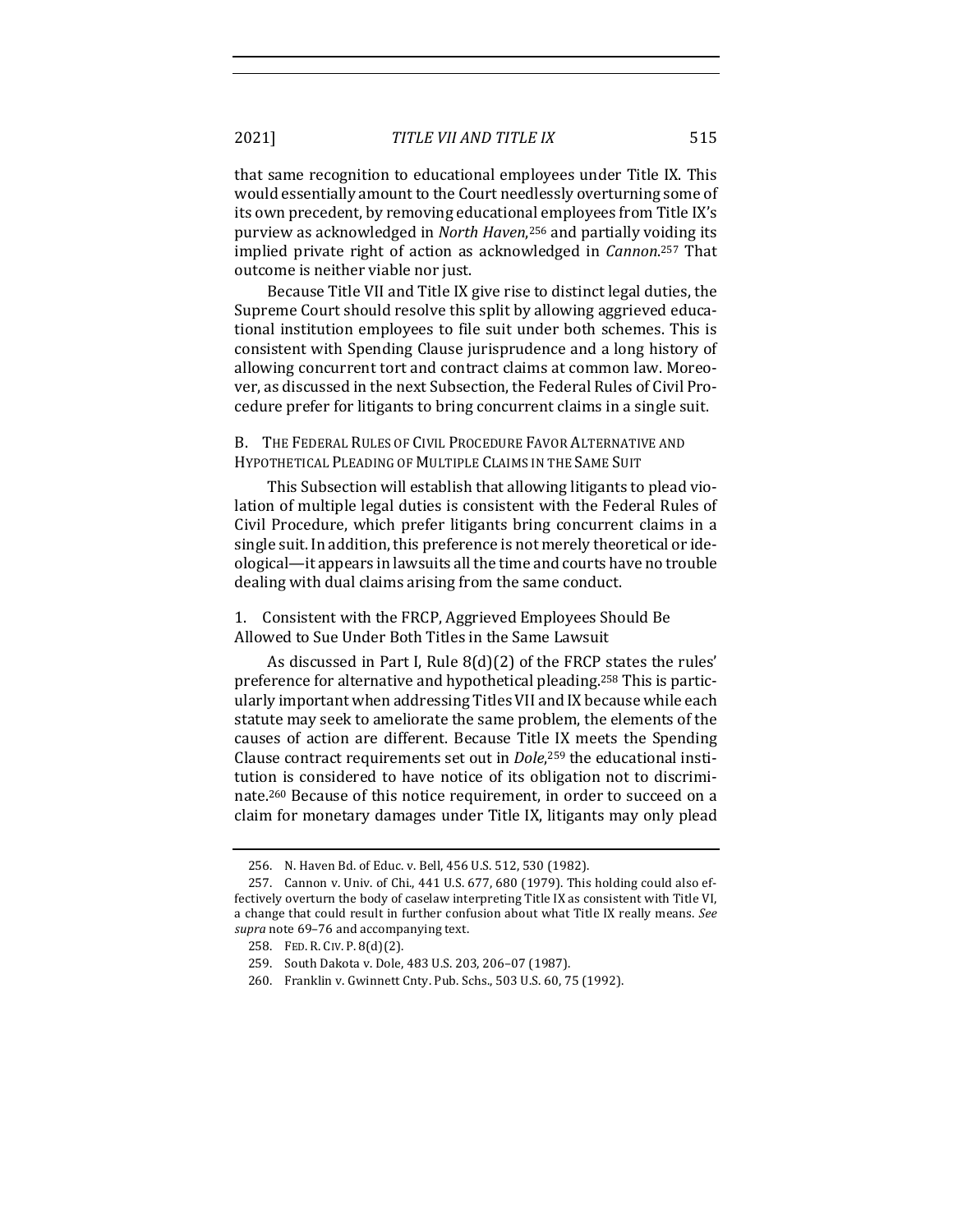that same recognition to educational employees under Title IX. This would essentially amount to the Court needlessly overturning some of its own precedent, by removing educational employees from Title IX's purview as acknowledged in *North Haven*,<sup>256</sup> and partially voiding its implied private right of action as acknowledged in *Cannon*.<sup>257</sup> That outcome is neither viable nor just.

Because Title VII and Title IX give rise to distinct legal duties, the Supreme Court should resolve this split by allowing aggrieved educational institution employees to file suit under both schemes. This is consistent with Spending Clause jurisprudence and a long history of allowing concurrent tort and contract claims at common law. Moreover, as discussed in the next Subsection, the Federal Rules of Civil Procedure prefer for litigants to bring concurrent claims in a single suit.

B. THE FEDERAL RULES OF CIVIL PROCEDURE FAVOR ALTERNATIVE AND HYPOTHETICAL PLEADING OF MULTIPLE CLAIMS IN THE SAME SUIT

This Subsection will establish that allowing litigants to plead violation of multiple legal duties is consistent with the Federal Rules of Civil Procedure, which prefer litigants bring concurrent claims in a single suit. In addition, this preference is not merely theoretical or ideological—it appears in lawsuits all the time and courts have no trouble dealing with dual claims arising from the same conduct.

1. Consistent with the FRCP, Aggrieved Employees Should Be Allowed to Sue Under Both Titles in the Same Lawsuit

As discussed in Part I, Rule  $8(d)(2)$  of the FRCP states the rules' preference for alternative and hypothetical pleading.<sup>258</sup> This is particularly important when addressing Titles VII and IX because while each statute may seek to ameliorate the same problem, the elements of the causes of action are different. Because Title IX meets the Spending Clause contract requirements set out in *Dole*,<sup>259</sup> the educational institution is considered to have notice of its obligation not to discriminate.<sup>260</sup> Because of this notice requirement, in order to succeed on a claim for monetary damages under Title IX, litigants may only plead

<sup>256.</sup> N. Haven Bd. of Educ. v. Bell, 456 U.S. 512, 530 (1982).

<sup>257.</sup> Cannon v. Univ. of Chi., 441 U.S. 677, 680 (1979). This holding could also effectively overturn the body of caselaw interpreting Title IX as consistent with Title VI, a change that could result in further confusion about what Title IX really means. See supra note 69-76 and accompanying text.

<sup>258.</sup> FED. R. CIV. P. 8(d)(2).

<sup>259.</sup> South Dakota v. Dole, 483 U.S. 203, 206-07 (1987).

<sup>260.</sup> Franklin v. Gwinnett Cnty. Pub. Schs., 503 U.S. 60, 75 (1992).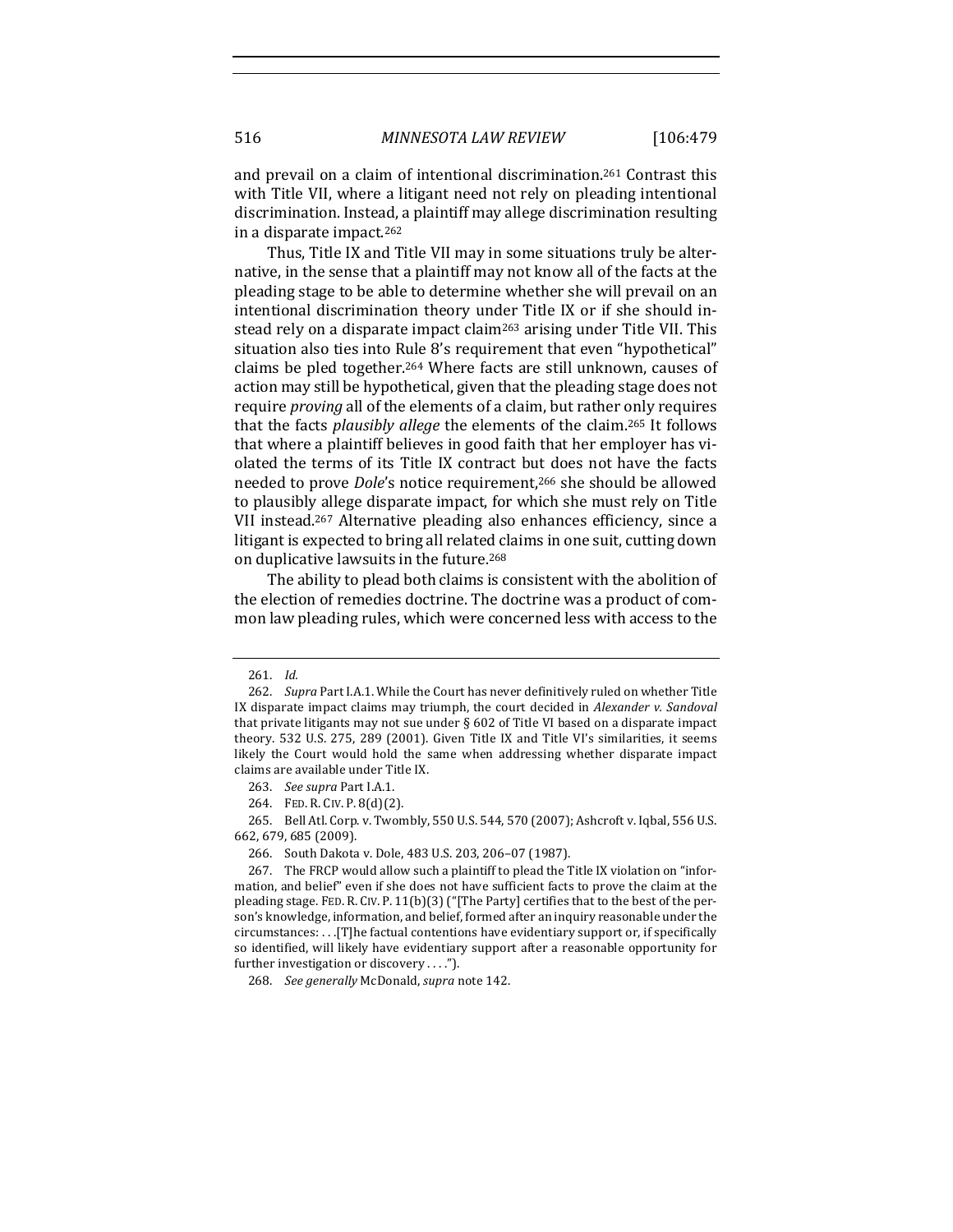and prevail on a claim of intentional discrimination.<sup>261</sup> Contrast this with Title VII, where a litigant need not rely on pleading intentional discrimination. Instead, a plaintiff may allege discrimination resulting in a disparate impact. $262$ 

Thus, Title IX and Title VII may in some situations truly be alternative, in the sense that a plaintiff may not know all of the facts at the pleading stage to be able to determine whether she will prevail on an intentional discrimination theory under Title IX or if she should instead rely on a disparate impact claim<sup>263</sup> arising under Title VII. This situation also ties into Rule 8's requirement that even "hypothetical" claims be pled together.<sup>264</sup> Where facts are still unknown, causes of action may still be hypothetical, given that the pleading stage does not require *proving* all of the elements of a claim, but rather only requires that the facts *plausibly allege* the elements of the claim.<sup>265</sup> It follows that where a plaintiff believes in good faith that her employer has violated the terms of its Title IX contract but does not have the facts needed to prove *Dole's* notice requirement,<sup>266</sup> she should be allowed to plausibly allege disparate impact, for which she must rely on Title VII instead.<sup>267</sup> Alternative pleading also enhances efficiency, since a litigant is expected to bring all related claims in one suit, cutting down on duplicative lawsuits in the future.<sup>268</sup>

The ability to plead both claims is consistent with the abolition of the election of remedies doctrine. The doctrine was a product of common law pleading rules, which were concerned less with access to the

265. Bell Atl. Corp. v. Twombly, 550 U.S. 544, 570 (2007); Ashcroft v. Iqbal, 556 U.S. 662, 679, 685 (2009).

<sup>261.</sup> *Id.*

<sup>262.</sup> Supra Part I.A.1. While the Court has never definitively ruled on whether Title IX disparate impact claims may triumph, the court decided in *Alexander v. Sandoval* that private litigants may not sue under  $\S 602$  of Title VI based on a disparate impact theory. 532 U.S. 275, 289 (2001). Given Title IX and Title VI's similarities, it seems likely the Court would hold the same when addressing whether disparate impact claims are available under Title IX.

<sup>263.</sup> *See supra* Part I.A.1.

<sup>264.</sup> FED. R. CIV. P. 8(d)(2).

<sup>266.</sup> South Dakota v. Dole, 483 U.S. 203, 206-07 (1987).

<sup>267.</sup> The FRCP would allow such a plaintiff to plead the Title IX violation on "information, and belief" even if she does not have sufficient facts to prove the claim at the pleading stage. FED. R. CIV. P.  $11(b)(3)$  ("[The Party] certifies that to the best of the person's knowledge, information, and belief, formed after an inquiry reasonable under the  $circumstances: \ldots$  [T]he factual contentions have evidentiary support or, if specifically so identified, will likely have evidentiary support after a reasonable opportunity for further investigation or discovery  $\dots$ ").

<sup>268.</sup> *See generally* McDonald, *supra* note 142.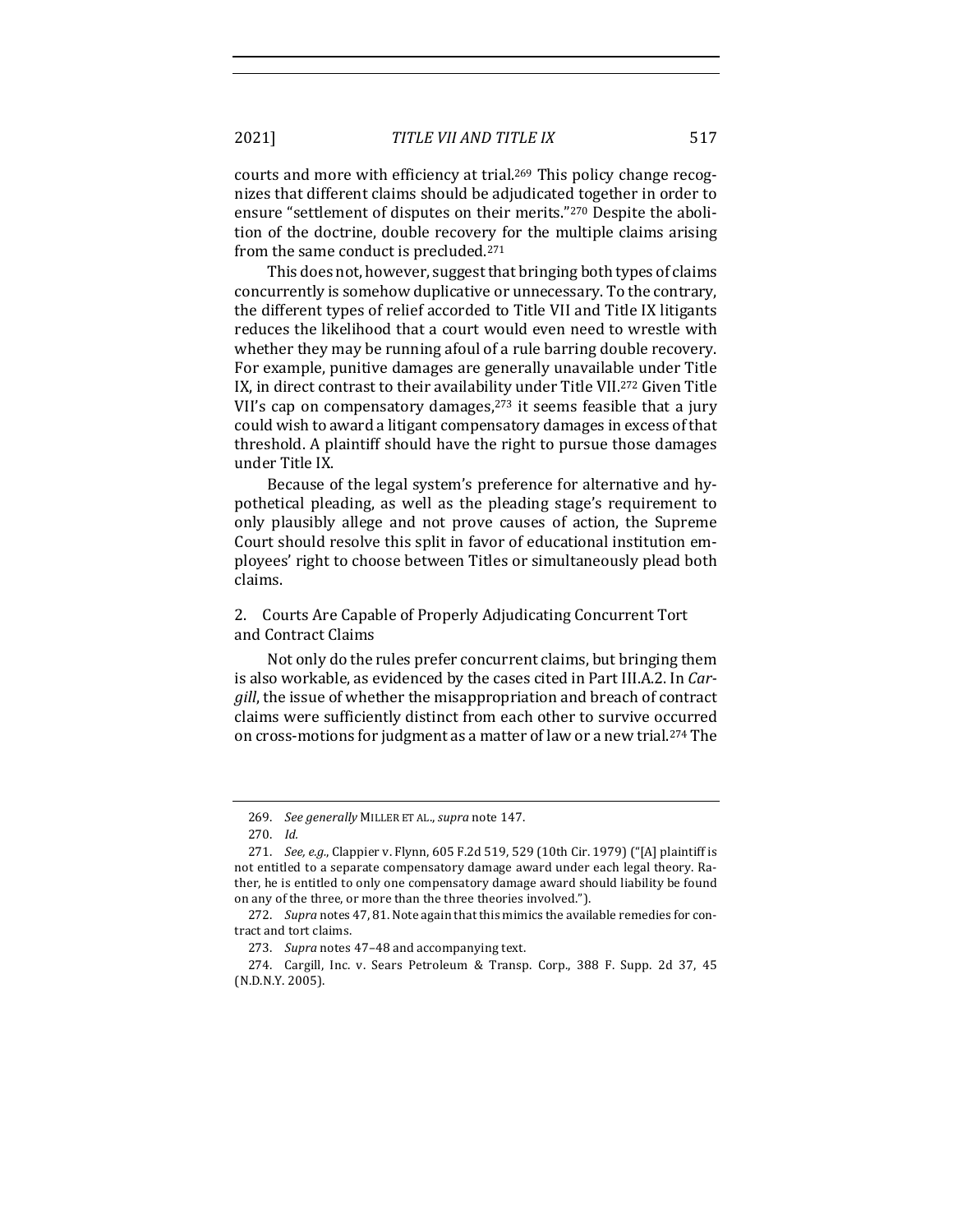courts and more with efficiency at trial.<sup>269</sup> This policy change recognizes that different claims should be adjudicated together in order to ensure "settlement of disputes on their merits."<sup>270</sup> Despite the abolition of the doctrine, double recovery for the multiple claims arising from the same conduct is precluded. $271$ 

This does not, however, suggest that bringing both types of claims concurrently is somehow duplicative or unnecessary. To the contrary, the different types of relief accorded to Title VII and Title IX litigants reduces the likelihood that a court would even need to wrestle with whether they may be running afoul of a rule barring double recovery. For example, punitive damages are generally unavailable under Title IX, in direct contrast to their availability under Title VII.<sup>272</sup> Given Title VII's cap on compensatory damages,  $273$  it seems feasible that a jury could wish to award a litigant compensatory damages in excess of that threshold. A plaintiff should have the right to pursue those damages under Title IX.

Because of the legal system's preference for alternative and hypothetical pleading, as well as the pleading stage's requirement to only plausibly allege and not prove causes of action, the Supreme Court should resolve this split in favor of educational institution employees' right to choose between Titles or simultaneously plead both claims. 

## 2. Courts Are Capable of Properly Adjudicating Concurrent Tort and Contract Claims

Not only do the rules prefer concurrent claims, but bringing them is also workable, as evidenced by the cases cited in Part III.A.2. In *Cargill*, the issue of whether the misappropriation and breach of contract claims were sufficiently distinct from each other to survive occurred on cross-motions for judgment as a matter of law or a new trial.<sup>274</sup> The

<sup>269.</sup> *See generally* MILLER ET AL., *supra* note 147.

<sup>270.</sup> *Id.*

<sup>271.</sup> *See, e.g.*, Clappier v. Flynn, 605 F.2d 519, 529 (10th Cir. 1979) ("[A] plaintiff is not entitled to a separate compensatory damage award under each legal theory. Rather, he is entitled to only one compensatory damage award should liability be found on any of the three, or more than the three theories involved.").

<sup>272.</sup> Supra notes 47, 81. Note again that this mimics the available remedies for contract and tort claims.

<sup>273.</sup> Supra notes 47-48 and accompanying text.

<sup>274.</sup> Cargill, Inc. v. Sears Petroleum & Transp. Corp., 388 F. Supp. 2d 37, 45 (N.D.N.Y. 2005).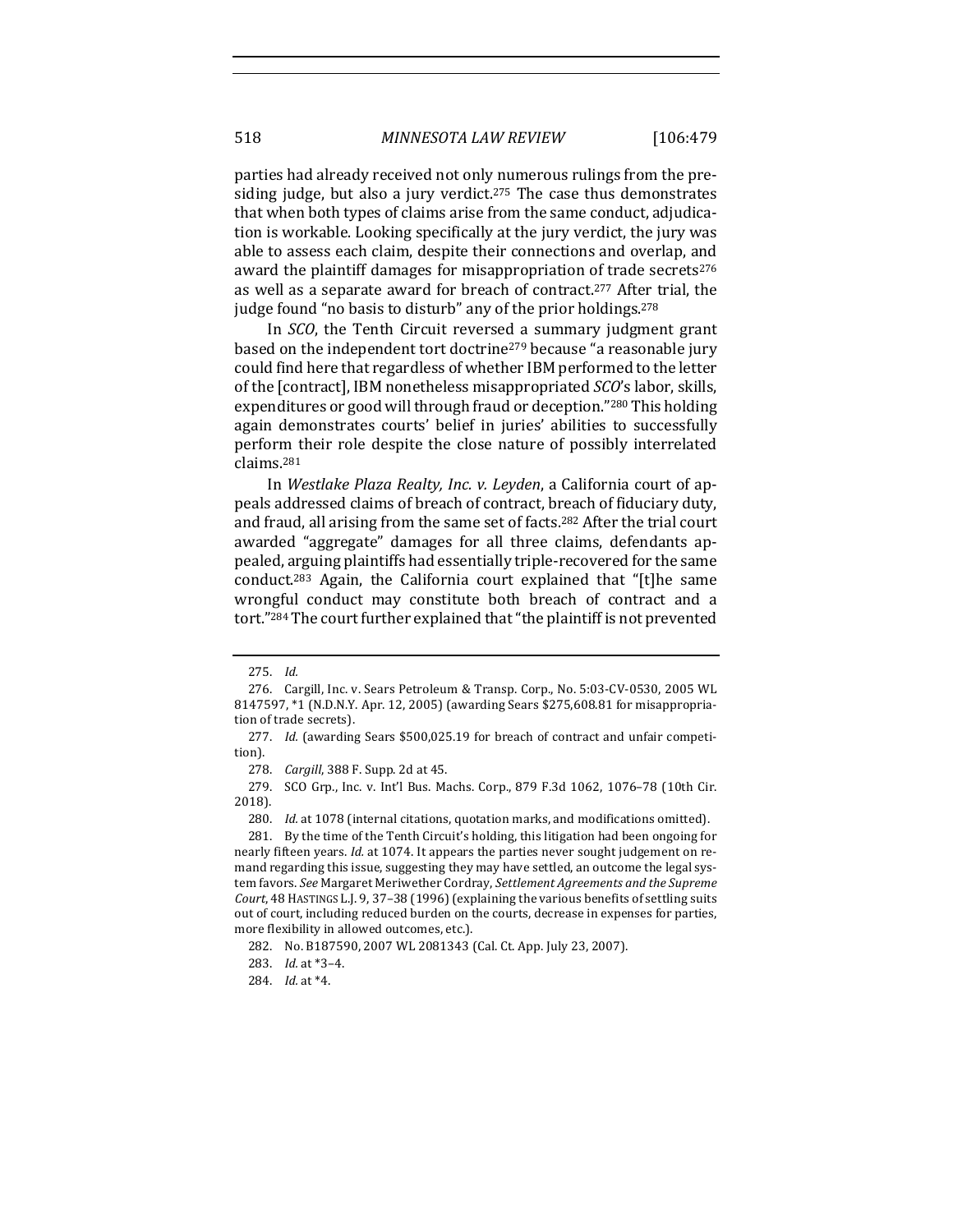parties had already received not only numerous rulings from the presiding judge, but also a jury verdict.<sup>275</sup> The case thus demonstrates that when both types of claims arise from the same conduct, adjudication is workable. Looking specifically at the jury verdict, the jury was able to assess each claim, despite their connections and overlap, and award the plaintiff damages for misappropriation of trade secrets<sup>276</sup> as well as a separate award for breach of contract.<sup>277</sup> After trial, the judge found "no basis to disturb" any of the prior holdings. $278$ 

In *SCO*, the Tenth Circuit reversed a summary judgment grant based on the independent tort doctrine<sup>279</sup> because "a reasonable jury could find here that regardless of whether IBM performed to the letter of the [contract], IBM nonetheless misappropriated *SCO*'s labor, skills, expenditures or good will through fraud or deception."<sup>280</sup> This holding again demonstrates courts' belief in juries' abilities to successfully perform their role despite the close nature of possibly interrelated claims.281

In Westlake Plaza Realty, Inc. v. Leyden, a California court of appeals addressed claims of breach of contract, breach of fiduciary duty, and fraud, all arising from the same set of facts.<sup>282</sup> After the trial court awarded "aggregate" damages for all three claims, defendants appealed, arguing plaintiffs had essentially triple-recovered for the same conduct.<sup>283</sup> Again, the California court explained that "[t]he same wrongful conduct may constitute both breach of contract and a tort."<sup>284</sup> The court further explained that "the plaintiff is not prevented

278. *Cargill*, 388 F. Supp. 2d at 45.

<sup>275.</sup> *Id.*

<sup>276.</sup> Cargill, Inc. v. Sears Petroleum & Transp. Corp., No. 5:03-CV-0530, 2005 WL 8147597, \*1 (N.D.N.Y. Apr. 12, 2005) (awarding Sears \$275,608.81 for misappropriation of trade secrets).

<sup>277.</sup> *Id.* (awarding Sears \$500,025.19 for breach of contract and unfair competition).

<sup>279.</sup> SCO Grp., Inc. v. Int'l Bus. Machs. Corp., 879 F.3d 1062, 1076-78 (10th Cir. 2018).

<sup>280.</sup> *Id.* at 1078 (internal citations, quotation marks, and modifications omitted).

<sup>281.</sup> By the time of the Tenth Circuit's holding, this litigation had been ongoing for nearly fifteen years. *Id.* at 1074. It appears the parties never sought judgement on remand regarding this issue, suggesting they may have settled, an outcome the legal system favors. See Margaret Meriwether Cordray, Settlement Agreements and the Supreme Court, 48 HASTINGS L.J. 9, 37-38 (1996) (explaining the various benefits of settling suits out of court, including reduced burden on the courts, decrease in expenses for parties, more flexibility in allowed outcomes, etc.).

<sup>282.</sup> No. B187590, 2007 WL 2081343 (Cal. Ct. App. July 23, 2007).

<sup>283.</sup> *Id.* at \*3-4.

<sup>284.</sup> *Id.* at  $*4$ .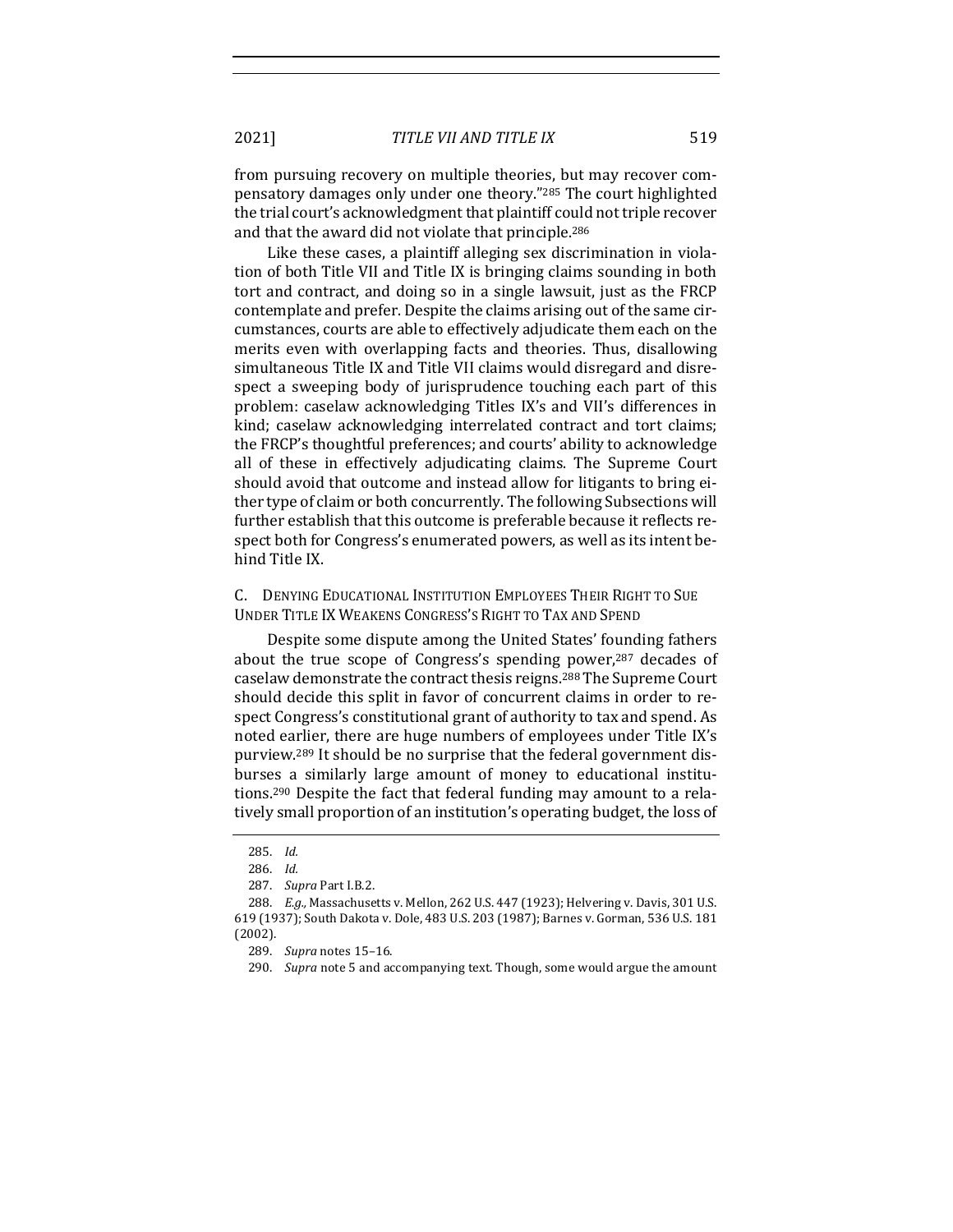2021] *TITLE VII AND TITLE IX* 519

from pursuing recovery on multiple theories, but may recover compensatory damages only under one theory."<sup>285</sup> The court highlighted the trial court's acknowledgment that plaintiff could not triple recover and that the award did not violate that principle.<sup>286</sup>

Like these cases, a plaintiff alleging sex discrimination in violation of both Title VII and Title IX is bringing claims sounding in both tort and contract, and doing so in a single lawsuit, just as the FRCP contemplate and prefer. Despite the claims arising out of the same circumstances, courts are able to effectively adjudicate them each on the merits even with overlapping facts and theories. Thus, disallowing simultaneous Title IX and Title VII claims would disregard and disrespect a sweeping body of jurisprudence touching each part of this problem: caselaw acknowledging Titles IX's and VII's differences in kind; caselaw acknowledging interrelated contract and tort claims; the FRCP's thoughtful preferences; and courts' ability to acknowledge all of these in effectively adjudicating claims. The Supreme Court should avoid that outcome and instead allow for litigants to bring either type of claim or both concurrently. The following Subsections will further establish that this outcome is preferable because it reflects respect both for Congress's enumerated powers, as well as its intent behind Title IX.

#### C. DENYING EDUCATIONAL INSTITUTION EMPLOYEES THEIR RIGHT TO SUE UNDER TITLE IX WEAKENS CONGRESS'S RIGHT TO TAX AND SPEND

Despite some dispute among the United States' founding fathers about the true scope of Congress's spending power, $287$  decades of caselaw demonstrate the contract thesis reigns.<sup>288</sup> The Supreme Court should decide this split in favor of concurrent claims in order to respect Congress's constitutional grant of authority to tax and spend. As noted earlier, there are huge numbers of employees under Title IX's purview.<sup>289</sup> It should be no surprise that the federal government disburses a similarly large amount of money to educational institutions.<sup>290</sup> Despite the fact that federal funding may amount to a relatively small proportion of an institution's operating budget, the loss of

<sup>285.</sup> *Id.*

<sup>286.</sup> *Id.*

<sup>287.</sup> *Supra* Part I.B.2.

<sup>288.</sup> *E.g.,* Massachusetts v. Mellon, 262 U.S. 447 (1923); Helvering v. Davis, 301 U.S. 619 (1937); South Dakota v. Dole, 483 U.S. 203 (1987); Barnes v. Gorman, 536 U.S. 181 (2002).

<sup>289.</sup> *Supra* notes 15–16.

<sup>290.</sup> *Supra* note 5 and accompanying text. Though, some would argue the amount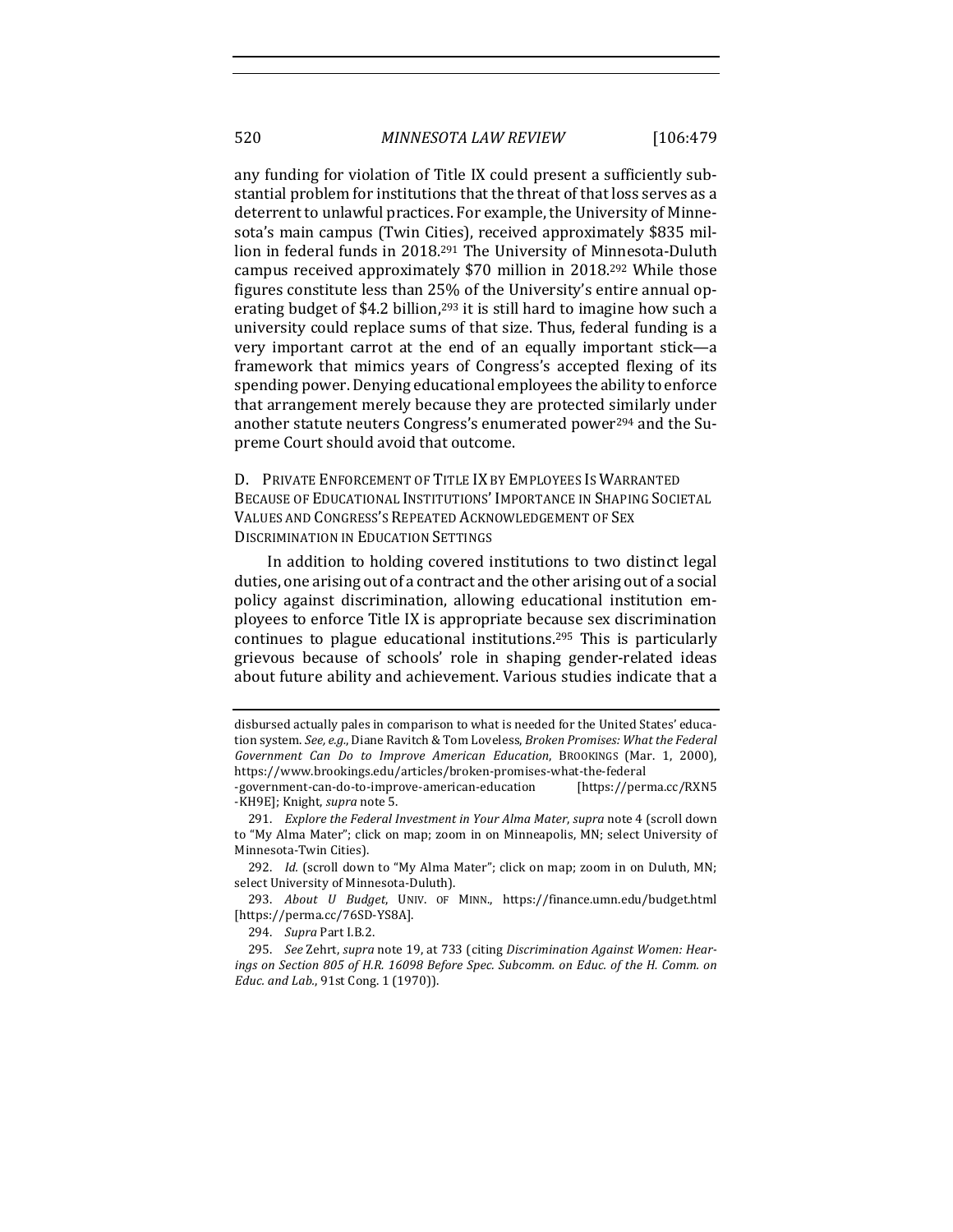any funding for violation of Title IX could present a sufficiently substantial problem for institutions that the threat of that loss serves as a deterrent to unlawful practices. For example, the University of Minnesota's main campus (Twin Cities), received approximately \$835 million in federal funds in 2018.<sup>291</sup> The University of Minnesota-Duluth campus received approximately \$70 million in 2018.<sup>292</sup> While those figures constitute less than 25% of the University's entire annual operating budget of \$4.2 billion,<sup>293</sup> it is still hard to imagine how such a university could replace sums of that size. Thus, federal funding is a very important carrot at the end of an equally important stick-a framework that mimics years of Congress's accepted flexing of its spending power. Denying educational employees the ability to enforce that arrangement merely because they are protected similarly under another statute neuters Congress's enumerated power<sup>294</sup> and the Supreme Court should avoid that outcome.

D. PRIVATE ENFORCEMENT OF TITLE IX BY EMPLOYEES IS WARRANTED BECAUSE OF EDUCATIONAL INSTITUTIONS' IMPORTANCE IN SHAPING SOCIETAL VALUES AND CONGRESS'S REPEATED ACKNOWLEDGEMENT OF SEX DISCRIMINATION IN EDUCATION SETTINGS

In addition to holding covered institutions to two distinct legal duties, one arising out of a contract and the other arising out of a social policy against discrimination, allowing educational institution employees to enforce Title IX is appropriate because sex discrimination continues to plague educational institutions.<sup>295</sup> This is particularly grievous because of schools' role in shaping gender-related ideas about future ability and achievement. Various studies indicate that a

disbursed actually pales in comparison to what is needed for the United States' education system. See, e.g., Diane Ravitch & Tom Loveless, *Broken Promises: What the Federal* Government Can Do to Improve American Education, BROOKINGS (Mar. 1, 2000), https://www.brookings.edu/articles/broken-promises-what-the-federal

<sup>-</sup>government-can-do-to-improve-american-education [https://perma.cc/RXN5 -KH9E]; Knight, *supra* note 5.

<sup>291.</sup> *Explore the Federal Investment in Your Alma Mater, supra* note 4 (scroll down to "My Alma Mater"; click on map; zoom in on Minneapolis, MN; select University of Minnesota-Twin Cities).

<sup>292.</sup> *Id.* (scroll down to "My Alma Mater"; click on map; zoom in on Duluth, MN; select University of Minnesota-Duluth).

<sup>293.</sup> *About U Budget*, UNIV. OF MINN., https://finance.umn.edu/budget.html [https://perma.cc/76SD-YS8A].

<sup>294.</sup> *Supra* Part I.B.2.

<sup>295.</sup> See Zehrt, supra note 19, at 733 (citing Discrimination Against Women: Hearings on Section 805 of H.R. 16098 Before Spec. Subcomm. on Educ. of the H. Comm. on *Educ.* and *Lab.*, 91st Cong. 1 (1970)).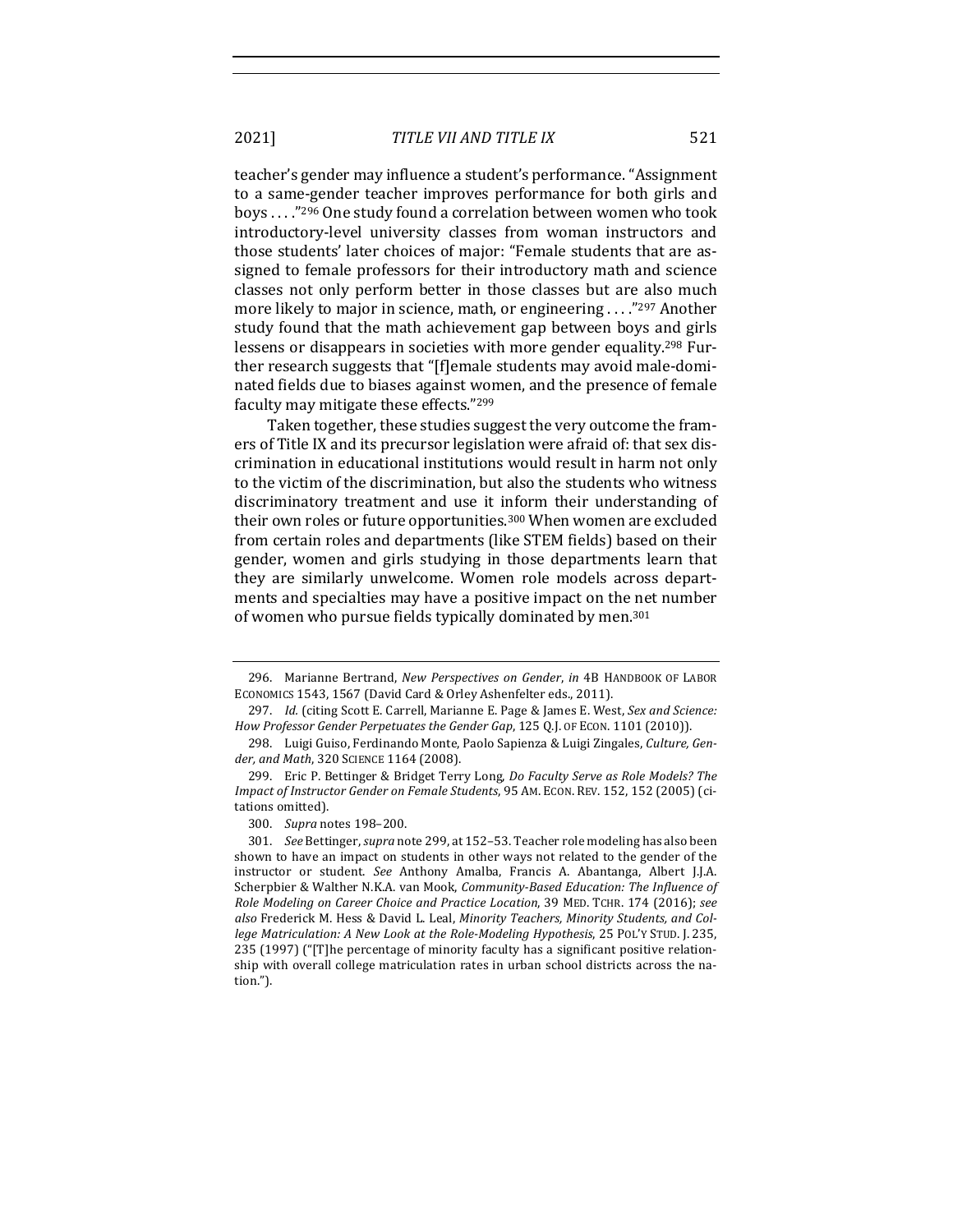2021] *TITLE VII AND TITLE IX* 521

teacher's gender may influence a student's performance. "Assignment to a same-gender teacher improves performance for both girls and boys ...."<sup>296</sup> One study found a correlation between women who took introductory-level university classes from woman instructors and those students' later choices of major: "Female students that are assigned to female professors for their introductory math and science classes not only perform better in those classes but are also much more likely to major in science, math, or engineering  $\ldots$ <sup>"297</sup> Another" study found that the math achievement gap between boys and girls lessens or disappears in societies with more gender equality.<sup>298</sup> Further research suggests that "[f]emale students may avoid male-dominated fields due to biases against women, and the presence of female faculty may mitigate these effects."<sup>299</sup>

Taken together, these studies suggest the very outcome the framers of Title IX and its precursor legislation were afraid of: that sex discrimination in educational institutions would result in harm not only to the victim of the discrimination, but also the students who witness discriminatory treatment and use it inform their understanding of their own roles or future opportunities.<sup>300</sup> When women are excluded from certain roles and departments (like STEM fields) based on their gender, women and girls studying in those departments learn that they are similarly unwelcome. Women role models across departments and specialties may have a positive impact on the net number of women who pursue fields typically dominated by men.<sup>301</sup>

<sup>296.</sup> Marianne Bertrand, *New Perspectives on Gender*, *in* 4B HANDBOOK OF LABOR ECONOMICS 1543, 1567 (David Card & Orley Ashenfelter eds., 2011).

<sup>297.</sup> *Id.* (citing Scott E. Carrell, Marianne E. Page & James E. West, Sex and Science: How Professor Gender Perpetuates the Gender Gap, 125 Q.J. OF ECON. 1101 (2010)).

<sup>298.</sup> Luigi Guiso, Ferdinando Monte, Paolo Sapienza & Luigi Zingales, Culture, Gender, and Math, 320 SCIENCE 1164 (2008).

<sup>299.</sup> Eric P. Bettinger & Bridget Terry Long, *Do Faculty Serve as Role Models? The Impact of Instructor Gender on Female Students*, 95 AM. ECON. REV. 152, 152 (2005) (citations omitted).

<sup>300.</sup> *Supra* notes 198-200.

<sup>301.</sup> *See* Bettinger, *supra* note 299, at 152-53. Teacher role modeling has also been shown to have an impact on students in other ways not related to the gender of the instructor or student. See Anthony Amalba, Francis A. Abantanga, Albert J.J.A. Scherpbier & Walther N.K.A. van Mook, *Community-Based Education: The Influence of Role Modeling on Career Choice and Practice Location*, 39 MED. TCHR. 174 (2016); see also Frederick M. Hess & David L. Leal, *Minority Teachers*, *Minority Students, and College Matriculation: A New Look at the Role-Modeling Hypothesis*, 25 POL'Y STUD. J. 235, 235 (1997) ("[T]he percentage of minority faculty has a significant positive relationship with overall college matriculation rates in urban school districts across the nation.").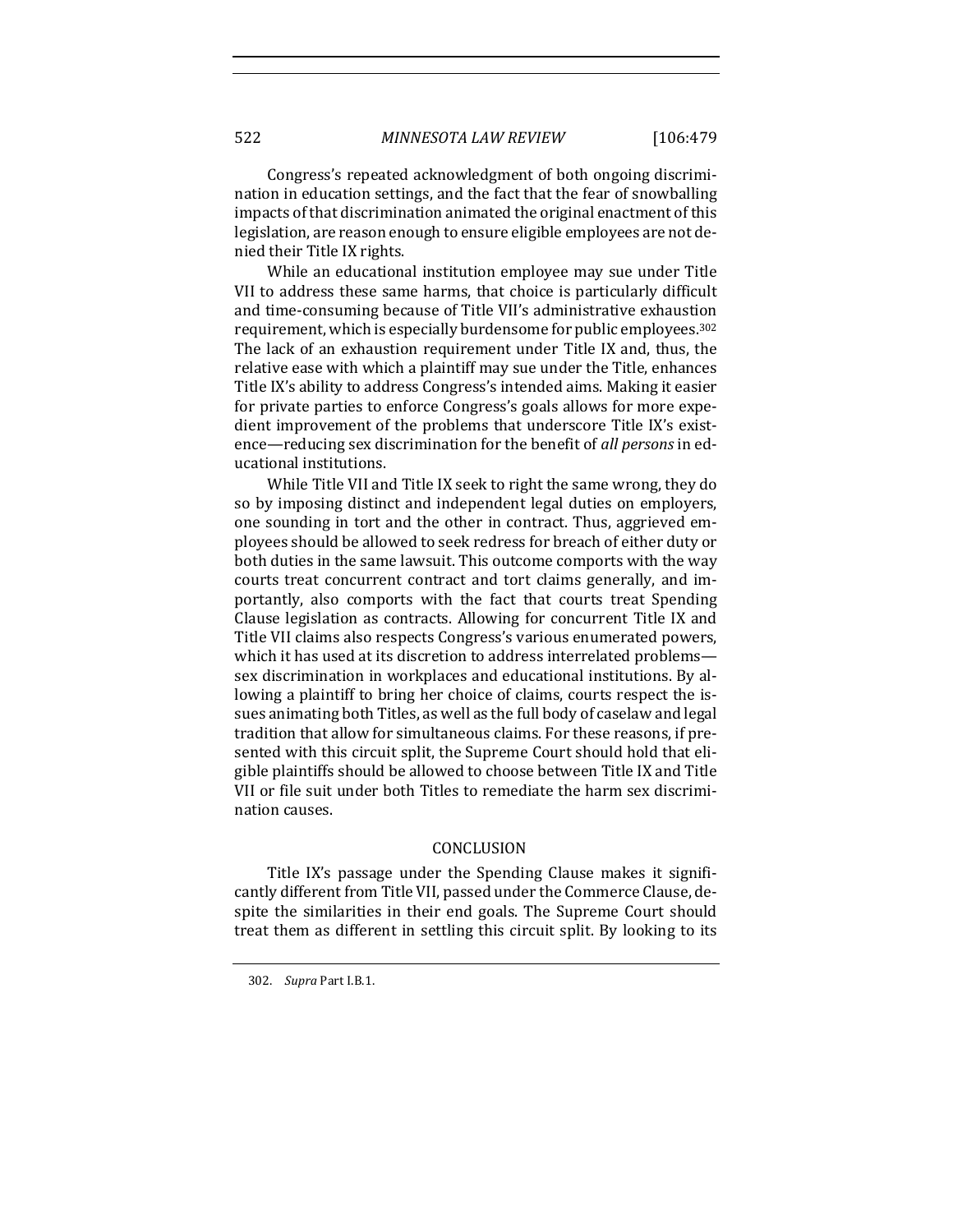Congress's repeated acknowledgment of both ongoing discrimination in education settings, and the fact that the fear of snowballing impacts of that discrimination animated the original enactment of this legislation, are reason enough to ensure eligible employees are not denied their Title IX rights.

While an educational institution employee may sue under Title VII to address these same harms, that choice is particularly difficult and time-consuming because of Title VII's administrative exhaustion requirement, which is especially burdensome for public employees.<sup>302</sup> The lack of an exhaustion requirement under Title IX and, thus, the relative ease with which a plaintiff may sue under the Title, enhances Title IX's ability to address Congress's intended aims. Making it easier for private parties to enforce Congress's goals allows for more expedient improvement of the problems that underscore Title IX's existence—reducing sex discrimination for the benefit of *all persons* in educational institutions.

While Title VII and Title IX seek to right the same wrong, they do so by imposing distinct and independent legal duties on employers, one sounding in tort and the other in contract. Thus, aggrieved employees should be allowed to seek redress for breach of either duty or both duties in the same lawsuit. This outcome comports with the way courts treat concurrent contract and tort claims generally, and importantly, also comports with the fact that courts treat Spending Clause legislation as contracts. Allowing for concurrent Title IX and Title VII claims also respects Congress's various enumerated powers, which it has used at its discretion to address interrelated problemssex discrimination in workplaces and educational institutions. By allowing a plaintiff to bring her choice of claims, courts respect the issues animating both Titles, as well as the full body of caselaw and legal tradition that allow for simultaneous claims. For these reasons, if presented with this circuit split, the Supreme Court should hold that eligible plaintiffs should be allowed to choose between Title IX and Title VII or file suit under both Titles to remediate the harm sex discrimination causes.

#### CONCLUSION

Title IX's passage under the Spending Clause makes it significantly different from Title VII, passed under the Commerce Clause, despite the similarities in their end goals. The Supreme Court should treat them as different in settling this circuit split. By looking to its

<sup>302.</sup> *Supra* Part I.B.1.